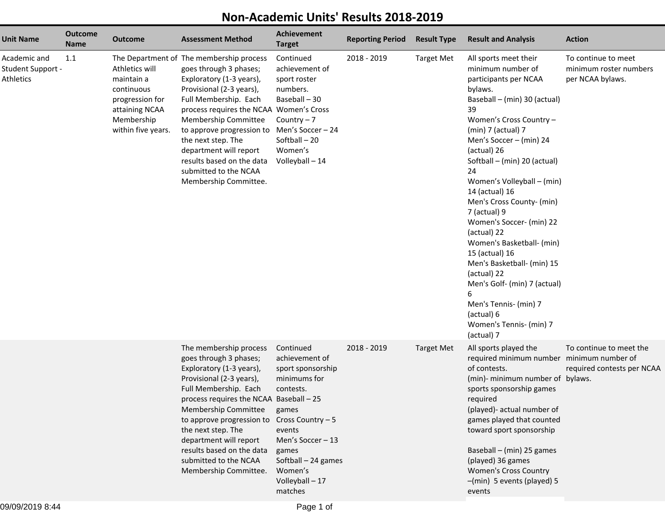## **Non-Academic Units' Results 2018-2019**

| <b>Unit Name</b>                                      | <b>Outcome</b><br><b>Name</b> | <b>Outcome</b>                                                                                                      | <b>Assessment Method</b>                                                                                                                                                                                                                                                                                                                                                                             | <b>Achievement</b><br><b>Target</b>                                                                                                                                                                                 | <b>Reporting Period</b> | <b>Result Type</b> | <b>Result and Analysis</b>                                                                                                                                                                                                                                                                                                                                                                                                                                                                                                                                                                                       | <b>Action</b>                                                     |
|-------------------------------------------------------|-------------------------------|---------------------------------------------------------------------------------------------------------------------|------------------------------------------------------------------------------------------------------------------------------------------------------------------------------------------------------------------------------------------------------------------------------------------------------------------------------------------------------------------------------------------------------|---------------------------------------------------------------------------------------------------------------------------------------------------------------------------------------------------------------------|-------------------------|--------------------|------------------------------------------------------------------------------------------------------------------------------------------------------------------------------------------------------------------------------------------------------------------------------------------------------------------------------------------------------------------------------------------------------------------------------------------------------------------------------------------------------------------------------------------------------------------------------------------------------------------|-------------------------------------------------------------------|
| Academic and<br><b>Student Support -</b><br>Athletics | 1.1                           | Athletics will<br>maintain a<br>continuous<br>progression for<br>attaining NCAA<br>Membership<br>within five years. | The Department of The membership process<br>goes through 3 phases;<br>Exploratory (1-3 years),<br>Provisional (2-3 years),<br>Full Membership. Each<br>process requires the NCAA Women's Cross<br>Membership Committee<br>to approve progression to Men's Soccer - 24<br>the next step. The<br>department will report<br>results based on the data<br>submitted to the NCAA<br>Membership Committee. | Continued<br>achievement of<br>sport roster<br>numbers.<br>Baseball - 30<br>Country $-7$<br>Softball-20<br>Women's<br>Volleyball - 14                                                                               | 2018 - 2019             | <b>Target Met</b>  | All sports meet their<br>minimum number of<br>participants per NCAA<br>bylaws.<br>Baseball - (min) 30 (actual)<br>39<br>Women's Cross Country -<br>$(min)$ 7 (actual) 7<br>Men's Soccer - (min) 24<br>(actual) 26<br>Softball - (min) 20 (actual)<br>24<br>Women's Volleyball - (min)<br>14 (actual) 16<br>Men's Cross County- (min)<br>7 (actual) 9<br>Women's Soccer- (min) 22<br>(actual) 22<br>Women's Basketball- (min)<br>15 (actual) 16<br>Men's Basketball- (min) 15<br>(actual) 22<br>Men's Golf- (min) 7 (actual)<br>6<br>Men's Tennis- (min) 7<br>(actual) 6<br>Women's Tennis- (min) 7<br>(actual) 7 | To continue to meet<br>minimum roster numbers<br>per NCAA bylaws. |
|                                                       |                               |                                                                                                                     | The membership process<br>goes through 3 phases;<br>Exploratory (1-3 years),<br>Provisional (2-3 years),<br>Full Membership. Each<br>process requires the NCAA Baseball - 25<br>Membership Committee<br>to approve progression to<br>the next step. The<br>department will report<br>results based on the data<br>submitted to the NCAA<br>Membership Committee.                                     | Continued<br>achievement of<br>sport sponsorship<br>minimums for<br>contests.<br>games<br>Cross Country - 5<br>events<br>Men's Soccer - 13<br>games<br>Softball - 24 games<br>Women's<br>Volleyball - 17<br>matches | 2018 - 2019             | <b>Target Met</b>  | All sports played the<br>required minimum number minimum number of<br>of contests.<br>(min)- minimum number of bylaws.<br>sports sponsorship games<br>required<br>(played)- actual number of<br>games played that counted<br>toward sport sponsorship<br>Baseball - (min) 25 games<br>(played) 36 games<br><b>Women's Cross Country</b><br>-(min) 5 events (played) 5<br>events                                                                                                                                                                                                                                  | To continue to meet the<br>required contests per NCAA             |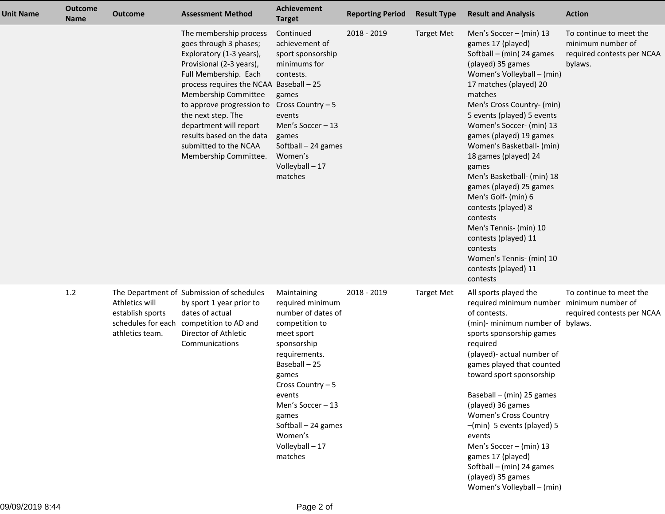| <b>Unit Name</b> | <b>Outcome</b><br><b>Name</b> | <b>Outcome</b>                                                              | <b>Assessment Method</b>                                                                                                                                                                                                                                                                                                                                         | <b>Achievement</b><br><b>Target</b>                                                                                                                                                                                                                                        | <b>Reporting Period</b> | <b>Result Type</b> | <b>Result and Analysis</b>                                                                                                                                                                                                                                                                                                                                                                                                                                                                                                                                                                            | <b>Action</b>                                                                         |
|------------------|-------------------------------|-----------------------------------------------------------------------------|------------------------------------------------------------------------------------------------------------------------------------------------------------------------------------------------------------------------------------------------------------------------------------------------------------------------------------------------------------------|----------------------------------------------------------------------------------------------------------------------------------------------------------------------------------------------------------------------------------------------------------------------------|-------------------------|--------------------|-------------------------------------------------------------------------------------------------------------------------------------------------------------------------------------------------------------------------------------------------------------------------------------------------------------------------------------------------------------------------------------------------------------------------------------------------------------------------------------------------------------------------------------------------------------------------------------------------------|---------------------------------------------------------------------------------------|
|                  |                               |                                                                             | The membership process<br>goes through 3 phases;<br>Exploratory (1-3 years),<br>Provisional (2-3 years),<br>Full Membership. Each<br>process requires the NCAA Baseball - 25<br>Membership Committee<br>to approve progression to<br>the next step. The<br>department will report<br>results based on the data<br>submitted to the NCAA<br>Membership Committee. | Continued<br>achievement of<br>sport sponsorship<br>minimums for<br>contests.<br>games<br>Cross Country - 5<br>events<br>Men's Soccer $-13$<br>games<br>Softball - 24 games<br>Women's<br>Volleyball - 17<br>matches                                                       | 2018 - 2019             | <b>Target Met</b>  | Men's Soccer - (min) 13<br>games 17 (played)<br>Softball $-$ (min) 24 games<br>(played) 35 games<br>Women's Volleyball - (min)<br>17 matches (played) 20<br>matches<br>Men's Cross Country- (min)<br>5 events (played) 5 events<br>Women's Soccer- (min) 13<br>games (played) 19 games<br>Women's Basketball- (min)<br>18 games (played) 24<br>games<br>Men's Basketball- (min) 18<br>games (played) 25 games<br>Men's Golf- (min) 6<br>contests (played) 8<br>contests<br>Men's Tennis- (min) 10<br>contests (played) 11<br>contests<br>Women's Tennis- (min) 10<br>contests (played) 11<br>contests | To continue to meet the<br>minimum number of<br>required contests per NCAA<br>bylaws. |
|                  | 1.2                           | Athletics will<br>establish sports<br>schedules for each<br>athletics team. | The Department of Submission of schedules<br>by sport 1 year prior to<br>dates of actual<br>competition to AD and<br>Director of Athletic<br>Communications                                                                                                                                                                                                      | Maintaining<br>required minimum<br>number of dates of<br>competition to<br>meet sport<br>sponsorship<br>requirements.<br>Baseball-25<br>games<br>Cross Country - 5<br>events<br>Men's Soccer - 13<br>games<br>Softball - 24 games<br>Women's<br>Volleyball - 17<br>matches | 2018 - 2019             | <b>Target Met</b>  | All sports played the<br>required minimum number<br>of contests.<br>(min)- minimum number of bylaws.<br>sports sponsorship games<br>required<br>(played)- actual number of<br>games played that counted<br>toward sport sponsorship<br>Baseball $-$ (min) 25 games<br>(played) 36 games<br><b>Women's Cross Country</b><br>-(min) 5 events (played) 5<br>events<br>Men's Soccer - (min) 13<br>games 17 (played)<br>Softball - (min) 24 games<br>(played) 35 games<br>Women's Volleyball - (min)                                                                                                       | To continue to meet the<br>minimum number of<br>required contests per NCAA            |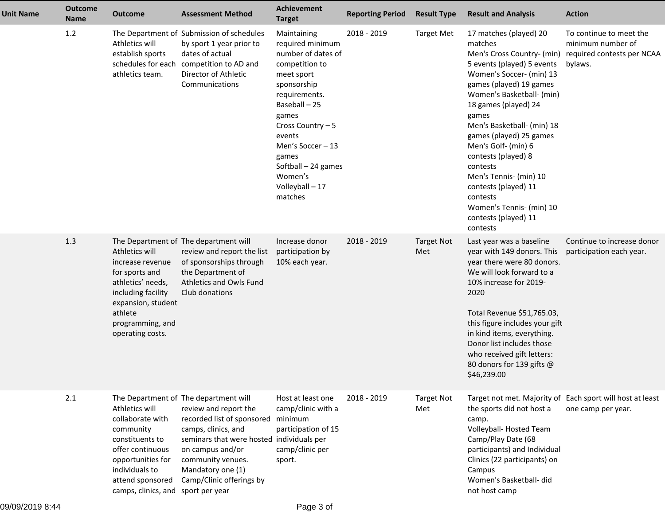| <b>Unit Name</b> | <b>Outcome</b><br><b>Name</b> | <b>Outcome</b>                                                                                                                                                                          | <b>Assessment Method</b>                                                                                                                                                                                                                                           | <b>Achievement</b><br><b>Target</b>                                                                                                                                                                                                                                          | <b>Reporting Period</b> | <b>Result Type</b>       | <b>Result and Analysis</b>                                                                                                                                                                                                                                                                                                                                                                                                                                          | <b>Action</b>                                                                         |
|------------------|-------------------------------|-----------------------------------------------------------------------------------------------------------------------------------------------------------------------------------------|--------------------------------------------------------------------------------------------------------------------------------------------------------------------------------------------------------------------------------------------------------------------|------------------------------------------------------------------------------------------------------------------------------------------------------------------------------------------------------------------------------------------------------------------------------|-------------------------|--------------------------|---------------------------------------------------------------------------------------------------------------------------------------------------------------------------------------------------------------------------------------------------------------------------------------------------------------------------------------------------------------------------------------------------------------------------------------------------------------------|---------------------------------------------------------------------------------------|
|                  | 1.2                           | Athletics will<br>establish sports<br>schedules for each<br>athletics team.                                                                                                             | The Department of Submission of schedules<br>by sport 1 year prior to<br>dates of actual<br>competition to AD and<br>Director of Athletic<br>Communications                                                                                                        | Maintaining<br>required minimum<br>number of dates of<br>competition to<br>meet sport<br>sponsorship<br>requirements.<br>Baseball - 25<br>games<br>Cross Country - 5<br>events<br>Men's Soccer - 13<br>games<br>Softball - 24 games<br>Women's<br>Volleyball - 17<br>matches | 2018 - 2019             | <b>Target Met</b>        | 17 matches (played) 20<br>matches<br>Men's Cross Country- (min)<br>5 events (played) 5 events<br>Women's Soccer- (min) 13<br>games (played) 19 games<br>Women's Basketball- (min)<br>18 games (played) 24<br>games<br>Men's Basketball- (min) 18<br>games (played) 25 games<br>Men's Golf- (min) 6<br>contests (played) 8<br>contests<br>Men's Tennis- (min) 10<br>contests (played) 11<br>contests<br>Women's Tennis- (min) 10<br>contests (played) 11<br>contests | To continue to meet the<br>minimum number of<br>required contests per NCAA<br>bylaws. |
|                  | 1.3                           | Athletics will<br>increase revenue<br>for sports and<br>athletics' needs,<br>including facility<br>expansion, student<br>athlete<br>programming, and<br>operating costs.                | The Department of The department will<br>review and report the list<br>of sponsorships through<br>the Department of<br>Athletics and Owls Fund<br>Club donations                                                                                                   | Increase donor<br>participation by<br>10% each year.                                                                                                                                                                                                                         | 2018 - 2019             | <b>Target Not</b><br>Met | Last year was a baseline<br>year with 149 donors. This<br>year there were 80 donors.<br>We will look forward to a<br>10% increase for 2019-<br>2020<br>Total Revenue \$51,765.03,<br>this figure includes your gift<br>in kind items, everything.<br>Donor list includes those<br>who received gift letters:<br>80 donors for 139 gifts @<br>\$46,239.00                                                                                                            | Continue to increase donor<br>participation each year.                                |
|                  | 2.1                           | Athletics will<br>collaborate with<br>community<br>constituents to<br>offer continuous<br>opportunities for<br>individuals to<br>attend sponsored<br>camps, clinics, and sport per year | The Department of The department will<br>review and report the<br>recorded list of sponsored minimum<br>camps, clinics, and<br>seminars that were hosted individuals per<br>on campus and/or<br>community venues.<br>Mandatory one (1)<br>Camp/Clinic offerings by | Host at least one<br>camp/clinic with a<br>participation of 15<br>camp/clinic per<br>sport.                                                                                                                                                                                  | 2018 - 2019             | <b>Target Not</b><br>Met | the sports did not host a<br>camp.<br>Volleyball-Hosted Team<br>Camp/Play Date (68<br>participants) and Individual<br>Clinics (22 participants) on<br>Campus<br>Women's Basketball- did<br>not host camp                                                                                                                                                                                                                                                            | Target not met. Majority of Each sport will host at least<br>one camp per year.       |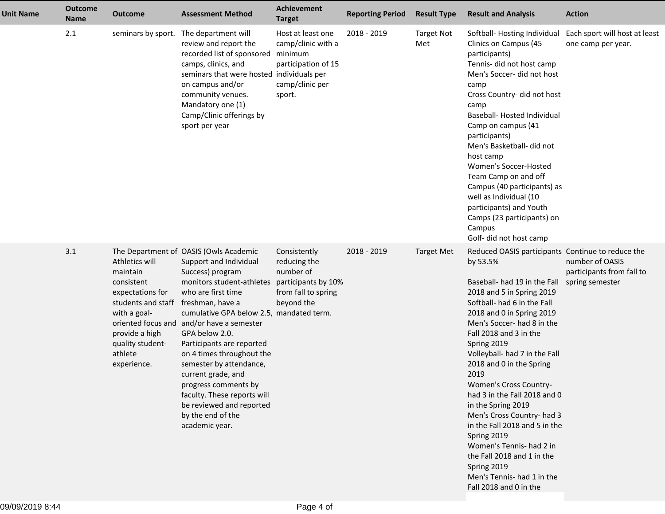| <b>Unit Name</b> | <b>Outcome</b><br><b>Name</b> | <b>Outcome</b>                                                                                                                                                     | <b>Assessment Method</b>                                                                                                                                                                                                                                                                                                                                                                                                                                                                                    | <b>Achievement</b><br><b>Target</b>                                                                   | <b>Reporting Period</b> | <b>Result Type</b>       | <b>Result and Analysis</b>                                                                                                                                                                                                                                                                                                                                                                                                                                                                                                                                                                                                       | <b>Action</b>                                                   |
|------------------|-------------------------------|--------------------------------------------------------------------------------------------------------------------------------------------------------------------|-------------------------------------------------------------------------------------------------------------------------------------------------------------------------------------------------------------------------------------------------------------------------------------------------------------------------------------------------------------------------------------------------------------------------------------------------------------------------------------------------------------|-------------------------------------------------------------------------------------------------------|-------------------------|--------------------------|----------------------------------------------------------------------------------------------------------------------------------------------------------------------------------------------------------------------------------------------------------------------------------------------------------------------------------------------------------------------------------------------------------------------------------------------------------------------------------------------------------------------------------------------------------------------------------------------------------------------------------|-----------------------------------------------------------------|
|                  | 2.1                           |                                                                                                                                                                    | seminars by sport. The department will<br>review and report the<br>recorded list of sponsored minimum<br>camps, clinics, and<br>seminars that were hosted individuals per<br>on campus and/or<br>community venues.<br>Mandatory one (1)<br>Camp/Clinic offerings by<br>sport per year                                                                                                                                                                                                                       | Host at least one<br>camp/clinic with a<br>participation of 15<br>camp/clinic per<br>sport.           | 2018 - 2019             | <b>Target Not</b><br>Met | Softball-Hosting Individual<br>Clinics on Campus (45<br>participants)<br>Tennis- did not host camp<br>Men's Soccer- did not host<br>camp<br>Cross Country- did not host<br>camp<br>Baseball- Hosted Individual<br>Camp on campus (41<br>participants)<br>Men's Basketball- did not<br>host camp<br>Women's Soccer-Hosted<br>Team Camp on and off<br>Campus (40 participants) as<br>well as Individual (10<br>participants) and Youth<br>Camps (23 participants) on<br>Campus<br>Golf- did not host camp                                                                                                                          | Each sport will host at least<br>one camp per year.             |
|                  | 3.1                           | Athletics will<br>maintain<br>consistent<br>expectations for<br>students and staff<br>with a goal-<br>provide a high<br>quality student-<br>athlete<br>experience. | The Department of OASIS (Owls Academic<br>Support and Individual<br>Success) program<br>monitors student-athletes<br>who are first time<br>freshman, have a<br>cumulative GPA below 2.5, mandated term.<br>oriented focus and and/or have a semester<br>GPA below 2.0.<br>Participants are reported<br>on 4 times throughout the<br>semester by attendance,<br>current grade, and<br>progress comments by<br>faculty. These reports will<br>be reviewed and reported<br>by the end of the<br>academic year. | Consistently<br>reducing the<br>number of<br>participants by 10%<br>from fall to spring<br>beyond the | 2018 - 2019             | <b>Target Met</b>        | Reduced OASIS participants Continue to reduce the<br>by 53.5%<br>Baseball- had 19 in the Fall<br>2018 and 5 in Spring 2019<br>Softball- had 6 in the Fall<br>2018 and 0 in Spring 2019<br>Men's Soccer-had 8 in the<br>Fall 2018 and 3 in the<br>Spring 2019<br>Volleyball- had 7 in the Fall<br>2018 and 0 in the Spring<br>2019<br>Women's Cross Country-<br>had 3 in the Fall 2018 and 0<br>in the Spring 2019<br>Men's Cross Country- had 3<br>in the Fall 2018 and 5 in the<br>Spring 2019<br>Women's Tennis- had 2 in<br>the Fall 2018 and 1 in the<br>Spring 2019<br>Men's Tennis- had 1 in the<br>Fall 2018 and 0 in the | number of OASIS<br>participants from fall to<br>spring semester |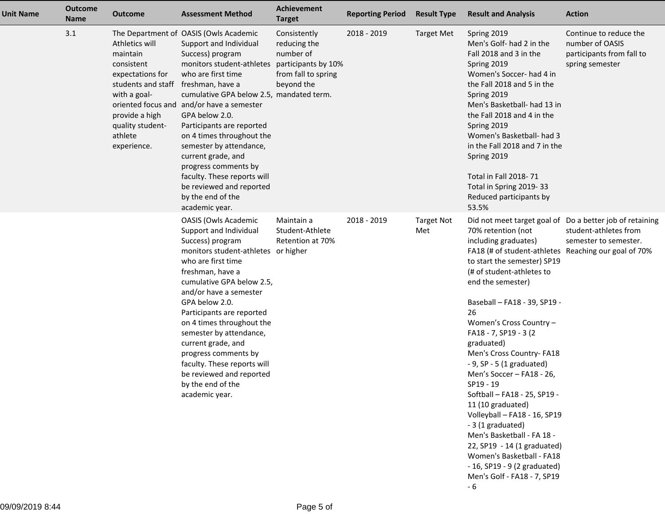| Unit Name | <b>Outcome</b><br><b>Name</b> | <b>Outcome</b>                                                                                                                                                     | <b>Assessment Method</b>                                                                                                                                                                                                                                                                                                                                                                                                                                                                                    | <b>Achievement</b><br><b>Target</b>                                                                   | <b>Reporting Period</b> | <b>Result Type</b>       | <b>Result and Analysis</b>                                                                                                                                                                                                                                                                                                                                                                                                                                                                                                                                                                                                                                                                                                                    | <b>Action</b>                                                                             |
|-----------|-------------------------------|--------------------------------------------------------------------------------------------------------------------------------------------------------------------|-------------------------------------------------------------------------------------------------------------------------------------------------------------------------------------------------------------------------------------------------------------------------------------------------------------------------------------------------------------------------------------------------------------------------------------------------------------------------------------------------------------|-------------------------------------------------------------------------------------------------------|-------------------------|--------------------------|-----------------------------------------------------------------------------------------------------------------------------------------------------------------------------------------------------------------------------------------------------------------------------------------------------------------------------------------------------------------------------------------------------------------------------------------------------------------------------------------------------------------------------------------------------------------------------------------------------------------------------------------------------------------------------------------------------------------------------------------------|-------------------------------------------------------------------------------------------|
|           | 3.1                           | Athletics will<br>maintain<br>consistent<br>expectations for<br>students and staff<br>with a goal-<br>provide a high<br>quality student-<br>athlete<br>experience. | The Department of OASIS (Owls Academic<br>Support and Individual<br>Success) program<br>monitors student-athletes<br>who are first time<br>freshman, have a<br>cumulative GPA below 2.5, mandated term.<br>oriented focus and and/or have a semester<br>GPA below 2.0.<br>Participants are reported<br>on 4 times throughout the<br>semester by attendance,<br>current grade, and<br>progress comments by<br>faculty. These reports will<br>be reviewed and reported<br>by the end of the<br>academic year. | Consistently<br>reducing the<br>number of<br>participants by 10%<br>from fall to spring<br>beyond the | 2018 - 2019             | <b>Target Met</b>        | Spring 2019<br>Men's Golf- had 2 in the<br>Fall 2018 and 3 in the<br>Spring 2019<br>Women's Soccer- had 4 in<br>the Fall 2018 and 5 in the<br>Spring 2019<br>Men's Basketball- had 13 in<br>the Fall 2018 and 4 in the<br>Spring 2019<br>Women's Basketball- had 3<br>in the Fall 2018 and 7 in the<br>Spring 2019<br>Total in Fall 2018-71<br>Total in Spring 2019-33<br>Reduced participants by<br>53.5%                                                                                                                                                                                                                                                                                                                                    | Continue to reduce the<br>number of OASIS<br>participants from fall to<br>spring semester |
|           |                               |                                                                                                                                                                    | <b>OASIS (Owls Academic</b><br>Support and Individual<br>Success) program<br>monitors student-athletes or higher<br>who are first time<br>freshman, have a<br>cumulative GPA below 2.5,<br>and/or have a semester<br>GPA below 2.0.<br>Participants are reported<br>on 4 times throughout the<br>semester by attendance,<br>current grade, and<br>progress comments by<br>faculty. These reports will<br>be reviewed and reported<br>by the end of the<br>academic year.                                    | Maintain a<br>Student-Athlete<br>Retention at 70%                                                     | 2018 - 2019             | <b>Target Not</b><br>Met | Did not meet target goal of Do a better job of retaining<br>70% retention (not<br>including graduates)<br>FA18 (# of student-athletes Reaching our goal of 70%<br>to start the semester) SP19<br>(# of student-athletes to<br>end the semester)<br>Baseball - FA18 - 39, SP19 -<br>26<br>Women's Cross Country -<br>FA18 - 7, SP19 - 3 (2)<br>graduated)<br>Men's Cross Country- FA18<br>$-9$ , SP $-5$ (1 graduated)<br>Men's Soccer - FA18 - 26,<br>SP19 - 19<br>Softball - FA18 - 25, SP19 -<br>11 (10 graduated)<br>Volleyball - FA18 - 16, SP19<br>- 3 (1 graduated)<br>Men's Basketball - FA 18 -<br>22, SP19 - 14 (1 graduated)<br>Women's Basketball - FA18<br>$-16$ , SP19 $-9$ (2 graduated)<br>Men's Golf - FA18 - 7, SP19<br>$-6$ | student-athletes from<br>semester to semester.                                            |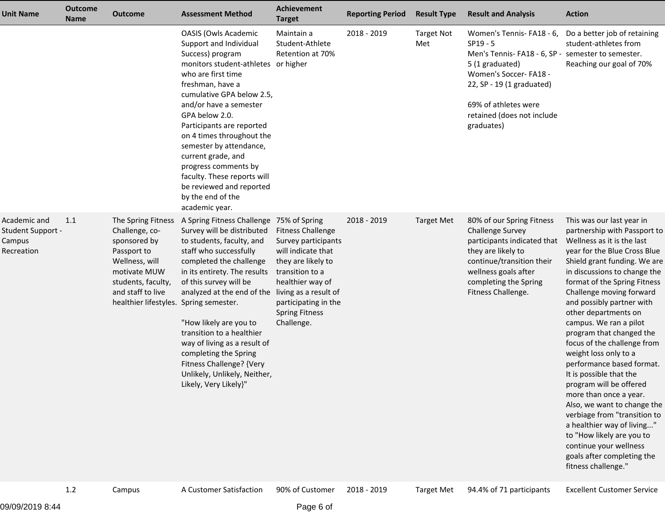| <b>Unit Name</b>                                          | <b>Outcome</b><br><b>Name</b> | <b>Outcome</b>                                                                                                                                                                             | <b>Assessment Method</b>                                                                                                                                                                                                                                                                                                                                                                                                                                                    | Achievement<br><b>Target</b>                                                                                                                                                                      | <b>Reporting Period</b> | <b>Result Type</b>       | <b>Result and Analysis</b>                                                                                                                                                                                                               | <b>Action</b>                                                                                                                                                                                                                                                                                                                                                                                                                                                                                                                                                                                                                                                                                                                                |
|-----------------------------------------------------------|-------------------------------|--------------------------------------------------------------------------------------------------------------------------------------------------------------------------------------------|-----------------------------------------------------------------------------------------------------------------------------------------------------------------------------------------------------------------------------------------------------------------------------------------------------------------------------------------------------------------------------------------------------------------------------------------------------------------------------|---------------------------------------------------------------------------------------------------------------------------------------------------------------------------------------------------|-------------------------|--------------------------|------------------------------------------------------------------------------------------------------------------------------------------------------------------------------------------------------------------------------------------|----------------------------------------------------------------------------------------------------------------------------------------------------------------------------------------------------------------------------------------------------------------------------------------------------------------------------------------------------------------------------------------------------------------------------------------------------------------------------------------------------------------------------------------------------------------------------------------------------------------------------------------------------------------------------------------------------------------------------------------------|
|                                                           |                               |                                                                                                                                                                                            | <b>OASIS (Owls Academic</b><br>Support and Individual<br>Success) program<br>monitors student-athletes or higher<br>who are first time<br>freshman, have a<br>cumulative GPA below 2.5,<br>and/or have a semester<br>GPA below 2.0.<br>Participants are reported<br>on 4 times throughout the<br>semester by attendance,<br>current grade, and<br>progress comments by<br>faculty. These reports will<br>be reviewed and reported<br>by the end of the<br>academic year.    | Maintain a<br>Student-Athlete<br>Retention at 70%                                                                                                                                                 | 2018 - 2019             | <b>Target Not</b><br>Met | Women's Tennis-FA18 - 6,<br>$SP19 - 5$<br>Men's Tennis-FA18 - 6, SP - semester to semester.<br>5 (1 graduated)<br>Women's Soccer-FA18 -<br>22, SP - 19 (1 graduated)<br>69% of athletes were<br>retained (does not include<br>graduates) | Do a better job of retaining<br>student-athletes from<br>Reaching our goal of 70%                                                                                                                                                                                                                                                                                                                                                                                                                                                                                                                                                                                                                                                            |
| Academic and<br>Student Support -<br>Campus<br>Recreation | 1.1                           | The Spring Fitness<br>Challenge, co-<br>sponsored by<br>Passport to<br>Wellness, will<br>motivate MUW<br>students, faculty,<br>and staff to live<br>healthier lifestyles. Spring semester. | A Spring Fitness Challenge 75% of Spring<br>Survey will be distributed<br>to students, faculty, and<br>staff who successfully<br>completed the challenge<br>in its entirety. The results<br>of this survey will be<br>analyzed at the end of the living as a result of<br>"How likely are you to<br>transition to a healthier<br>way of living as a result of<br>completing the Spring<br>Fitness Challenge? {Very<br>Unlikely, Unlikely, Neither,<br>Likely, Very Likely}" | <b>Fitness Challenge</b><br>Survey participants<br>will indicate that<br>they are likely to<br>transition to a<br>healthier way of<br>participating in the<br><b>Spring Fitness</b><br>Challenge. | 2018 - 2019             | <b>Target Met</b>        | 80% of our Spring Fitness<br><b>Challenge Survey</b><br>participants indicated that<br>they are likely to<br>continue/transition their<br>wellness goals after<br>completing the Spring<br>Fitness Challenge.                            | This was our last year in<br>partnership with Passport to<br>Wellness as it is the last<br>year for the Blue Cross Blue<br>Shield grant funding. We are<br>in discussions to change the<br>format of the Spring Fitness<br>Challenge moving forward<br>and possibly partner with<br>other departments on<br>campus. We ran a pilot<br>program that changed the<br>focus of the challenge from<br>weight loss only to a<br>performance based format.<br>It is possible that the<br>program will be offered<br>more than once a year.<br>Also, we want to change the<br>verbiage from "transition to<br>a healthier way of living"<br>to "How likely are you to<br>continue your wellness<br>goals after completing the<br>fitness challenge." |

1.2

Campus A Customer Satisfaction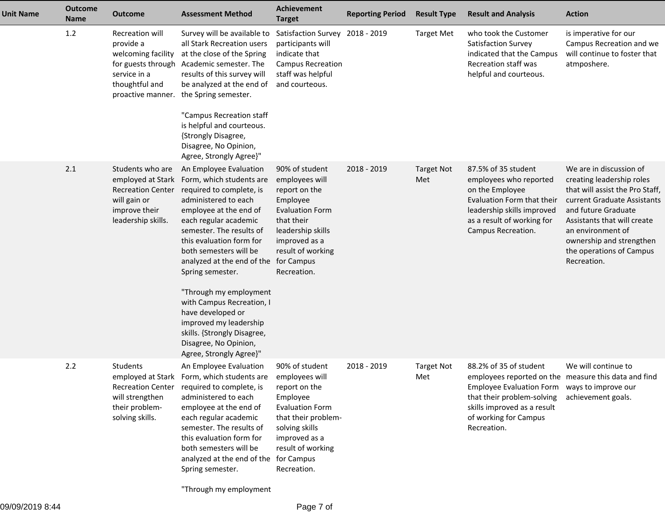| <b>Unit Name</b> | <b>Outcome</b><br>Name | <b>Outcome</b>                                                                                                                  | <b>Assessment Method</b>                                                                                                                                                                                                                                                                                                                                                                                                                                                                          | <b>Achievement</b><br><b>Target</b>                                                                                                                                                   | <b>Reporting Period</b> | <b>Result Type</b>       | <b>Result and Analysis</b>                                                                                                                                                                                                          | <b>Action</b>                                                                                                                                                                                                                                                            |
|------------------|------------------------|---------------------------------------------------------------------------------------------------------------------------------|---------------------------------------------------------------------------------------------------------------------------------------------------------------------------------------------------------------------------------------------------------------------------------------------------------------------------------------------------------------------------------------------------------------------------------------------------------------------------------------------------|---------------------------------------------------------------------------------------------------------------------------------------------------------------------------------------|-------------------------|--------------------------|-------------------------------------------------------------------------------------------------------------------------------------------------------------------------------------------------------------------------------------|--------------------------------------------------------------------------------------------------------------------------------------------------------------------------------------------------------------------------------------------------------------------------|
|                  | 1.2                    | Recreation will<br>provide a<br>welcoming facility<br>for guests through<br>service in a<br>thoughtful and<br>proactive manner. | Survey will be available to<br>all Stark Recreation users<br>at the close of the Spring<br>Academic semester. The<br>results of this survey will<br>be analyzed at the end of<br>the Spring semester.<br>"Campus Recreation staff<br>is helpful and courteous.<br>{Strongly Disagree,<br>Disagree, No Opinion,<br>Agree, Strongly Agree}"                                                                                                                                                         | Satisfaction Survey 2018 - 2019<br>participants will<br>indicate that<br><b>Campus Recreation</b><br>staff was helpful<br>and courteous.                                              |                         | <b>Target Met</b>        | who took the Customer<br>Satisfaction Survey<br>indicated that the Campus<br>Recreation staff was<br>helpful and courteous.                                                                                                         | is imperative for our<br>Campus Recreation and we<br>will continue to foster that<br>atmposhere.                                                                                                                                                                         |
|                  | 2.1                    | Students who are<br>employed at Stark<br><b>Recreation Center</b><br>will gain or<br>improve their<br>leadership skills.        | An Employee Evaluation<br>Form, which students are<br>required to complete, is<br>administered to each<br>employee at the end of<br>each regular academic<br>semester. The results of<br>this evaluation form for<br>both semesters will be<br>analyzed at the end of the for Campus<br>Spring semester.<br>"Through my employment<br>with Campus Recreation, I<br>have developed or<br>improved my leadership<br>skills. {Strongly Disagree,<br>Disagree, No Opinion,<br>Agree, Strongly Agree}" | 90% of student<br>employees will<br>report on the<br>Employee<br><b>Evaluation Form</b><br>that their<br>leadership skills<br>improved as a<br>result of working<br>Recreation.       | 2018 - 2019             | <b>Target Not</b><br>Met | 87.5% of 35 student<br>employees who reported<br>on the Employee<br>Evaluation Form that their<br>leadership skills improved<br>as a result of working for<br>Campus Recreation.                                                    | We are in discussion of<br>creating leadership roles<br>that will assist the Pro Staff,<br>current Graduate Assistants<br>and future Graduate<br>Assistants that will create<br>an environment of<br>ownership and strengthen<br>the operations of Campus<br>Recreation. |
|                  | 2.2                    | Students<br><b>Recreation Center</b><br>will strengthen<br>their problem-<br>solving skills.                                    | An Employee Evaluation<br>employed at Stark Form, which students are<br>required to complete, is<br>administered to each<br>employee at the end of<br>each regular academic<br>semester. The results of<br>this evaluation form for<br>both semesters will be<br>analyzed at the end of the for Campus<br>Spring semester.                                                                                                                                                                        | 90% of student<br>employees will<br>report on the<br>Employee<br><b>Evaluation Form</b><br>that their problem-<br>solving skills<br>improved as a<br>result of working<br>Recreation. | 2018 - 2019             | <b>Target Not</b><br>Met | 88.2% of 35 of student<br>employees reported on the measure this data and find<br>Employee Evaluation Form ways to improve our<br>that their problem-solving<br>skills improved as a result<br>of working for Campus<br>Recreation. | We will continue to<br>achievement goals.                                                                                                                                                                                                                                |

"Through my employment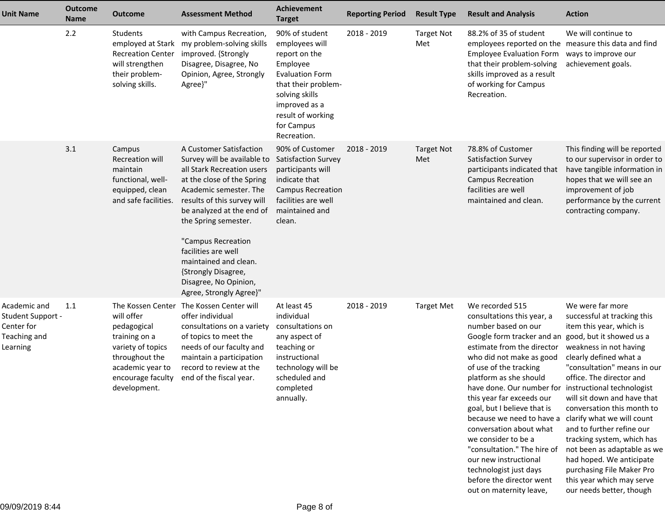| <b>Unit Name</b>                                                                   | <b>Outcome</b><br>Name | <b>Outcome</b>                                                                                                                                                  | <b>Assessment Method</b>                                                                                                                                                                                                                                                                                                                                                          | Achievement<br><b>Target</b>                                                                                                                                                                        | <b>Reporting Period</b> | <b>Result Type</b>       | <b>Result and Analysis</b>                                                                                                                                                                                                                                                                                                                                                                                                                                                                                                                                   | <b>Action</b>                                                                                                                                                                                                                                                                                                                                                                                                                                                                                                                 |
|------------------------------------------------------------------------------------|------------------------|-----------------------------------------------------------------------------------------------------------------------------------------------------------------|-----------------------------------------------------------------------------------------------------------------------------------------------------------------------------------------------------------------------------------------------------------------------------------------------------------------------------------------------------------------------------------|-----------------------------------------------------------------------------------------------------------------------------------------------------------------------------------------------------|-------------------------|--------------------------|--------------------------------------------------------------------------------------------------------------------------------------------------------------------------------------------------------------------------------------------------------------------------------------------------------------------------------------------------------------------------------------------------------------------------------------------------------------------------------------------------------------------------------------------------------------|-------------------------------------------------------------------------------------------------------------------------------------------------------------------------------------------------------------------------------------------------------------------------------------------------------------------------------------------------------------------------------------------------------------------------------------------------------------------------------------------------------------------------------|
|                                                                                    | 2.2                    | Students<br>employed at Stark<br><b>Recreation Center</b><br>will strengthen<br>their problem-<br>solving skills.                                               | with Campus Recreation,<br>my problem-solving skills<br>improved. {Strongly<br>Disagree, Disagree, No<br>Opinion, Agree, Strongly<br>Agree}"                                                                                                                                                                                                                                      | 90% of student<br>employees will<br>report on the<br>Employee<br><b>Evaluation Form</b><br>that their problem-<br>solving skills<br>improved as a<br>result of working<br>for Campus<br>Recreation. | 2018 - 2019             | <b>Target Not</b><br>Met | 88.2% of 35 of student<br>employees reported on the measure this data and find<br><b>Employee Evaluation Form</b><br>that their problem-solving<br>skills improved as a result<br>of working for Campus<br>Recreation.                                                                                                                                                                                                                                                                                                                                       | We will continue to<br>ways to improve our<br>achievement goals.                                                                                                                                                                                                                                                                                                                                                                                                                                                              |
|                                                                                    | 3.1                    | Campus<br>Recreation will<br>maintain<br>functional, well-<br>equipped, clean<br>and safe facilities.                                                           | A Customer Satisfaction<br>Survey will be available to<br>all Stark Recreation users<br>at the close of the Spring<br>Academic semester. The<br>results of this survey will<br>be analyzed at the end of<br>the Spring semester.<br>"Campus Recreation<br>facilities are well<br>maintained and clean.<br>{Strongly Disagree,<br>Disagree, No Opinion,<br>Agree, Strongly Agree}" | 90% of Customer<br><b>Satisfaction Survey</b><br>participants will<br>indicate that<br><b>Campus Recreation</b><br>facilities are well<br>maintained and<br>clean.                                  | 2018 - 2019             | <b>Target Not</b><br>Met | 78.8% of Customer<br>Satisfaction Survey<br>participants indicated that<br><b>Campus Recreation</b><br>facilities are well<br>maintained and clean.                                                                                                                                                                                                                                                                                                                                                                                                          | This finding will be reported<br>to our supervisor in order to<br>have tangible information in<br>hopes that we will see an<br>improvement of job<br>performance by the current<br>contracting company.                                                                                                                                                                                                                                                                                                                       |
| Academic and<br><b>Student Support -</b><br>Center for<br>Teaching and<br>Learning | 1.1                    | The Kossen Center<br>will offer<br>pedagogical<br>training on a<br>variety of topics<br>throughout the<br>academic year to<br>encourage faculty<br>development. | The Kossen Center will<br>offer individual<br>consultations on a variety<br>of topics to meet the<br>needs of our faculty and<br>maintain a participation<br>record to review at the<br>end of the fiscal year.                                                                                                                                                                   | At least 45<br>individual<br>consultations on<br>any aspect of<br>teaching or<br>instructional<br>technology will be<br>scheduled and<br>completed<br>annually.                                     | 2018 - 2019             | <b>Target Met</b>        | We recorded 515<br>consultations this year, a<br>number based on our<br>Google form tracker and an<br>estimate from the director<br>who did not make as good<br>of use of the tracking<br>platform as she should<br>have done. Our number for instructional technologist<br>this year far exceeds our<br>goal, but I believe that is<br>because we need to have a<br>conversation about what<br>we consider to be a<br>"consultation." The hire of<br>our new instructional<br>technologist just days<br>before the director went<br>out on maternity leave, | We were far more<br>successful at tracking this<br>item this year, which is<br>good, but it showed us a<br>weakness in not having<br>clearly defined what a<br>"consultation" means in our<br>office. The director and<br>will sit down and have that<br>conversation this month to<br>clarify what we will count<br>and to further refine our<br>tracking system, which has<br>not been as adaptable as we<br>had hoped. We anticipate<br>purchasing File Maker Pro<br>this year which may serve<br>our needs better, though |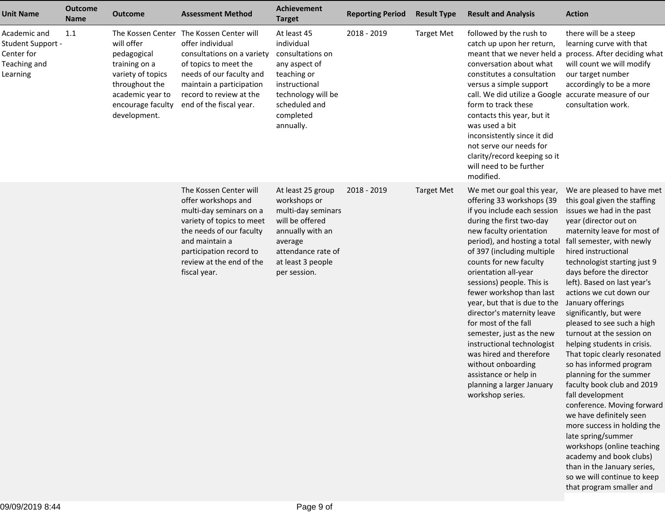| <b>Unit Name</b>                                                            | <b>Outcome</b><br><b>Name</b> | <b>Outcome</b>                                                                                                                                                  | <b>Assessment Method</b>                                                                                                                                                                                                   | Achievement<br><b>Target</b>                                                                                                                                         | <b>Reporting Period</b> | <b>Result Type</b> | <b>Result and Analysis</b>                                                                                                                                                                                                                                                                                                                                                                                                                                                                                                                                                                         | <b>Action</b>                                                                                                                                                                                                                                                                                                                                                                                                                                                                                                                                                                                                                                                                                                                                                                                                                                                                |
|-----------------------------------------------------------------------------|-------------------------------|-----------------------------------------------------------------------------------------------------------------------------------------------------------------|----------------------------------------------------------------------------------------------------------------------------------------------------------------------------------------------------------------------------|----------------------------------------------------------------------------------------------------------------------------------------------------------------------|-------------------------|--------------------|----------------------------------------------------------------------------------------------------------------------------------------------------------------------------------------------------------------------------------------------------------------------------------------------------------------------------------------------------------------------------------------------------------------------------------------------------------------------------------------------------------------------------------------------------------------------------------------------------|------------------------------------------------------------------------------------------------------------------------------------------------------------------------------------------------------------------------------------------------------------------------------------------------------------------------------------------------------------------------------------------------------------------------------------------------------------------------------------------------------------------------------------------------------------------------------------------------------------------------------------------------------------------------------------------------------------------------------------------------------------------------------------------------------------------------------------------------------------------------------|
| Academic and<br>Student Support -<br>Center for<br>Teaching and<br>Learning | 1.1                           | The Kossen Center<br>will offer<br>pedagogical<br>training on a<br>variety of topics<br>throughout the<br>academic year to<br>encourage faculty<br>development. | The Kossen Center will<br>offer individual<br>consultations on a variety<br>of topics to meet the<br>needs of our faculty and<br>maintain a participation<br>record to review at the<br>end of the fiscal year.            | At least 45<br>individual<br>consultations on<br>any aspect of<br>teaching or<br>instructional<br>technology will be<br>scheduled and<br>completed<br>annually.      | 2018 - 2019             | <b>Target Met</b>  | followed by the rush to<br>catch up upon her return,<br>conversation about what<br>constitutes a consultation<br>versus a simple support<br>call. We did utilize a Google accurate measure of our<br>form to track these<br>contacts this year, but it<br>was used a bit<br>inconsistently since it did<br>not serve our needs for<br>clarity/record keeping so it<br>will need to be further<br>modified.                                                                                                                                                                                         | there will be a steep<br>learning curve with that<br>meant that we never held a process. After deciding what<br>will count we will modify<br>our target number<br>accordingly to be a more<br>consultation work.                                                                                                                                                                                                                                                                                                                                                                                                                                                                                                                                                                                                                                                             |
|                                                                             |                               |                                                                                                                                                                 | The Kossen Center will<br>offer workshops and<br>multi-day seminars on a<br>variety of topics to meet<br>the needs of our faculty<br>and maintain a<br>participation record to<br>review at the end of the<br>fiscal year. | At least 25 group<br>workshops or<br>multi-day seminars<br>will be offered<br>annually with an<br>average<br>attendance rate of<br>at least 3 people<br>per session. | 2018 - 2019             | <b>Target Met</b>  | We met our goal this year,<br>offering 33 workshops (39<br>if you include each session<br>during the first two-day<br>new faculty orientation<br>period), and hosting a total<br>of 397 (including multiple<br>counts for new faculty<br>orientation all-year<br>sessions) people. This is<br>fewer workshop than last<br>year, but that is due to the<br>director's maternity leave<br>for most of the fall<br>semester, just as the new<br>instructional technologist<br>was hired and therefore<br>without onboarding<br>assistance or help in<br>planning a larger January<br>workshop series. | We are pleased to have met<br>this goal given the staffing<br>issues we had in the past<br>year (director out on<br>maternity leave for most of<br>fall semester, with newly<br>hired instructional<br>technologist starting just 9<br>days before the director<br>left). Based on last year's<br>actions we cut down our<br>January offerings<br>significantly, but were<br>pleased to see such a high<br>turnout at the session on<br>helping students in crisis.<br>That topic clearly resonated<br>so has informed program<br>planning for the summer<br>faculty book club and 2019<br>fall development<br>conference. Moving forward<br>we have definitely seen<br>more success in holding the<br>late spring/summer<br>workshops (online teaching<br>academy and book clubs)<br>than in the January series,<br>so we will continue to keep<br>that program smaller and |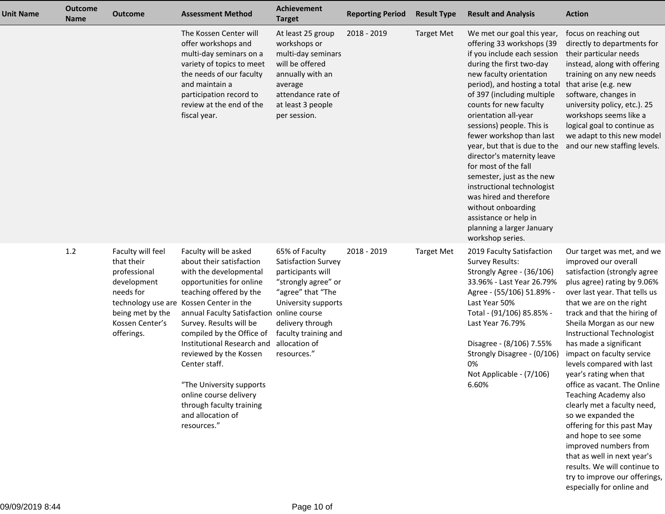| <b>Unit Name</b> | <b>Outcome</b><br>Name | <b>Outcome</b>                                                                                                                   | <b>Assessment Method</b>                                                                                                                                                                                                                                                                                                                                                                                                                                                          | <b>Achievement</b><br><b>Target</b>                                                                                                                                                                       | <b>Reporting Period</b> | <b>Result Type</b> | <b>Result and Analysis</b>                                                                                                                                                                                                                                                                                                                                                                                                                                                                                                                                                                         | <b>Action</b>                                                                                                                                                                                                                                                                                                                                                                                                                                                                                                                                                                                                                                                                                                     |
|------------------|------------------------|----------------------------------------------------------------------------------------------------------------------------------|-----------------------------------------------------------------------------------------------------------------------------------------------------------------------------------------------------------------------------------------------------------------------------------------------------------------------------------------------------------------------------------------------------------------------------------------------------------------------------------|-----------------------------------------------------------------------------------------------------------------------------------------------------------------------------------------------------------|-------------------------|--------------------|----------------------------------------------------------------------------------------------------------------------------------------------------------------------------------------------------------------------------------------------------------------------------------------------------------------------------------------------------------------------------------------------------------------------------------------------------------------------------------------------------------------------------------------------------------------------------------------------------|-------------------------------------------------------------------------------------------------------------------------------------------------------------------------------------------------------------------------------------------------------------------------------------------------------------------------------------------------------------------------------------------------------------------------------------------------------------------------------------------------------------------------------------------------------------------------------------------------------------------------------------------------------------------------------------------------------------------|
|                  |                        |                                                                                                                                  | The Kossen Center will<br>offer workshops and<br>multi-day seminars on a<br>variety of topics to meet<br>the needs of our faculty<br>and maintain a<br>participation record to<br>review at the end of the<br>fiscal year.                                                                                                                                                                                                                                                        | At least 25 group<br>workshops or<br>multi-day seminars<br>will be offered<br>annually with an<br>average<br>attendance rate of<br>at least 3 people<br>per session.                                      | 2018 - 2019             | <b>Target Met</b>  | We met our goal this year,<br>offering 33 workshops (39<br>if you include each session<br>during the first two-day<br>new faculty orientation<br>period), and hosting a total<br>of 397 (including multiple<br>counts for new faculty<br>orientation all-year<br>sessions) people. This is<br>fewer workshop than last<br>year, but that is due to the<br>director's maternity leave<br>for most of the fall<br>semester, just as the new<br>instructional technologist<br>was hired and therefore<br>without onboarding<br>assistance or help in<br>planning a larger January<br>workshop series. | focus on reaching out<br>directly to departments for<br>their particular needs<br>instead, along with offering<br>training on any new needs<br>that arise (e.g. new<br>software, changes in<br>university policy, etc.). 25<br>workshops seems like a<br>logical goal to continue as<br>we adapt to this new model<br>and our new staffing levels.                                                                                                                                                                                                                                                                                                                                                                |
|                  | 1.2                    | Faculty will feel<br>that their<br>professional<br>development<br>needs for<br>being met by the<br>Kossen Center's<br>offerings. | Faculty will be asked<br>about their satisfaction<br>with the developmental<br>opportunities for online<br>teaching offered by the<br>technology use are Kossen Center in the<br>annual Faculty Satisfaction online course<br>Survey. Results will be<br>compiled by the Office of<br>Institutional Research and<br>reviewed by the Kossen<br>Center staff.<br>"The University supports<br>online course delivery<br>through faculty training<br>and allocation of<br>resources." | 65% of Faculty<br>Satisfaction Survey<br>participants will<br>"strongly agree" or<br>"agree" that "The<br>University supports<br>delivery through<br>faculty training and<br>allocation of<br>resources." | 2018 - 2019             | <b>Target Met</b>  | 2019 Faculty Satisfaction<br><b>Survey Results:</b><br>Strongly Agree - (36/106)<br>33.96% - Last Year 26.79%<br>Agree - (55/106) 51.89% -<br>Last Year 50%<br>Total - (91/106) 85.85% -<br>Last Year 76.79%<br>Disagree - (8/106) 7.55%<br>Strongly Disagree - (0/106)<br>0%<br>Not Applicable - (7/106)<br>6.60%                                                                                                                                                                                                                                                                                 | Our target was met, and we<br>improved our overall<br>satisfaction (strongly agree<br>plus agree) rating by 9.06%<br>over last year. That tells us<br>that we are on the right<br>track and that the hiring of<br>Sheila Morgan as our new<br>Instructional Technologist<br>has made a significant<br>impact on faculty service<br>levels compared with last<br>year's rating when that<br>office as vacant. The Online<br>Teaching Academy also<br>clearly met a faculty need,<br>so we expanded the<br>offering for this past May<br>and hope to see some<br>improved numbers from<br>that as well in next year's<br>results. We will continue to<br>try to improve our offerings,<br>especially for online and |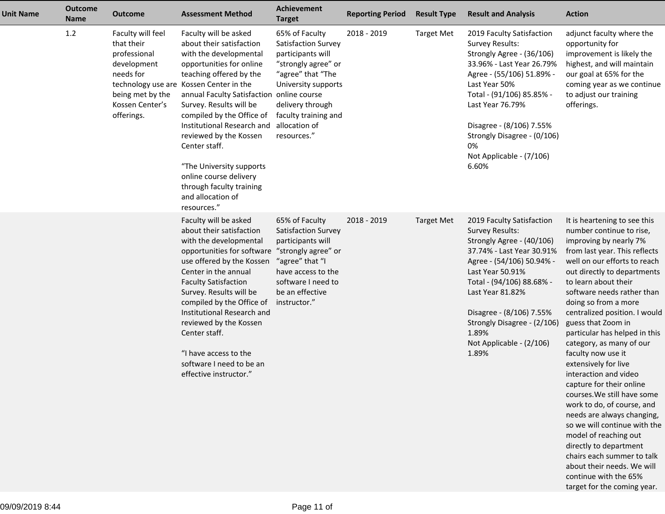| <b>Unit Name</b> | <b>Outcome</b><br><b>Name</b> | <b>Outcome</b>                                                                                                                   | <b>Assessment Method</b>                                                                                                                                                                                                                                                                                                                                                                                                                                                          | Achievement<br><b>Target</b>                                                                                                                                                                              | <b>Reporting Period</b> | <b>Result Type</b> | <b>Result and Analysis</b>                                                                                                                                                                                                                                                                                               | <b>Action</b>                                                                                                                                                                                                                                                                                                                                                                                                                                                                                                                                                                                                                                                                                                                                              |
|------------------|-------------------------------|----------------------------------------------------------------------------------------------------------------------------------|-----------------------------------------------------------------------------------------------------------------------------------------------------------------------------------------------------------------------------------------------------------------------------------------------------------------------------------------------------------------------------------------------------------------------------------------------------------------------------------|-----------------------------------------------------------------------------------------------------------------------------------------------------------------------------------------------------------|-------------------------|--------------------|--------------------------------------------------------------------------------------------------------------------------------------------------------------------------------------------------------------------------------------------------------------------------------------------------------------------------|------------------------------------------------------------------------------------------------------------------------------------------------------------------------------------------------------------------------------------------------------------------------------------------------------------------------------------------------------------------------------------------------------------------------------------------------------------------------------------------------------------------------------------------------------------------------------------------------------------------------------------------------------------------------------------------------------------------------------------------------------------|
|                  | 1.2                           | Faculty will feel<br>that their<br>professional<br>development<br>needs for<br>being met by the<br>Kossen Center's<br>offerings. | Faculty will be asked<br>about their satisfaction<br>with the developmental<br>opportunities for online<br>teaching offered by the<br>technology use are Kossen Center in the<br>annual Faculty Satisfaction online course<br>Survey. Results will be<br>compiled by the Office of<br>Institutional Research and<br>reviewed by the Kossen<br>Center staff.<br>"The University supports<br>online course delivery<br>through faculty training<br>and allocation of<br>resources." | 65% of Faculty<br>Satisfaction Survey<br>participants will<br>"strongly agree" or<br>"agree" that "The<br>University supports<br>delivery through<br>faculty training and<br>allocation of<br>resources." | 2018 - 2019             | <b>Target Met</b>  | 2019 Faculty Satisfaction<br><b>Survey Results:</b><br>Strongly Agree - (36/106)<br>33.96% - Last Year 26.79%<br>Agree - (55/106) 51.89% -<br>Last Year 50%<br>Total - (91/106) 85.85% -<br>Last Year 76.79%<br>Disagree - (8/106) 7.55%<br>Strongly Disagree - (0/106)<br>0%<br>Not Applicable - (7/106)<br>6.60%       | adjunct faculty where the<br>opportunity for<br>improvement is likely the<br>highest, and will maintain<br>our goal at 65% for the<br>coming year as we continue<br>to adjust our training<br>offerings.                                                                                                                                                                                                                                                                                                                                                                                                                                                                                                                                                   |
|                  |                               |                                                                                                                                  | Faculty will be asked<br>about their satisfaction<br>with the developmental<br>opportunities for software "strongly agree" or<br>use offered by the Kossen<br>Center in the annual<br><b>Faculty Satisfaction</b><br>Survey. Results will be<br>compiled by the Office of<br>Institutional Research and<br>reviewed by the Kossen<br>Center staff.<br>"I have access to the<br>software I need to be an<br>effective instructor."                                                 | 65% of Faculty<br>Satisfaction Survey<br>participants will<br>"agree" that "I<br>have access to the<br>software I need to<br>be an effective<br>instructor."                                              | 2018 - 2019             | <b>Target Met</b>  | 2019 Faculty Satisfaction<br><b>Survey Results:</b><br>Strongly Agree - (40/106)<br>37.74% - Last Year 30.91%<br>Agree - (54/106) 50.94% -<br>Last Year 50.91%<br>Total - (94/106) 88.68% -<br>Last Year 81.82%<br>Disagree - (8/106) 7.55%<br>Strongly Disagree - (2/106)<br>1.89%<br>Not Applicable - (2/106)<br>1.89% | It is heartening to see this<br>number continue to rise,<br>improving by nearly 7%<br>from last year. This reflects<br>well on our efforts to reach<br>out directly to departments<br>to learn about their<br>software needs rather than<br>doing so from a more<br>centralized position. I would<br>guess that Zoom in<br>particular has helped in this<br>category, as many of our<br>faculty now use it<br>extensively for live<br>interaction and video<br>capture for their online<br>courses. We still have some<br>work to do, of course, and<br>needs are always changing,<br>so we will continue with the<br>model of reaching out<br>directly to department<br>chairs each summer to talk<br>about their needs. We will<br>continue with the 65% |

target for the coming year.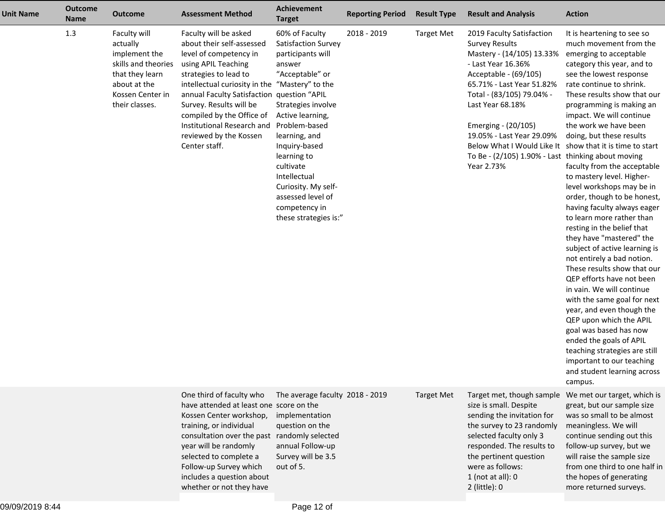| <b>Unit Name</b> | <b>Outcome</b><br><b>Name</b> | <b>Outcome</b>                                                                                                                            | <b>Assessment Method</b>                                                                                                                                                                                                                                                                                                                                      | Achievement<br><b>Target</b>                                                                                                                                                                                                                                                                                           | <b>Reporting Period</b> | <b>Result Type</b> | <b>Result and Analysis</b>                                                                                                                                                                                                                                                                                                                                                                         | <b>Action</b>                                                                                                                                                                                                                                                                                                                                                                                                                                                                                                                                                                                                                                                                                                                                                                                                                                                                                                                                                             |
|------------------|-------------------------------|-------------------------------------------------------------------------------------------------------------------------------------------|---------------------------------------------------------------------------------------------------------------------------------------------------------------------------------------------------------------------------------------------------------------------------------------------------------------------------------------------------------------|------------------------------------------------------------------------------------------------------------------------------------------------------------------------------------------------------------------------------------------------------------------------------------------------------------------------|-------------------------|--------------------|----------------------------------------------------------------------------------------------------------------------------------------------------------------------------------------------------------------------------------------------------------------------------------------------------------------------------------------------------------------------------------------------------|---------------------------------------------------------------------------------------------------------------------------------------------------------------------------------------------------------------------------------------------------------------------------------------------------------------------------------------------------------------------------------------------------------------------------------------------------------------------------------------------------------------------------------------------------------------------------------------------------------------------------------------------------------------------------------------------------------------------------------------------------------------------------------------------------------------------------------------------------------------------------------------------------------------------------------------------------------------------------|
|                  | 1.3                           | Faculty will<br>actually<br>implement the<br>skills and theories<br>that they learn<br>about at the<br>Kossen Center in<br>their classes. | Faculty will be asked<br>about their self-assessed<br>level of competency in<br>using APIL Teaching<br>strategies to lead to<br>intellectual curiosity in the "Mastery" to the<br>annual Faculty Satisfaction question "APIL<br>Survey. Results will be<br>compiled by the Office of<br>Institutional Research and<br>reviewed by the Kossen<br>Center staff. | 60% of Faculty<br>Satisfaction Survey<br>participants will<br>answer<br>"Acceptable" or<br>Strategies involve<br>Active learning,<br>Problem-based<br>learning, and<br>Inquiry-based<br>learning to<br>cultivate<br>Intellectual<br>Curiosity. My self-<br>assessed level of<br>competency in<br>these strategies is:" | 2018 - 2019             | <b>Target Met</b>  | 2019 Faculty Satisfaction<br><b>Survey Results</b><br>Mastery - (14/105) 13.33%<br>- Last Year 16.36%<br>Acceptable - (69/105)<br>65.71% - Last Year 51.82%<br>Total - (83/105) 79.04% -<br>Last Year 68.18%<br>Emerging - (20/105)<br>19.05% - Last Year 29.09%<br>Below What I Would Like It show that it is time to start<br>To Be - $(2/105)$ 1.90% - Last thinking about moving<br>Year 2.73% | It is heartening to see so<br>much movement from the<br>emerging to acceptable<br>category this year, and to<br>see the lowest response<br>rate continue to shrink.<br>These results show that our<br>programming is making an<br>impact. We will continue<br>the work we have been<br>doing, but these results<br>faculty from the acceptable<br>to mastery level. Higher-<br>level workshops may be in<br>order, though to be honest,<br>having faculty always eager<br>to learn more rather than<br>resting in the belief that<br>they have "mastered" the<br>subject of active learning is<br>not entirely a bad notion.<br>These results show that our<br>QEP efforts have not been<br>in vain. We will continue<br>with the same goal for next<br>year, and even though the<br>QEP upon which the APIL<br>goal was based has now<br>ended the goals of APIL<br>teaching strategies are still<br>important to our teaching<br>and student learning across<br>campus. |
|                  |                               |                                                                                                                                           | One third of faculty who<br>have attended at least one score on the<br>Kossen Center workshop,<br>training, or individual<br>consultation over the past randomly selected<br>year will be randomly<br>selected to complete a<br>Follow-up Survey which<br>includes a question about<br>whether or not they have                                               | The average faculty 2018 - 2019<br>implementation<br>question on the<br>annual Follow-up<br>Survey will be 3.5<br>out of 5.                                                                                                                                                                                            |                         | <b>Target Met</b>  | Target met, though sample<br>size is small. Despite<br>sending the invitation for<br>the survey to 23 randomly<br>selected faculty only 3<br>responded. The results to<br>the pertinent question<br>were as follows:<br>$1$ (not at all): 0<br>$2$ (little): $0$                                                                                                                                   | We met our target, which is<br>great, but our sample size<br>was so small to be almost<br>meaningless. We will<br>continue sending out this<br>follow-up survey, but we<br>will raise the sample size<br>from one third to one half in<br>the hopes of generating<br>more returned surveys.                                                                                                                                                                                                                                                                                                                                                                                                                                                                                                                                                                                                                                                                               |

more returned surveys.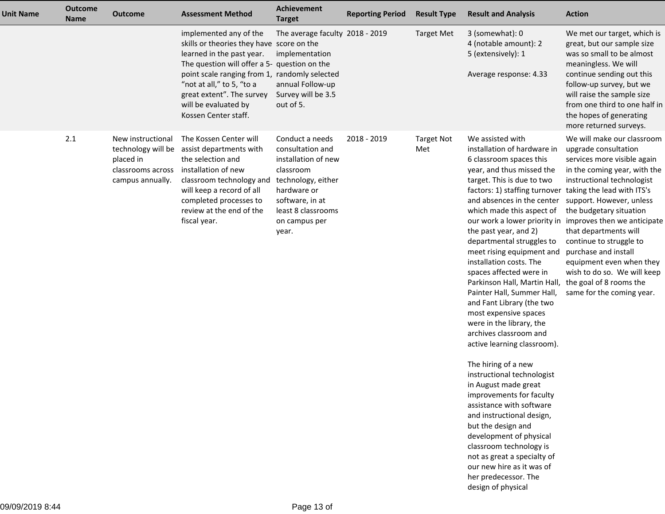| <b>Unit Name</b> | <b>Outcome</b><br><b>Name</b> | <b>Outcome</b>                                                                                | <b>Assessment Method</b>                                                                                                                                                                                                                                                                                    | Achievement<br><b>Target</b>                                                                                                                                                    | <b>Reporting Period</b> | <b>Result Type</b>       | <b>Result and Analysis</b>                                                                                                                                                                                                                                                                                                                                                                                                                                                                                                                                                                                                                                                                                                                                                                                                                                                                                                                                                  | <b>Action</b>                                                                                                                                                                                                                                                                                                                                                                                                                                                      |
|------------------|-------------------------------|-----------------------------------------------------------------------------------------------|-------------------------------------------------------------------------------------------------------------------------------------------------------------------------------------------------------------------------------------------------------------------------------------------------------------|---------------------------------------------------------------------------------------------------------------------------------------------------------------------------------|-------------------------|--------------------------|-----------------------------------------------------------------------------------------------------------------------------------------------------------------------------------------------------------------------------------------------------------------------------------------------------------------------------------------------------------------------------------------------------------------------------------------------------------------------------------------------------------------------------------------------------------------------------------------------------------------------------------------------------------------------------------------------------------------------------------------------------------------------------------------------------------------------------------------------------------------------------------------------------------------------------------------------------------------------------|--------------------------------------------------------------------------------------------------------------------------------------------------------------------------------------------------------------------------------------------------------------------------------------------------------------------------------------------------------------------------------------------------------------------------------------------------------------------|
|                  |                               |                                                                                               | implemented any of the<br>skills or theories they have score on the<br>learned in the past year.<br>The question will offer a 5- question on the<br>point scale ranging from 1, randomly selected<br>"not at all," to 5, "to a<br>great extent". The survey<br>will be evaluated by<br>Kossen Center staff. | The average faculty 2018 - 2019<br>implementation<br>annual Follow-up<br>Survey will be 3.5<br>out of 5.                                                                        |                         | <b>Target Met</b>        | 3 (somewhat): 0<br>4 (notable amount): 2<br>5 (extensively): 1<br>Average response: 4.33                                                                                                                                                                                                                                                                                                                                                                                                                                                                                                                                                                                                                                                                                                                                                                                                                                                                                    | We met our target, which is<br>great, but our sample size<br>was so small to be almost<br>meaningless. We will<br>continue sending out this<br>follow-up survey, but we<br>will raise the sample size<br>from one third to one half in<br>the hopes of generating<br>more returned surveys.                                                                                                                                                                        |
|                  | 2.1                           | New instructional<br>technology will be<br>placed in<br>classrooms across<br>campus annually. | The Kossen Center will<br>assist departments with<br>the selection and<br>installation of new<br>classroom technology and<br>will keep a record of all<br>completed processes to<br>review at the end of the<br>fiscal year.                                                                                | Conduct a needs<br>consultation and<br>installation of new<br>classroom<br>technology, either<br>hardware or<br>software, in at<br>least 8 classrooms<br>on campus per<br>year. | 2018 - 2019             | <b>Target Not</b><br>Met | We assisted with<br>installation of hardware in<br>6 classroom spaces this<br>year, and thus missed the<br>target. This is due to two<br>factors: 1) staffing turnover<br>and absences in the center<br>which made this aspect of<br>our work a lower priority in<br>the past year, and 2)<br>departmental struggles to<br>meet rising equipment and<br>installation costs. The<br>spaces affected were in<br>Parkinson Hall, Martin Hall,<br>Painter Hall, Summer Hall,<br>and Fant Library (the two<br>most expensive spaces<br>were in the library, the<br>archives classroom and<br>active learning classroom).<br>The hiring of a new<br>instructional technologist<br>in August made great<br>improvements for faculty<br>assistance with software<br>and instructional design,<br>but the design and<br>development of physical<br>classroom technology is<br>not as great a specialty of<br>our new hire as it was of<br>her predecessor. The<br>design of physical | We will make our classroom<br>upgrade consultation<br>services more visible again<br>in the coming year, with the<br>instructional technologist<br>taking the lead with ITS's<br>support. However, unless<br>the budgetary situation<br>improves then we anticipate<br>that departments will<br>continue to struggle to<br>purchase and install<br>equipment even when they<br>wish to do so. We will keep<br>the goal of 8 rooms the<br>same for the coming year. |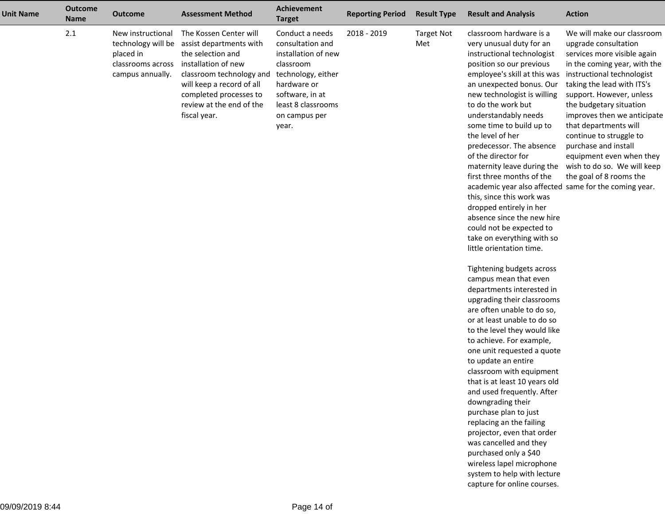| <b>Unit Name</b> | <b>Outcome</b><br><b>Name</b> | <b>Outcome</b>                                                                                | <b>Assessment Method</b>                                                                                                                                                                                                     | Achievement<br><b>Target</b>                                                                                                                                                    | <b>Reporting Period</b> | <b>Result Type</b>       | <b>Result and Analysis</b>                                                                                                                                                                                                                                                                                                                                                                                                                                                                                                                                                                                                                                                                                                                                                                                                                                                                                                                                                                                                                                                                                                                                                                                                                                                                                | <b>Action</b>                                                                                                                                                                                                                                                                                                                                                                                                                         |
|------------------|-------------------------------|-----------------------------------------------------------------------------------------------|------------------------------------------------------------------------------------------------------------------------------------------------------------------------------------------------------------------------------|---------------------------------------------------------------------------------------------------------------------------------------------------------------------------------|-------------------------|--------------------------|-----------------------------------------------------------------------------------------------------------------------------------------------------------------------------------------------------------------------------------------------------------------------------------------------------------------------------------------------------------------------------------------------------------------------------------------------------------------------------------------------------------------------------------------------------------------------------------------------------------------------------------------------------------------------------------------------------------------------------------------------------------------------------------------------------------------------------------------------------------------------------------------------------------------------------------------------------------------------------------------------------------------------------------------------------------------------------------------------------------------------------------------------------------------------------------------------------------------------------------------------------------------------------------------------------------|---------------------------------------------------------------------------------------------------------------------------------------------------------------------------------------------------------------------------------------------------------------------------------------------------------------------------------------------------------------------------------------------------------------------------------------|
|                  | 2.1                           | New instructional<br>technology will be<br>placed in<br>classrooms across<br>campus annually. | The Kossen Center will<br>assist departments with<br>the selection and<br>installation of new<br>classroom technology and<br>will keep a record of all<br>completed processes to<br>review at the end of the<br>fiscal year. | Conduct a needs<br>consultation and<br>installation of new<br>classroom<br>technology, either<br>hardware or<br>software, in at<br>least 8 classrooms<br>on campus per<br>year. | 2018 - 2019             | <b>Target Not</b><br>Met | classroom hardware is a<br>very unusual duty for an<br>instructional technologist<br>position so our previous<br>employee's skill at this was<br>an unexpected bonus. Our<br>new technologist is willing<br>to do the work but<br>understandably needs<br>some time to build up to<br>the level of her<br>predecessor. The absence<br>of the director for<br>maternity leave during the<br>first three months of the<br>academic year also affected same for the coming year.<br>this, since this work was<br>dropped entirely in her<br>absence since the new hire<br>could not be expected to<br>take on everything with so<br>little orientation time.<br>Tightening budgets across<br>campus mean that even<br>departments interested in<br>upgrading their classrooms<br>are often unable to do so,<br>or at least unable to do so<br>to the level they would like<br>to achieve. For example,<br>one unit requested a quote<br>to update an entire<br>classroom with equipment<br>that is at least 10 years old<br>and used frequently. After<br>downgrading their<br>purchase plan to just<br>replacing an the failing<br>projector, even that order<br>was cancelled and they<br>purchased only a \$40<br>wireless lapel microphone<br>system to help with lecture<br>capture for online courses. | We will make our classroom<br>upgrade consultation<br>services more visible again<br>in the coming year, with the<br>instructional technologist<br>taking the lead with ITS's<br>support. However, unless<br>the budgetary situation<br>improves then we anticipate<br>that departments will<br>continue to struggle to<br>purchase and install<br>equipment even when they<br>wish to do so. We will keep<br>the goal of 8 rooms the |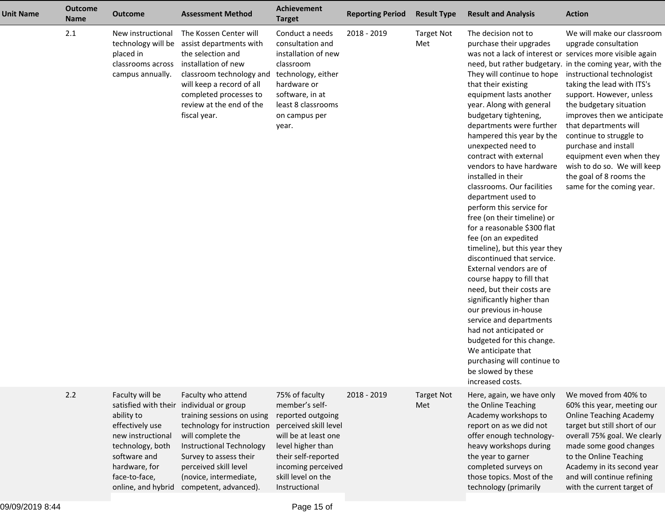| <b>Unit Name</b> | <b>Outcome</b><br><b>Name</b> | <b>Outcome</b>                                                                                                                                                                                                | <b>Assessment Method</b>                                                                                                                                                                                                                        | Achievement<br><b>Target</b>                                                                                                                                                                                    | <b>Reporting Period</b> | <b>Result Type</b>       | <b>Result and Analysis</b>                                                                                                                                                                                                                                                                                                                                                                                                                                                                                                                                                                                                                                                                                                                                                                                                                                                                                                                                                   | <b>Action</b>                                                                                                                                                                                                                                                                                                                                                                                                                                                   |
|------------------|-------------------------------|---------------------------------------------------------------------------------------------------------------------------------------------------------------------------------------------------------------|-------------------------------------------------------------------------------------------------------------------------------------------------------------------------------------------------------------------------------------------------|-----------------------------------------------------------------------------------------------------------------------------------------------------------------------------------------------------------------|-------------------------|--------------------------|------------------------------------------------------------------------------------------------------------------------------------------------------------------------------------------------------------------------------------------------------------------------------------------------------------------------------------------------------------------------------------------------------------------------------------------------------------------------------------------------------------------------------------------------------------------------------------------------------------------------------------------------------------------------------------------------------------------------------------------------------------------------------------------------------------------------------------------------------------------------------------------------------------------------------------------------------------------------------|-----------------------------------------------------------------------------------------------------------------------------------------------------------------------------------------------------------------------------------------------------------------------------------------------------------------------------------------------------------------------------------------------------------------------------------------------------------------|
|                  | 2.1                           | New instructional<br>placed in<br>classrooms across<br>campus annually.                                                                                                                                       | The Kossen Center will<br>technology will be assist departments with<br>the selection and<br>installation of new<br>classroom technology and<br>will keep a record of all<br>completed processes to<br>review at the end of the<br>fiscal year. | Conduct a needs<br>consultation and<br>installation of new<br>classroom<br>technology, either<br>hardware or<br>software, in at<br>least 8 classrooms<br>on campus per<br>year.                                 | 2018 - 2019             | <b>Target Not</b><br>Met | The decision not to<br>purchase their upgrades<br>was not a lack of interest or services more visible again<br>They will continue to hope<br>that their existing<br>equipment lasts another<br>year. Along with general<br>budgetary tightening,<br>departments were further<br>hampered this year by the<br>unexpected need to<br>contract with external<br>vendors to have hardware<br>installed in their<br>classrooms. Our facilities<br>department used to<br>perform this service for<br>free (on their timeline) or<br>for a reasonable \$300 flat<br>fee (on an expedited<br>timeline), but this year they<br>discontinued that service.<br>External vendors are of<br>course happy to fill that<br>need, but their costs are<br>significantly higher than<br>our previous in-house<br>service and departments<br>had not anticipated or<br>budgeted for this change.<br>We anticipate that<br>purchasing will continue to<br>be slowed by these<br>increased costs. | We will make our classroom<br>upgrade consultation<br>need, but rather budgetary. in the coming year, with the<br>instructional technologist<br>taking the lead with ITS's<br>support. However, unless<br>the budgetary situation<br>improves then we anticipate<br>that departments will<br>continue to struggle to<br>purchase and install<br>equipment even when they<br>wish to do so. We will keep<br>the goal of 8 rooms the<br>same for the coming year. |
|                  | 2.2                           | Faculty will be<br>satisfied with their individual or group<br>ability to<br>effectively use<br>new instructional<br>technology, both<br>software and<br>hardware, for<br>face-to-face,<br>online, and hybrid | Faculty who attend<br>training sessions on using<br>technology for instruction<br>will complete the<br>Instructional Technology<br>Survey to assess their<br>perceived skill level<br>(novice, intermediate,<br>competent, advanced).           | 75% of faculty<br>member's self-<br>reported outgoing<br>perceived skill level<br>will be at least one<br>level higher than<br>their self-reported<br>incoming perceived<br>skill level on the<br>Instructional | 2018 - 2019             | <b>Target Not</b><br>Met | Here, again, we have only<br>the Online Teaching<br>Academy workshops to<br>report on as we did not<br>offer enough technology-<br>heavy workshops during<br>the year to garner<br>completed surveys on<br>those topics. Most of the<br>technology (primarily                                                                                                                                                                                                                                                                                                                                                                                                                                                                                                                                                                                                                                                                                                                | We moved from 40% to<br>60% this year, meeting our<br><b>Online Teaching Academy</b><br>target but still short of our<br>overall 75% goal. We clearly<br>made some good changes<br>to the Online Teaching<br>Academy in its second year<br>and will continue refining<br>with the current target of                                                                                                                                                             |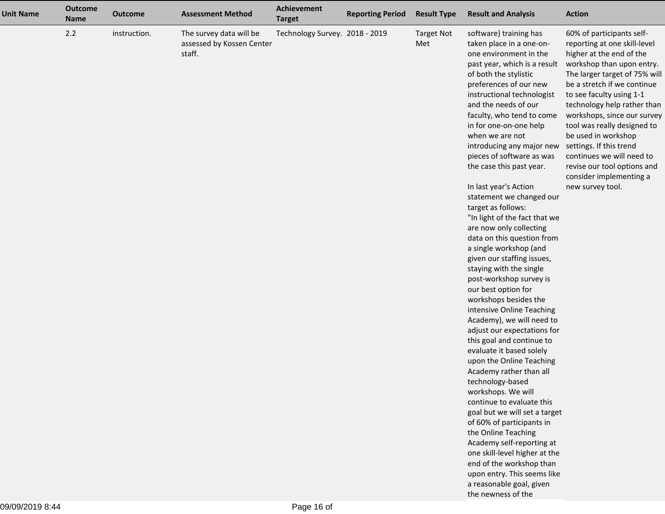| <b>Unit Name</b> | <b>Outcome</b><br><b>Name</b> | <b>Outcome</b> | <b>Assessment Method</b>                                       | Achievement<br><b>Target</b>   | <b>Reporting Period</b> | <b>Result Type</b>       | <b>Result and Analysis</b>                                                                                                                                                                                                                                                                                                                                                                                                                                                                                                                                                                                                                                                                                                                                                                                                                                                                                                                                                                                                                                                                                                                                                                                                                                               | <b>Action</b>                                                                                                                                                                                                                                                                                                                                                                                                                                                            |
|------------------|-------------------------------|----------------|----------------------------------------------------------------|--------------------------------|-------------------------|--------------------------|--------------------------------------------------------------------------------------------------------------------------------------------------------------------------------------------------------------------------------------------------------------------------------------------------------------------------------------------------------------------------------------------------------------------------------------------------------------------------------------------------------------------------------------------------------------------------------------------------------------------------------------------------------------------------------------------------------------------------------------------------------------------------------------------------------------------------------------------------------------------------------------------------------------------------------------------------------------------------------------------------------------------------------------------------------------------------------------------------------------------------------------------------------------------------------------------------------------------------------------------------------------------------|--------------------------------------------------------------------------------------------------------------------------------------------------------------------------------------------------------------------------------------------------------------------------------------------------------------------------------------------------------------------------------------------------------------------------------------------------------------------------|
|                  | 2.2                           | instruction.   | The survey data will be<br>assessed by Kossen Center<br>staff. | Technology Survey. 2018 - 2019 |                         | <b>Target Not</b><br>Met | software) training has<br>taken place in a one-on-<br>one environment in the<br>past year, which is a result<br>of both the stylistic<br>preferences of our new<br>instructional technologist<br>and the needs of our<br>faculty, who tend to come<br>in for one-on-one help<br>when we are not<br>introducing any major new<br>pieces of software as was<br>the case this past year.<br>In last year's Action<br>statement we changed our<br>target as follows:<br>"In light of the fact that we<br>are now only collecting<br>data on this question from<br>a single workshop (and<br>given our staffing issues,<br>staying with the single<br>post-workshop survey is<br>our best option for<br>workshops besides the<br>intensive Online Teaching<br>Academy), we will need to<br>adjust our expectations for<br>this goal and continue to<br>evaluate it based solely<br>upon the Online Teaching<br>Academy rather than all<br>technology-based<br>workshops. We will<br>continue to evaluate this<br>goal but we will set a target<br>of 60% of participants in<br>the Online Teaching<br>Academy self-reporting at<br>one skill-level higher at the<br>end of the workshop than<br>upon entry. This seems like<br>a reasonable goal, given<br>the newness of the | 60% of participants self-<br>reporting at one skill-level<br>higher at the end of the<br>workshop than upon entry.<br>The larger target of 75% will<br>be a stretch if we continue<br>to see faculty using 1-1<br>technology help rather than<br>workshops, since our survey<br>tool was really designed to<br>be used in workshop<br>settings. If this trend<br>continues we will need to<br>revise our tool options and<br>consider implementing a<br>new survey tool. |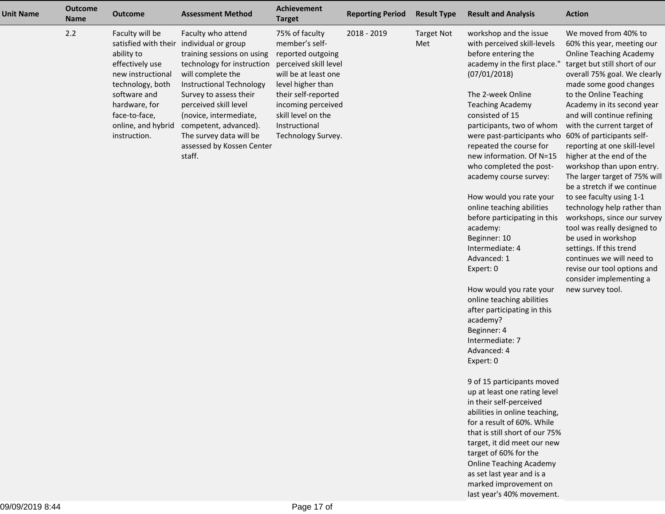| <b>Unit Name</b> | <b>Outcome</b><br><b>Name</b> | <b>Outcome</b>                                                                                                                                                                    | <b>Assessment Method</b>                                                                                                                                                                                                                                                                                                                            | <b>Achievement</b><br><b>Target</b>                                                                                                                                                                                                   | <b>Reporting Period</b> | <b>Result Type</b>       | <b>Result and Analysis</b>                                                                                                                                                                                                                                                                                                                                                                                                                                     | <b>Action</b>                                                                                                                                                                                                                                                                                                                                                                                                                                                                                                                                                                       |
|------------------|-------------------------------|-----------------------------------------------------------------------------------------------------------------------------------------------------------------------------------|-----------------------------------------------------------------------------------------------------------------------------------------------------------------------------------------------------------------------------------------------------------------------------------------------------------------------------------------------------|---------------------------------------------------------------------------------------------------------------------------------------------------------------------------------------------------------------------------------------|-------------------------|--------------------------|----------------------------------------------------------------------------------------------------------------------------------------------------------------------------------------------------------------------------------------------------------------------------------------------------------------------------------------------------------------------------------------------------------------------------------------------------------------|-------------------------------------------------------------------------------------------------------------------------------------------------------------------------------------------------------------------------------------------------------------------------------------------------------------------------------------------------------------------------------------------------------------------------------------------------------------------------------------------------------------------------------------------------------------------------------------|
|                  | 2.2                           | Faculty will be<br>ability to<br>effectively use<br>new instructional<br>technology, both<br>software and<br>hardware, for<br>face-to-face,<br>online, and hybrid<br>instruction. | Faculty who attend<br>satisfied with their individual or group<br>training sessions on using<br>technology for instruction<br>will complete the<br>Instructional Technology<br>Survey to assess their<br>perceived skill level<br>(novice, intermediate,<br>competent, advanced).<br>The survey data will be<br>assessed by Kossen Center<br>staff. | 75% of faculty<br>member's self-<br>reported outgoing<br>perceived skill level<br>will be at least one<br>level higher than<br>their self-reported<br>incoming perceived<br>skill level on the<br>Instructional<br>Technology Survey. | 2018 - 2019             | <b>Target Not</b><br>Met | workshop and the issue<br>with perceived skill-levels<br>before entering the<br>academy in the first place."<br>(07/01/2018)<br>The 2-week Online<br><b>Teaching Academy</b><br>consisted of 15<br>participants, two of whom<br>were past-participants who<br>repeated the course for<br>new information. Of N=15<br>who completed the post-<br>academy course survey:<br>How would you rate your<br>online teaching abilities<br>before participating in this | We moved from 40% to<br>60% this year, meeting our<br><b>Online Teaching Academy</b><br>target but still short of our<br>overall 75% goal. We clearly<br>made some good changes<br>to the Online Teaching<br>Academy in its second year<br>and will continue refining<br>with the current target of<br>60% of participants self-<br>reporting at one skill-level<br>higher at the end of the<br>workshop than upon entry.<br>The larger target of 75% will<br>be a stretch if we continue<br>to see faculty using 1-1<br>technology help rather than<br>workshops, since our survey |
|                  |                               |                                                                                                                                                                                   |                                                                                                                                                                                                                                                                                                                                                     |                                                                                                                                                                                                                                       |                         |                          | academy:<br>Beginner: 10<br>Intermediate: 4<br>Advanced: 1<br>Expert: 0                                                                                                                                                                                                                                                                                                                                                                                        | tool was really designed to<br>be used in workshop<br>settings. If this trend<br>continues we will need to<br>revise our tool options and<br>consider implementing a                                                                                                                                                                                                                                                                                                                                                                                                                |
|                  |                               |                                                                                                                                                                                   |                                                                                                                                                                                                                                                                                                                                                     |                                                                                                                                                                                                                                       |                         |                          | How would you rate your<br>online teaching abilities<br>after participating in this<br>academy?<br>Beginner: 4<br>Intermediate: 7<br>Advanced: 4<br>Expert: 0                                                                                                                                                                                                                                                                                                  | new survey tool.                                                                                                                                                                                                                                                                                                                                                                                                                                                                                                                                                                    |
|                  |                               |                                                                                                                                                                                   |                                                                                                                                                                                                                                                                                                                                                     |                                                                                                                                                                                                                                       |                         |                          | 9 of 15 participants moved<br>up at least one rating level<br>in their self-perceived<br>abilities in online teaching,<br>for a result of 60%. While<br>that is still short of our 75%<br>target, it did meet our new<br>target of 60% for the<br><b>Online Teaching Academy</b><br>as set last year and is a<br>marked improvement on                                                                                                                         |                                                                                                                                                                                                                                                                                                                                                                                                                                                                                                                                                                                     |

last year's 40% movement.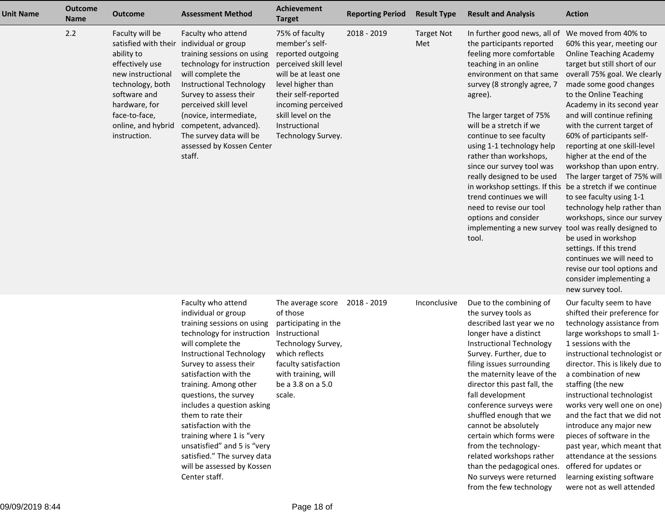| <b>Unit Name</b> | <b>Outcome</b><br><b>Name</b> | <b>Outcome</b>                                                                                                                                                                                            | <b>Assessment Method</b>                                                                                                                                                                                                                                                                                                                                                                                                                                                           | Achievement<br><b>Target</b>                                                                                                                                                                                                          | <b>Reporting Period</b> | <b>Result Type</b>       | <b>Result and Analysis</b>                                                                                                                                                                                                                                                                                                                                                                                                                                                                                                                    | <b>Action</b>                                                                                                                                                                                                                                                                                                                                                                                                                                                                                                                                                                                                                                                                                                                                                                   |
|------------------|-------------------------------|-----------------------------------------------------------------------------------------------------------------------------------------------------------------------------------------------------------|------------------------------------------------------------------------------------------------------------------------------------------------------------------------------------------------------------------------------------------------------------------------------------------------------------------------------------------------------------------------------------------------------------------------------------------------------------------------------------|---------------------------------------------------------------------------------------------------------------------------------------------------------------------------------------------------------------------------------------|-------------------------|--------------------------|-----------------------------------------------------------------------------------------------------------------------------------------------------------------------------------------------------------------------------------------------------------------------------------------------------------------------------------------------------------------------------------------------------------------------------------------------------------------------------------------------------------------------------------------------|---------------------------------------------------------------------------------------------------------------------------------------------------------------------------------------------------------------------------------------------------------------------------------------------------------------------------------------------------------------------------------------------------------------------------------------------------------------------------------------------------------------------------------------------------------------------------------------------------------------------------------------------------------------------------------------------------------------------------------------------------------------------------------|
|                  | 2.2                           | Faculty will be<br>satisfied with their<br>ability to<br>effectively use<br>new instructional<br>technology, both<br>software and<br>hardware, for<br>face-to-face,<br>online, and hybrid<br>instruction. | Faculty who attend<br>individual or group<br>training sessions on using<br>technology for instruction<br>will complete the<br>Instructional Technology<br>Survey to assess their<br>perceived skill level<br>(novice, intermediate,<br>competent, advanced).<br>The survey data will be<br>assessed by Kossen Center<br>staff.                                                                                                                                                     | 75% of faculty<br>member's self-<br>reported outgoing<br>perceived skill level<br>will be at least one<br>level higher than<br>their self-reported<br>incoming perceived<br>skill level on the<br>Instructional<br>Technology Survey. | 2018 - 2019             | <b>Target Not</b><br>Met | In further good news, all of<br>the participants reported<br>feeling more comfortable<br>teaching in an online<br>environment on that same<br>survey (8 strongly agree, 7<br>agree).<br>The larger target of 75%<br>will be a stretch if we<br>continue to see faculty<br>using 1-1 technology help<br>rather than workshops,<br>since our survey tool was<br>really designed to be used<br>in workshop settings. If this<br>trend continues we will<br>need to revise our tool<br>options and consider<br>implementing a new survey<br>tool. | We moved from 40% to<br>60% this year, meeting our<br><b>Online Teaching Academy</b><br>target but still short of our<br>overall 75% goal. We clearly<br>made some good changes<br>to the Online Teaching<br>Academy in its second year<br>and will continue refining<br>with the current target of<br>60% of participants self-<br>reporting at one skill-level<br>higher at the end of the<br>workshop than upon entry.<br>The larger target of 75% will<br>be a stretch if we continue<br>to see faculty using 1-1<br>technology help rather than<br>workshops, since our survey<br>tool was really designed to<br>be used in workshop<br>settings. If this trend<br>continues we will need to<br>revise our tool options and<br>consider implementing a<br>new survey tool. |
|                  |                               |                                                                                                                                                                                                           | Faculty who attend<br>individual or group<br>training sessions on using<br>technology for instruction<br>will complete the<br>Instructional Technology<br>Survey to assess their<br>satisfaction with the<br>training. Among other<br>questions, the survey<br>includes a question asking<br>them to rate their<br>satisfaction with the<br>training where 1 is "very<br>unsatisfied" and 5 is "very<br>satisfied." The survey data<br>will be assessed by Kossen<br>Center staff. | The average score<br>of those<br>participating in the<br>Instructional<br>Technology Survey,<br>which reflects<br>faculty satisfaction<br>with training, will<br>be a 3.8 on a 5.0<br>scale.                                          | 2018 - 2019             | Inconclusive             | Due to the combining of<br>the survey tools as<br>described last year we no<br>longer have a distinct<br>Instructional Technology<br>Survey. Further, due to<br>filing issues surrounding<br>the maternity leave of the<br>director this past fall, the<br>fall development<br>conference surveys were<br>shuffled enough that we<br>cannot be absolutely<br>certain which forms were<br>from the technology-<br>related workshops rather<br>than the pedagogical ones.<br>No surveys were returned<br>from the few technology                | Our faculty seem to have<br>shifted their preference for<br>technology assistance from<br>large workshops to small 1-<br>1 sessions with the<br>instructional technologist or<br>director. This is likely due to<br>a combination of new<br>staffing (the new<br>instructional technologist<br>works very well one on one)<br>and the fact that we did not<br>introduce any major new<br>pieces of software in the<br>past year, which meant that<br>attendance at the sessions<br>offered for updates or<br>learning existing software<br>were not as well attended                                                                                                                                                                                                            |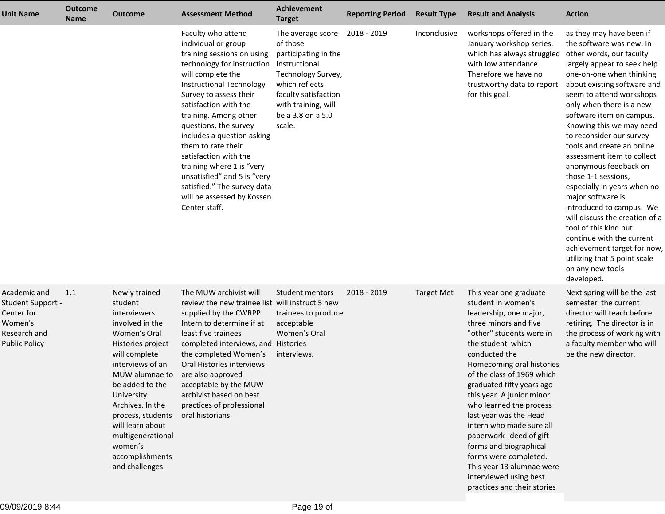| <b>Unit Name</b>                                                                                   | <b>Outcome</b><br><b>Name</b> | <b>Outcome</b>                                                                                                                                                                                                                                                                                                              | <b>Assessment Method</b>                                                                                                                                                                                                                                                                                                                                                                                                                                                                  | Achievement<br><b>Target</b>                                                                                                                                                                             | <b>Reporting Period</b> | <b>Result Type</b> | <b>Result and Analysis</b>                                                                                                                                                                                                                                                                                                                                                                                                                                                                                                                  | <b>Action</b>                                                                                                                                                                                                                                                                                                                                                                                                                                                                                                                                                                                                                                                                                               |
|----------------------------------------------------------------------------------------------------|-------------------------------|-----------------------------------------------------------------------------------------------------------------------------------------------------------------------------------------------------------------------------------------------------------------------------------------------------------------------------|-------------------------------------------------------------------------------------------------------------------------------------------------------------------------------------------------------------------------------------------------------------------------------------------------------------------------------------------------------------------------------------------------------------------------------------------------------------------------------------------|----------------------------------------------------------------------------------------------------------------------------------------------------------------------------------------------------------|-------------------------|--------------------|---------------------------------------------------------------------------------------------------------------------------------------------------------------------------------------------------------------------------------------------------------------------------------------------------------------------------------------------------------------------------------------------------------------------------------------------------------------------------------------------------------------------------------------------|-------------------------------------------------------------------------------------------------------------------------------------------------------------------------------------------------------------------------------------------------------------------------------------------------------------------------------------------------------------------------------------------------------------------------------------------------------------------------------------------------------------------------------------------------------------------------------------------------------------------------------------------------------------------------------------------------------------|
|                                                                                                    |                               |                                                                                                                                                                                                                                                                                                                             | Faculty who attend<br>individual or group<br>training sessions on using<br>technology for instruction<br>will complete the<br><b>Instructional Technology</b><br>Survey to assess their<br>satisfaction with the<br>training. Among other<br>questions, the survey<br>includes a question asking<br>them to rate their<br>satisfaction with the<br>training where 1 is "very<br>unsatisfied" and 5 is "very<br>satisfied." The survey data<br>will be assessed by Kossen<br>Center staff. | The average score 2018 - 2019<br>of those<br>participating in the<br>Instructional<br>Technology Survey,<br>which reflects<br>faculty satisfaction<br>with training, will<br>be a 3.8 on a 5.0<br>scale. |                         | Inconclusive       | workshops offered in the<br>January workshop series,<br>which has always struggled<br>with low attendance.<br>Therefore we have no<br>trustworthy data to report<br>for this goal.                                                                                                                                                                                                                                                                                                                                                          | as they may have been if<br>the software was new. In<br>other words, our faculty<br>largely appear to seek help<br>one-on-one when thinking<br>about existing software and<br>seem to attend workshops<br>only when there is a new<br>software item on campus.<br>Knowing this we may need<br>to reconsider our survey<br>tools and create an online<br>assessment item to collect<br>anonymous feedback on<br>those 1-1 sessions,<br>especially in years when no<br>major software is<br>introduced to campus. We<br>will discuss the creation of a<br>tool of this kind but<br>continue with the current<br>achievement target for now,<br>utilizing that 5 point scale<br>on any new tools<br>developed. |
| Academic and<br>Student Support -<br>Center for<br>Women's<br>Research and<br><b>Public Policy</b> | 1.1                           | Newly trained<br>student<br>interviewers<br>involved in the<br>Women's Oral<br>Histories project<br>will complete<br>interviews of an<br>MUW alumnae to<br>be added to the<br>University<br>Archives. In the<br>process, students<br>will learn about<br>multigenerational<br>women's<br>accomplishments<br>and challenges. | The MUW archivist will<br>review the new trainee list will instruct 5 new<br>supplied by the CWRPP<br>Intern to determine if at<br>least five trainees<br>completed interviews, and Histories<br>the completed Women's<br>Oral Histories interviews<br>are also approved<br>acceptable by the MUW<br>archivist based on best<br>practices of professional<br>oral historians.                                                                                                             | Student mentors<br>trainees to produce<br>acceptable<br>Women's Oral<br>interviews.                                                                                                                      | 2018 - 2019             | <b>Target Met</b>  | This year one graduate<br>student in women's<br>leadership, one major,<br>three minors and five<br>"other" students were in<br>the student which<br>conducted the<br>Homecoming oral histories<br>of the class of 1969 which<br>graduated fifty years ago<br>this year. A junior minor<br>who learned the process<br>last year was the Head<br>intern who made sure all<br>paperwork--deed of gift<br>forms and biographical<br>forms were completed.<br>This year 13 alumnae were<br>interviewed using best<br>practices and their stories | Next spring will be the last<br>semester the current<br>director will teach before<br>retiring. The director is in<br>the process of working with<br>a faculty member who will<br>be the new director.                                                                                                                                                                                                                                                                                                                                                                                                                                                                                                      |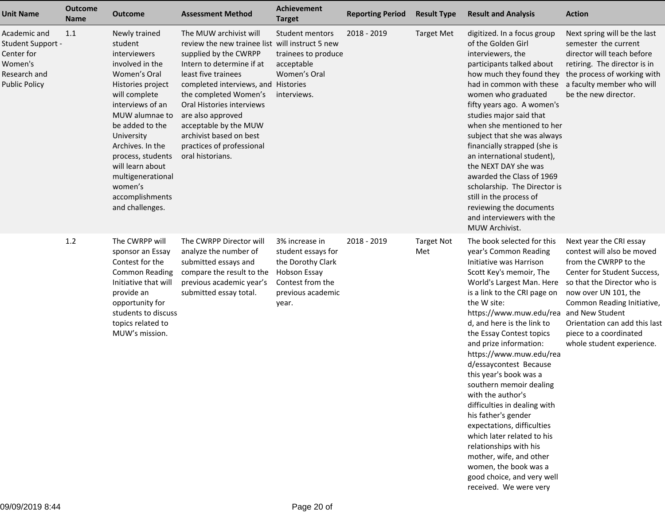| <b>Unit Name</b>                                                                                   | <b>Outcome</b><br><b>Name</b> | <b>Outcome</b>                                                                                                                                                                                                                                                                                                              | <b>Assessment Method</b>                                                                                                                                                                                                                                                                                                                                                      | <b>Achievement</b><br><b>Target</b>                                                                                                | <b>Reporting Period</b> | <b>Result Type</b>       | <b>Result and Analysis</b>                                                                                                                                                                                                                                                                                                                                                                                                                                                                                                                                                                                                                                                                   | <b>Action</b>                                                                                                                                                                                                                                                                                                 |
|----------------------------------------------------------------------------------------------------|-------------------------------|-----------------------------------------------------------------------------------------------------------------------------------------------------------------------------------------------------------------------------------------------------------------------------------------------------------------------------|-------------------------------------------------------------------------------------------------------------------------------------------------------------------------------------------------------------------------------------------------------------------------------------------------------------------------------------------------------------------------------|------------------------------------------------------------------------------------------------------------------------------------|-------------------------|--------------------------|----------------------------------------------------------------------------------------------------------------------------------------------------------------------------------------------------------------------------------------------------------------------------------------------------------------------------------------------------------------------------------------------------------------------------------------------------------------------------------------------------------------------------------------------------------------------------------------------------------------------------------------------------------------------------------------------|---------------------------------------------------------------------------------------------------------------------------------------------------------------------------------------------------------------------------------------------------------------------------------------------------------------|
| Academic and<br>Student Support -<br>Center for<br>Women's<br>Research and<br><b>Public Policy</b> | 1.1                           | Newly trained<br>student<br>interviewers<br>involved in the<br>Women's Oral<br>Histories project<br>will complete<br>interviews of an<br>MUW alumnae to<br>be added to the<br>University<br>Archives. In the<br>process, students<br>will learn about<br>multigenerational<br>women's<br>accomplishments<br>and challenges. | The MUW archivist will<br>review the new trainee list will instruct 5 new<br>supplied by the CWRPP<br>Intern to determine if at<br>least five trainees<br>completed interviews, and Histories<br>the completed Women's<br>Oral Histories interviews<br>are also approved<br>acceptable by the MUW<br>archivist based on best<br>practices of professional<br>oral historians. | Student mentors<br>trainees to produce<br>acceptable<br>Women's Oral<br>interviews.                                                | 2018 - 2019             | <b>Target Met</b>        | digitized. In a focus group<br>of the Golden Girl<br>interviewers, the<br>participants talked about<br>how much they found they<br>had in common with these<br>women who graduated<br>fifty years ago. A women's<br>studies major said that<br>when she mentioned to her<br>subject that she was always<br>financially strapped (she is<br>an international student),<br>the NEXT DAY she was<br>awarded the Class of 1969<br>scholarship. The Director is<br>still in the process of<br>reviewing the documents<br>and interviewers with the<br>MUW Archivist.                                                                                                                              | Next spring will be the last<br>semester the current<br>director will teach before<br>retiring. The director is in<br>the process of working with<br>a faculty member who will<br>be the new director.                                                                                                        |
|                                                                                                    | 1.2                           | The CWRPP will<br>sponsor an Essay<br>Contest for the<br><b>Common Reading</b><br>Initiative that will<br>provide an<br>opportunity for<br>students to discuss<br>topics related to<br>MUW's mission.                                                                                                                       | The CWRPP Director will<br>analyze the number of<br>submitted essays and<br>compare the result to the<br>previous academic year's<br>submitted essay total.                                                                                                                                                                                                                   | 3% increase in<br>student essays for<br>the Dorothy Clark<br><b>Hobson Essay</b><br>Contest from the<br>previous academic<br>year. | 2018 - 2019             | <b>Target Not</b><br>Met | The book selected for this<br>year's Common Reading<br>Initiative was Harrison<br>Scott Key's memoir, The<br>World's Largest Man. Here<br>is a link to the CRI page on<br>the W site:<br>https://www.muw.edu/rea<br>d, and here is the link to<br>the Essay Contest topics<br>and prize information:<br>https://www.muw.edu/rea<br>d/essaycontest Because<br>this year's book was a<br>southern memoir dealing<br>with the author's<br>difficulties in dealing with<br>his father's gender<br>expectations, difficulties<br>which later related to his<br>relationships with his<br>mother, wife, and other<br>women, the book was a<br>good choice, and very well<br>received. We were very | Next year the CRI essay<br>contest will also be moved<br>from the CWRPP to the<br>Center for Student Success,<br>so that the Director who is<br>now over UN 101, the<br>Common Reading Initiative,<br>and New Student<br>Orientation can add this last<br>piece to a coordinated<br>whole student experience. |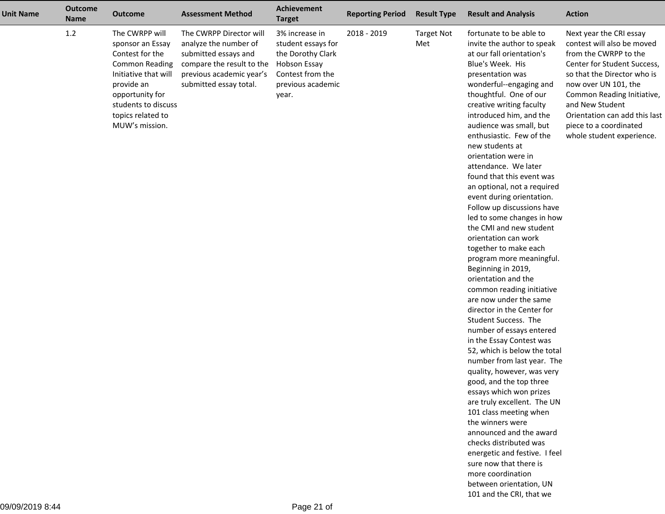| <b>Unit Name</b> | <b>Outcome</b><br><b>Name</b> | <b>Outcome</b>                                                                                                                                                                                        | <b>Assessment Method</b>                                                                                                                                    | Achievement<br><b>Target</b>                                                                                                       | <b>Reporting Period</b> | <b>Result Type</b>       | <b>Result and Analysis</b>                                                                                                                                                                                                                                                                                                                                                                                                                                                                                                                                                                                                                                                                                                                                                                                                                                                                                                                                                                                                                                                                                                                                                                                                                                                | <b>Action</b>                                                                                                                                                                                                                                                                                                 |
|------------------|-------------------------------|-------------------------------------------------------------------------------------------------------------------------------------------------------------------------------------------------------|-------------------------------------------------------------------------------------------------------------------------------------------------------------|------------------------------------------------------------------------------------------------------------------------------------|-------------------------|--------------------------|---------------------------------------------------------------------------------------------------------------------------------------------------------------------------------------------------------------------------------------------------------------------------------------------------------------------------------------------------------------------------------------------------------------------------------------------------------------------------------------------------------------------------------------------------------------------------------------------------------------------------------------------------------------------------------------------------------------------------------------------------------------------------------------------------------------------------------------------------------------------------------------------------------------------------------------------------------------------------------------------------------------------------------------------------------------------------------------------------------------------------------------------------------------------------------------------------------------------------------------------------------------------------|---------------------------------------------------------------------------------------------------------------------------------------------------------------------------------------------------------------------------------------------------------------------------------------------------------------|
|                  | 1.2                           | The CWRPP will<br>sponsor an Essay<br>Contest for the<br><b>Common Reading</b><br>Initiative that will<br>provide an<br>opportunity for<br>students to discuss<br>topics related to<br>MUW's mission. | The CWRPP Director will<br>analyze the number of<br>submitted essays and<br>compare the result to the<br>previous academic year's<br>submitted essay total. | 3% increase in<br>student essays for<br>the Dorothy Clark<br><b>Hobson Essay</b><br>Contest from the<br>previous academic<br>year. | 2018 - 2019             | <b>Target Not</b><br>Met | fortunate to be able to<br>invite the author to speak<br>at our fall orientation's<br>Blue's Week. His<br>presentation was<br>wonderful--engaging and<br>thoughtful. One of our<br>creative writing faculty<br>introduced him, and the<br>audience was small, but<br>enthusiastic. Few of the<br>new students at<br>orientation were in<br>attendance. We later<br>found that this event was<br>an optional, not a required<br>event during orientation.<br>Follow up discussions have<br>led to some changes in how<br>the CMI and new student<br>orientation can work<br>together to make each<br>program more meaningful.<br>Beginning in 2019,<br>orientation and the<br>common reading initiative<br>are now under the same<br>director in the Center for<br>Student Success. The<br>number of essays entered<br>in the Essay Contest was<br>52, which is below the total<br>number from last year. The<br>quality, however, was very<br>good, and the top three<br>essays which won prizes<br>are truly excellent. The UN<br>101 class meeting when<br>the winners were<br>announced and the award<br>checks distributed was<br>energetic and festive. I feel<br>sure now that there is<br>more coordination<br>between orientation, UN<br>101 and the CRI, that we | Next year the CRI essay<br>contest will also be moved<br>from the CWRPP to the<br>Center for Student Success,<br>so that the Director who is<br>now over UN 101, the<br>Common Reading Initiative,<br>and New Student<br>Orientation can add this last<br>piece to a coordinated<br>whole student experience. |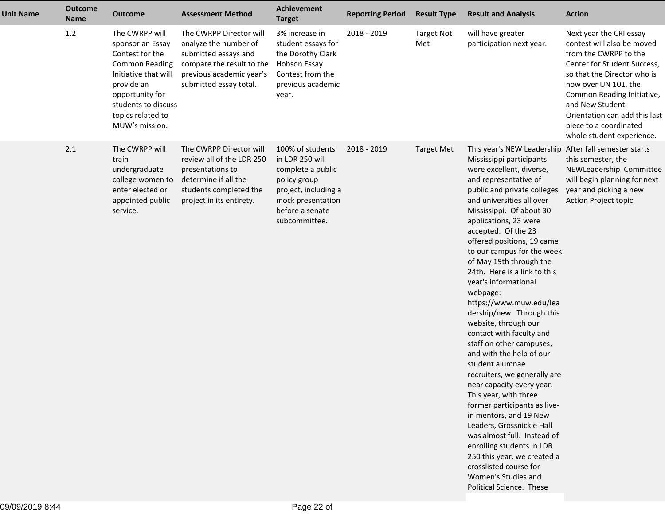| <b>Unit Name</b> | <b>Outcome</b><br><b>Name</b> | <b>Outcome</b>                                                                                                                                                                                        | <b>Assessment Method</b>                                                                                                                                    | <b>Achievement</b><br><b>Target</b>                                                                                                                       | <b>Reporting Period</b> | <b>Result Type</b>       | <b>Result and Analysis</b>                                                                                                                                                                                                                                                                                                                                                                                                                                                                                                                                                                                                                                                                                                                                                                                                                                                                                                                                | <b>Action</b>                                                                                                                                                                                                                                                                                                 |
|------------------|-------------------------------|-------------------------------------------------------------------------------------------------------------------------------------------------------------------------------------------------------|-------------------------------------------------------------------------------------------------------------------------------------------------------------|-----------------------------------------------------------------------------------------------------------------------------------------------------------|-------------------------|--------------------------|-----------------------------------------------------------------------------------------------------------------------------------------------------------------------------------------------------------------------------------------------------------------------------------------------------------------------------------------------------------------------------------------------------------------------------------------------------------------------------------------------------------------------------------------------------------------------------------------------------------------------------------------------------------------------------------------------------------------------------------------------------------------------------------------------------------------------------------------------------------------------------------------------------------------------------------------------------------|---------------------------------------------------------------------------------------------------------------------------------------------------------------------------------------------------------------------------------------------------------------------------------------------------------------|
|                  | 1.2                           | The CWRPP will<br>sponsor an Essay<br>Contest for the<br><b>Common Reading</b><br>Initiative that will<br>provide an<br>opportunity for<br>students to discuss<br>topics related to<br>MUW's mission. | The CWRPP Director will<br>analyze the number of<br>submitted essays and<br>compare the result to the<br>previous academic year's<br>submitted essay total. | 3% increase in<br>student essays for<br>the Dorothy Clark<br>Hobson Essay<br>Contest from the<br>previous academic<br>year.                               | 2018 - 2019             | <b>Target Not</b><br>Met | will have greater<br>participation next year.                                                                                                                                                                                                                                                                                                                                                                                                                                                                                                                                                                                                                                                                                                                                                                                                                                                                                                             | Next year the CRI essay<br>contest will also be moved<br>from the CWRPP to the<br>Center for Student Success,<br>so that the Director who is<br>now over UN 101, the<br>Common Reading Initiative,<br>and New Student<br>Orientation can add this last<br>piece to a coordinated<br>whole student experience. |
|                  | 2.1                           | The CWRPP will<br>train<br>undergraduate<br>college women to<br>enter elected or<br>appointed public<br>service.                                                                                      | The CWRPP Director will<br>review all of the LDR 250<br>presentations to<br>determine if all the<br>students completed the<br>project in its entirety.      | 100% of students<br>in LDR 250 will<br>complete a public<br>policy group<br>project, including a<br>mock presentation<br>before a senate<br>subcommittee. | 2018 - 2019             | <b>Target Met</b>        | This year's NEW Leadership<br>Mississippi participants<br>were excellent, diverse,<br>and representative of<br>public and private colleges<br>and universities all over<br>Mississippi. Of about 30<br>applications, 23 were<br>accepted. Of the 23<br>offered positions, 19 came<br>to our campus for the week<br>of May 19th through the<br>24th. Here is a link to this<br>year's informational<br>webpage:<br>https://www.muw.edu/lea<br>dership/new Through this<br>website, through our<br>contact with faculty and<br>staff on other campuses,<br>and with the help of our<br>student alumnae<br>recruiters, we generally are<br>near capacity every year.<br>This year, with three<br>former participants as live-<br>in mentors, and 19 New<br>Leaders, Grossnickle Hall<br>was almost full. Instead of<br>enrolling students in LDR<br>250 this year, we created a<br>crosslisted course for<br>Women's Studies and<br>Political Science. These | After fall semester starts<br>this semester, the<br>NEWLeadership Committee<br>will begin planning for next<br>year and picking a new<br>Action Project topic.                                                                                                                                                |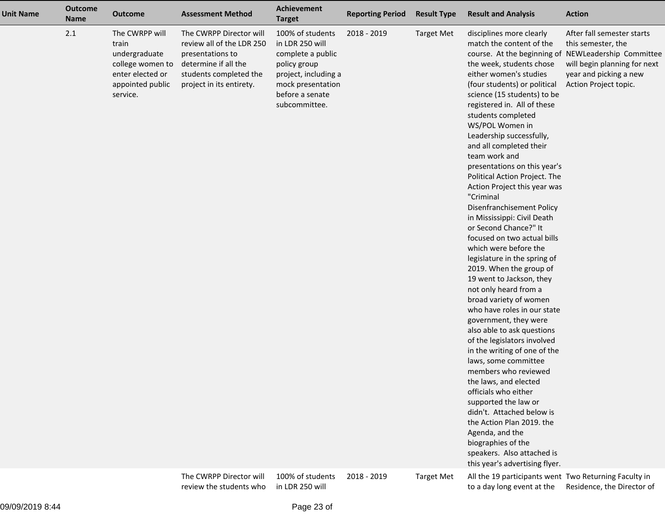| <b>Unit Name</b> | <b>Outcome</b><br><b>Name</b> | <b>Outcome</b>                                                                                                   | <b>Assessment Method</b>                                                                                                                               | Achievement<br><b>Target</b>                                                                                                                              | <b>Reporting Period</b> | <b>Result Type</b> | <b>Result and Analysis</b>                                                                                                                                                                                                                                                                                                                                                                                                                                                                                                                                                                                                                                                                                                                                                                                                                                                                                                                                                                                                                                                                                                                                                                                     | <b>Action</b>                                                                                                                                                  |
|------------------|-------------------------------|------------------------------------------------------------------------------------------------------------------|--------------------------------------------------------------------------------------------------------------------------------------------------------|-----------------------------------------------------------------------------------------------------------------------------------------------------------|-------------------------|--------------------|----------------------------------------------------------------------------------------------------------------------------------------------------------------------------------------------------------------------------------------------------------------------------------------------------------------------------------------------------------------------------------------------------------------------------------------------------------------------------------------------------------------------------------------------------------------------------------------------------------------------------------------------------------------------------------------------------------------------------------------------------------------------------------------------------------------------------------------------------------------------------------------------------------------------------------------------------------------------------------------------------------------------------------------------------------------------------------------------------------------------------------------------------------------------------------------------------------------|----------------------------------------------------------------------------------------------------------------------------------------------------------------|
|                  | 2.1                           | The CWRPP will<br>train<br>undergraduate<br>college women to<br>enter elected or<br>appointed public<br>service. | The CWRPP Director will<br>review all of the LDR 250<br>presentations to<br>determine if all the<br>students completed the<br>project in its entirety. | 100% of students<br>in LDR 250 will<br>complete a public<br>policy group<br>project, including a<br>mock presentation<br>before a senate<br>subcommittee. | 2018 - 2019             | <b>Target Met</b>  | disciplines more clearly<br>match the content of the<br>course. At the beginning of<br>the week, students chose<br>either women's studies<br>(four students) or political<br>science (15 students) to be<br>registered in. All of these<br>students completed<br>WS/POL Women in<br>Leadership successfully,<br>and all completed their<br>team work and<br>presentations on this year's<br>Political Action Project. The<br>Action Project this year was<br>"Criminal<br>Disenfranchisement Policy<br>in Mississippi: Civil Death<br>or Second Chance?" It<br>focused on two actual bills<br>which were before the<br>legislature in the spring of<br>2019. When the group of<br>19 went to Jackson, they<br>not only heard from a<br>broad variety of women<br>who have roles in our state<br>government, they were<br>also able to ask questions<br>of the legislators involved<br>in the writing of one of the<br>laws, some committee<br>members who reviewed<br>the laws, and elected<br>officials who either<br>supported the law or<br>didn't. Attached below is<br>the Action Plan 2019. the<br>Agenda, and the<br>biographies of the<br>speakers. Also attached is<br>this year's advertising flyer. | After fall semester starts<br>this semester, the<br>NEWLeadership Committee<br>will begin planning for next<br>year and picking a new<br>Action Project topic. |
|                  |                               |                                                                                                                  | The CWRPP Director will<br>review the students who                                                                                                     | 100% of students<br>in LDR 250 will                                                                                                                       | 2018 - 2019             | <b>Target Met</b>  | All the 19 participants went Two Returning Faculty in<br>to a day long event at the Residence, the Director of                                                                                                                                                                                                                                                                                                                                                                                                                                                                                                                                                                                                                                                                                                                                                                                                                                                                                                                                                                                                                                                                                                 |                                                                                                                                                                |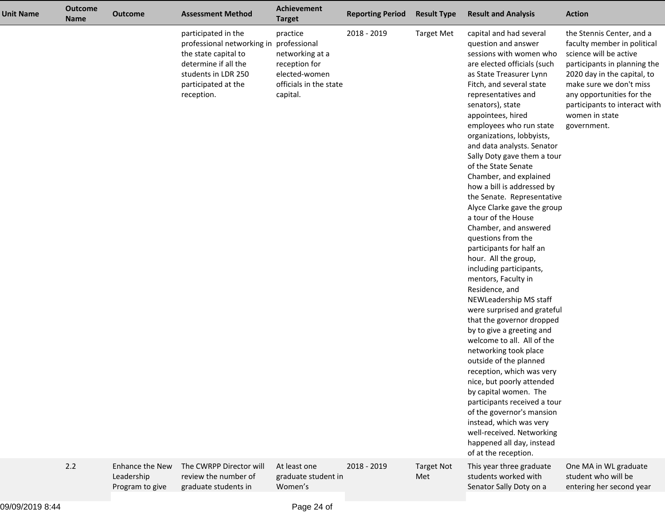| <b>Unit Name</b> | <b>Outcome</b><br><b>Name</b> | <b>Outcome</b>                                          | <b>Assessment Method</b>                                                                                                                                                   | Achievement<br><b>Target</b>                                                                        | <b>Reporting Period</b> | <b>Result Type</b>       | <b>Result and Analysis</b>                                                                                                                                                                                                                                                                                                                                                                                                                                                                                                                                                                                                                                                                                                                                                                                                                                                                                                                                                                                                                                                                                                                                      | <b>Action</b>                                                                                                                                                                                                                                                               |
|------------------|-------------------------------|---------------------------------------------------------|----------------------------------------------------------------------------------------------------------------------------------------------------------------------------|-----------------------------------------------------------------------------------------------------|-------------------------|--------------------------|-----------------------------------------------------------------------------------------------------------------------------------------------------------------------------------------------------------------------------------------------------------------------------------------------------------------------------------------------------------------------------------------------------------------------------------------------------------------------------------------------------------------------------------------------------------------------------------------------------------------------------------------------------------------------------------------------------------------------------------------------------------------------------------------------------------------------------------------------------------------------------------------------------------------------------------------------------------------------------------------------------------------------------------------------------------------------------------------------------------------------------------------------------------------|-----------------------------------------------------------------------------------------------------------------------------------------------------------------------------------------------------------------------------------------------------------------------------|
|                  |                               |                                                         | participated in the<br>professional networking in professional<br>the state capital to<br>determine if all the<br>students in LDR 250<br>participated at the<br>reception. | practice<br>networking at a<br>reception for<br>elected-women<br>officials in the state<br>capital. | 2018 - 2019             | <b>Target Met</b>        | capital and had several<br>question and answer<br>sessions with women who<br>are elected officials (such<br>as State Treasurer Lynn<br>Fitch, and several state<br>representatives and<br>senators), state<br>appointees, hired<br>employees who run state<br>organizations, lobbyists,<br>and data analysts. Senator<br>Sally Doty gave them a tour<br>of the State Senate<br>Chamber, and explained<br>how a bill is addressed by<br>the Senate. Representative<br>Alyce Clarke gave the group<br>a tour of the House<br>Chamber, and answered<br>questions from the<br>participants for half an<br>hour. All the group,<br>including participants,<br>mentors, Faculty in<br>Residence, and<br>NEWLeadership MS staff<br>were surprised and grateful<br>that the governor dropped<br>by to give a greeting and<br>welcome to all. All of the<br>networking took place<br>outside of the planned<br>reception, which was very<br>nice, but poorly attended<br>by capital women. The<br>participants received a tour<br>of the governor's mansion<br>instead, which was very<br>well-received. Networking<br>happened all day, instead<br>of at the reception. | the Stennis Center, and a<br>faculty member in political<br>science will be active<br>participants in planning the<br>2020 day in the capital, to<br>make sure we don't miss<br>any opportunities for the<br>participants to interact with<br>women in state<br>government. |
|                  | 2.2                           | <b>Enhance the New</b><br>Leadership<br>Program to give | The CWRPP Director will<br>review the number of<br>graduate students in                                                                                                    | At least one<br>graduate student in<br>Women's                                                      | 2018 - 2019             | <b>Target Not</b><br>Met | This year three graduate<br>students worked with<br>Senator Sally Doty on a                                                                                                                                                                                                                                                                                                                                                                                                                                                                                                                                                                                                                                                                                                                                                                                                                                                                                                                                                                                                                                                                                     | One MA in WL graduate<br>student who will be<br>entering her second year                                                                                                                                                                                                    |
|                  |                               |                                                         |                                                                                                                                                                            |                                                                                                     |                         |                          |                                                                                                                                                                                                                                                                                                                                                                                                                                                                                                                                                                                                                                                                                                                                                                                                                                                                                                                                                                                                                                                                                                                                                                 |                                                                                                                                                                                                                                                                             |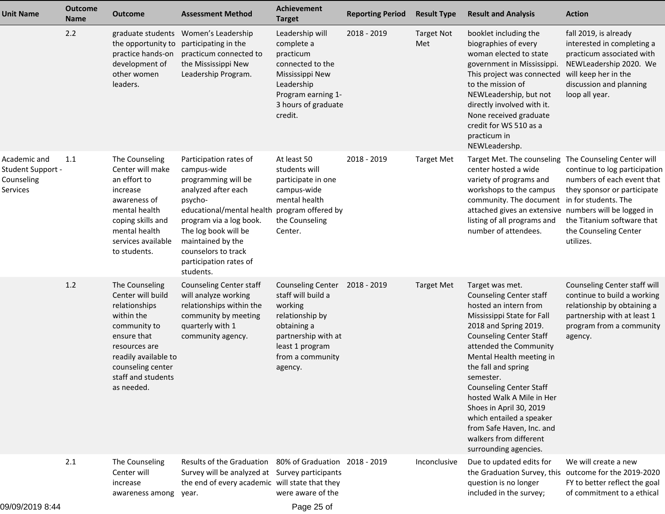| <b>Unit Name</b>                                            | <b>Outcome</b><br><b>Name</b> | <b>Outcome</b>                                                                                                                                                                                      | <b>Assessment Method</b>                                                                                                                                                                                                                                                             | Achievement<br><b>Target</b>                                                                                                                                         | <b>Reporting Period</b> | <b>Result Type</b>       | <b>Result and Analysis</b>                                                                                                                                                                                                                                                                                                                                                                                                                                          | <b>Action</b>                                                                                                                                                                                                        |
|-------------------------------------------------------------|-------------------------------|-----------------------------------------------------------------------------------------------------------------------------------------------------------------------------------------------------|--------------------------------------------------------------------------------------------------------------------------------------------------------------------------------------------------------------------------------------------------------------------------------------|----------------------------------------------------------------------------------------------------------------------------------------------------------------------|-------------------------|--------------------------|---------------------------------------------------------------------------------------------------------------------------------------------------------------------------------------------------------------------------------------------------------------------------------------------------------------------------------------------------------------------------------------------------------------------------------------------------------------------|----------------------------------------------------------------------------------------------------------------------------------------------------------------------------------------------------------------------|
|                                                             | 2.2                           | the opportunity to<br>practice hands-on<br>development of<br>other women<br>leaders.                                                                                                                | graduate students Women's Leadership<br>participating in the<br>practicum connected to<br>the Mississippi New<br>Leadership Program.                                                                                                                                                 | Leadership will<br>complete a<br>practicum<br>connected to the<br>Mississippi New<br>Leadership<br>Program earning 1-<br>3 hours of graduate<br>credit.              | 2018 - 2019             | <b>Target Not</b><br>Met | booklet including the<br>biographies of every<br>woman elected to state<br>government in Mississippi.<br>This project was connected<br>to the mission of<br>NEWLeadership, but not<br>directly involved with it.<br>None received graduate<br>credit for WS 510 as a<br>practicum in<br>NEWLeadershp.                                                                                                                                                               | fall 2019, is already<br>interested in completing a<br>practicum associated with<br>NEWLeadership 2020. We<br>will keep her in the<br>discussion and planning<br>loop all year.                                      |
| Academic and<br>Student Support -<br>Counseling<br>Services | 1.1                           | The Counseling<br>Center will make<br>an effort to<br>increase<br>awareness of<br>mental health<br>coping skills and<br>mental health<br>services available<br>to students.                         | Participation rates of<br>campus-wide<br>programming will be<br>analyzed after each<br>psycho-<br>educational/mental health program offered by<br>program via a log book.<br>The log book will be<br>maintained by the<br>counselors to track<br>participation rates of<br>students. | At least 50<br>students will<br>participate in one<br>campus-wide<br>mental health<br>the Counseling<br>Center.                                                      | 2018 - 2019             | <b>Target Met</b>        | Target Met. The counseling<br>center hosted a wide<br>variety of programs and<br>workshops to the campus<br>community. The document<br>attached gives an extensive numbers will be logged in<br>listing of all programs and<br>number of attendees.                                                                                                                                                                                                                 | The Counseling Center will<br>continue to log participation<br>numbers of each event that<br>they sponsor or participate<br>in for students. The<br>the Titanium software that<br>the Counseling Center<br>utilizes. |
|                                                             | 1.2                           | The Counseling<br>Center will build<br>relationships<br>within the<br>community to<br>ensure that<br>resources are<br>readily available to<br>counseling center<br>staff and students<br>as needed. | Counseling Center staff<br>will analyze working<br>relationships within the<br>community by meeting<br>quarterly with 1<br>community agency.                                                                                                                                         | <b>Counseling Center</b><br>staff will build a<br>working<br>relationship by<br>obtaining a<br>partnership with at<br>least 1 program<br>from a community<br>agency. | 2018 - 2019             | <b>Target Met</b>        | Target was met.<br><b>Counseling Center staff</b><br>hosted an intern from<br>Mississippi State for Fall<br>2018 and Spring 2019.<br><b>Counseling Center Staff</b><br>attended the Community<br>Mental Health meeting in<br>the fall and spring<br>semester.<br><b>Counseling Center Staff</b><br>hosted Walk A Mile in Her<br>Shoes in April 30, 2019<br>which entailed a speaker<br>from Safe Haven, Inc. and<br>walkers from different<br>surrounding agencies. | Counseling Center staff will<br>continue to build a working<br>relationship by obtaining a<br>partnership with at least 1<br>program from a community<br>agency.                                                     |
|                                                             | 2.1                           | The Counseling<br>Center will<br>increase<br>awareness among                                                                                                                                        | Results of the Graduation<br>Survey will be analyzed at Survey participants<br>the end of every academic will state that they<br>year.                                                                                                                                               | 80% of Graduation 2018 - 2019<br>were aware of the                                                                                                                   |                         | Inconclusive             | Due to updated edits for<br>the Graduation Survey, this<br>question is no longer<br>included in the survey;                                                                                                                                                                                                                                                                                                                                                         | We will create a new<br>outcome for the 2019-2020<br>FY to better reflect the goal<br>of commitment to a ethical                                                                                                     |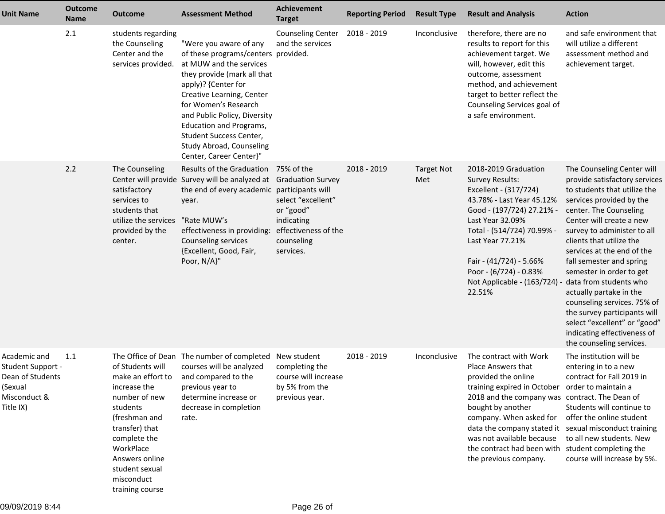| <b>Unit Name</b>                                                                              | <b>Outcome</b><br><b>Name</b> | <b>Outcome</b>                                                                                                                                                                                                          | <b>Assessment Method</b>                                                                                                                                                                                                                                                                                                                                | Achievement<br><b>Target</b>                                                                     | <b>Reporting Period</b> | <b>Result Type</b>       | <b>Result and Analysis</b>                                                                                                                                                                                                                                                                                                                                            | <b>Action</b>                                                                                                                                                                                                                                                                                                                                                                                                                                                                                                                                 |
|-----------------------------------------------------------------------------------------------|-------------------------------|-------------------------------------------------------------------------------------------------------------------------------------------------------------------------------------------------------------------------|---------------------------------------------------------------------------------------------------------------------------------------------------------------------------------------------------------------------------------------------------------------------------------------------------------------------------------------------------------|--------------------------------------------------------------------------------------------------|-------------------------|--------------------------|-----------------------------------------------------------------------------------------------------------------------------------------------------------------------------------------------------------------------------------------------------------------------------------------------------------------------------------------------------------------------|-----------------------------------------------------------------------------------------------------------------------------------------------------------------------------------------------------------------------------------------------------------------------------------------------------------------------------------------------------------------------------------------------------------------------------------------------------------------------------------------------------------------------------------------------|
|                                                                                               | 2.1                           | students regarding<br>the Counseling<br>Center and the<br>services provided.                                                                                                                                            | "Were you aware of any<br>of these programs/centers provided.<br>at MUW and the services<br>they provide (mark all that<br>apply)? {Center for<br>Creative Learning, Center<br>for Women's Research<br>and Public Policy, Diversity<br><b>Education and Programs,</b><br>Student Success Center,<br>Study Abroad, Counseling<br>Center, Career Center}" | <b>Counseling Center</b><br>and the services                                                     | 2018 - 2019             | Inconclusive             | therefore, there are no<br>results to report for this<br>achievement target. We<br>will, however, edit this<br>outcome, assessment<br>method, and achievement<br>target to better reflect the<br>Counseling Services goal of<br>a safe environment.                                                                                                                   | and safe environment that<br>will utilize a different<br>assessment method and<br>achievement target.                                                                                                                                                                                                                                                                                                                                                                                                                                         |
|                                                                                               | 2.2                           | The Counseling<br>satisfactory<br>services to<br>students that<br>utilize the services<br>provided by the<br>center.                                                                                                    | Results of the Graduation 75% of the<br>Center will provide Survey will be analyzed at Graduation Survey<br>the end of every academic participants will<br>year.<br>"Rate MUW's<br>effectiveness in providing:<br>Counseling services<br>{Excellent, Good, Fair,<br>Poor, N/A}"                                                                         | select "excellent"<br>or "good"<br>indicating<br>effectiveness of the<br>counseling<br>services. | 2018 - 2019             | <b>Target Not</b><br>Met | 2018-2019 Graduation<br><b>Survey Results:</b><br>Excellent - (317/724)<br>43.78% - Last Year 45.12%<br>Good - (197/724) 27.21% -<br>Last Year 32.09%<br>Total - (514/724) 70.99% -<br>Last Year 77.21%<br>Fair - (41/724) - 5.66%<br>Poor - (6/724) - 0.83%<br>Not Applicable - (163/724)<br>22.51%                                                                  | The Counseling Center will<br>provide satisfactory services<br>to students that utilize the<br>services provided by the<br>center. The Counseling<br>Center will create a new<br>survey to administer to all<br>clients that utilize the<br>services at the end of the<br>fall semester and spring<br>semester in order to get<br>data from students who<br>actually partake in the<br>counseling services. 75% of<br>the survey participants will<br>select "excellent" or "good"<br>indicating effectiveness of<br>the counseling services. |
| Academic and<br>Student Support -<br>Dean of Students<br>(Sexual<br>Misconduct &<br>Title IX) | 1.1                           | of Students will<br>make an effort to<br>increase the<br>number of new<br>students<br>(freshman and<br>transfer) that<br>complete the<br>WorkPlace<br>Answers online<br>student sexual<br>misconduct<br>training course | The Office of Dean The number of completed New student<br>courses will be analyzed<br>and compared to the<br>previous year to<br>determine increase or<br>decrease in completion<br>rate.                                                                                                                                                               | completing the<br>course will increase<br>by 5% from the<br>previous year.                       | 2018 - 2019             | Inconclusive             | The contract with Work<br>Place Answers that<br>provided the online<br>training expired in October order to maintain a<br>2018 and the company was contract. The Dean of<br>bought by another<br>company. When asked for<br>data the company stated it sexual misconduct training<br>was not available because<br>the contract had been with<br>the previous company. | The institution will be<br>entering in to a new<br>contract for Fall 2019 in<br>Students will continue to<br>offer the online student<br>to all new students. New<br>student completing the<br>course will increase by 5%.                                                                                                                                                                                                                                                                                                                    |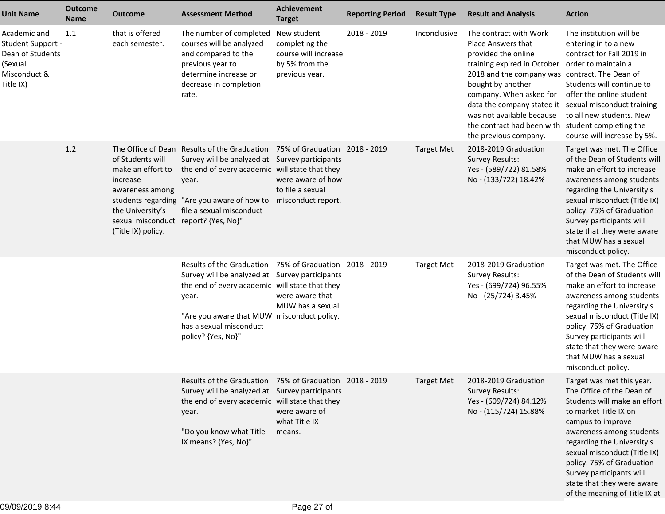| <b>Unit Name</b>                                                                              | <b>Outcome</b><br><b>Name</b> | <b>Outcome</b>                                                                                                                                         | <b>Assessment Method</b>                                                                                                                                                                                                                                            | <b>Achievement</b><br><b>Target</b>                                                       | <b>Reporting Period</b> | <b>Result Type</b> | <b>Result and Analysis</b>                                                                                                                                                                                                                                                                                                                                               | <b>Action</b>                                                                                                                                                                                                                                                                                                                                          |
|-----------------------------------------------------------------------------------------------|-------------------------------|--------------------------------------------------------------------------------------------------------------------------------------------------------|---------------------------------------------------------------------------------------------------------------------------------------------------------------------------------------------------------------------------------------------------------------------|-------------------------------------------------------------------------------------------|-------------------------|--------------------|--------------------------------------------------------------------------------------------------------------------------------------------------------------------------------------------------------------------------------------------------------------------------------------------------------------------------------------------------------------------------|--------------------------------------------------------------------------------------------------------------------------------------------------------------------------------------------------------------------------------------------------------------------------------------------------------------------------------------------------------|
| Academic and<br>Student Support -<br>Dean of Students<br>(Sexual<br>Misconduct &<br>Title IX) | 1.1                           | that is offered<br>each semester.                                                                                                                      | The number of completed<br>courses will be analyzed<br>and compared to the<br>previous year to<br>determine increase or<br>decrease in completion<br>rate.                                                                                                          | New student<br>completing the<br>course will increase<br>by 5% from the<br>previous year. | 2018 - 2019             | Inconclusive       | The contract with Work<br>Place Answers that<br>provided the online<br>training expired in October<br>2018 and the company was contract. The Dean of<br>bought by another<br>company. When asked for<br>data the company stated it sexual misconduct training<br>was not available because<br>the contract had been with student completing the<br>the previous company. | The institution will be<br>entering in to a new<br>contract for Fall 2019 in<br>order to maintain a<br>Students will continue to<br>offer the online student<br>to all new students. New<br>course will increase by 5%.                                                                                                                                |
|                                                                                               | 1.2                           | of Students will<br>make an effort to<br>increase<br>awareness among<br>the University's<br>sexual misconduct report? {Yes, No}"<br>(Title IX) policy. | The Office of Dean Results of the Graduation 75% of Graduation 2018 - 2019<br>Survey will be analyzed at Survey participants<br>the end of every academic will state that they<br>year.<br>students regarding "Are you aware of how to<br>file a sexual misconduct  | were aware of how<br>to file a sexual<br>misconduct report.                               |                         | <b>Target Met</b>  | 2018-2019 Graduation<br><b>Survey Results:</b><br>Yes - (589/722) 81.58%<br>No - (133/722) 18.42%                                                                                                                                                                                                                                                                        | Target was met. The Office<br>of the Dean of Students will<br>make an effort to increase<br>awareness among students<br>regarding the University's<br>sexual misconduct (Title IX)<br>policy. 75% of Graduation<br>Survey participants will<br>state that they were aware<br>that MUW has a sexual<br>misconduct policy.                               |
|                                                                                               |                               |                                                                                                                                                        | Results of the Graduation 75% of Graduation 2018 - 2019<br>Survey will be analyzed at Survey participants<br>the end of every academic will state that they<br>year.<br>"Are you aware that MUW misconduct policy.<br>has a sexual misconduct<br>policy? {Yes, No}" | were aware that<br>MUW has a sexual                                                       |                         | <b>Target Met</b>  | 2018-2019 Graduation<br>Survey Results:<br>Yes - (699/724) 96.55%<br>No - (25/724) 3.45%                                                                                                                                                                                                                                                                                 | Target was met. The Office<br>of the Dean of Students will<br>make an effort to increase<br>awareness among students<br>regarding the University's<br>sexual misconduct (Title IX)<br>policy. 75% of Graduation<br>Survey participants will<br>state that they were aware<br>that MUW has a sexual<br>misconduct policy.                               |
|                                                                                               |                               |                                                                                                                                                        | Results of the Graduation 75% of Graduation 2018 - 2019<br>Survey will be analyzed at Survey participants<br>the end of every academic will state that they<br>year.<br>"Do you know what Title<br>IX means? {Yes, No}"                                             | were aware of<br>what Title IX<br>means.                                                  |                         | Target Met         | 2018-2019 Graduation<br><b>Survey Results:</b><br>Yes - (609/724) 84.12%<br>No - (115/724) 15.88%                                                                                                                                                                                                                                                                        | Target was met this year.<br>The Office of the Dean of<br>Students will make an effort<br>to market Title IX on<br>campus to improve<br>awareness among students<br>regarding the University's<br>sexual misconduct (Title IX)<br>policy. 75% of Graduation<br>Survey participants will<br>state that they were aware<br>of the meaning of Title IX at |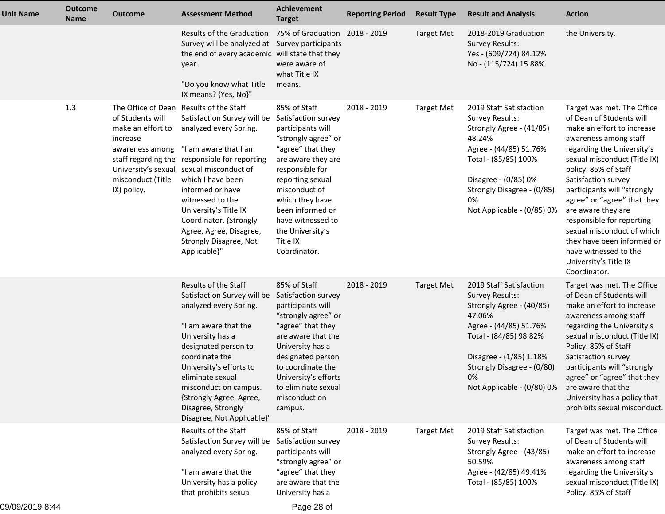| <b>Unit Name</b> | <b>Outcome</b><br><b>Name</b> | <b>Outcome</b>                                                                                           | <b>Assessment Method</b>                                                                                                                                                                                                                                                                                                                                                                                    | <b>Achievement</b><br><b>Target</b>                                                                                                                                                                                                                                                            | <b>Reporting Period</b> | <b>Result Type</b> | <b>Result and Analysis</b>                                                                                                                                                                                                               | <b>Action</b>                                                                                                                                                                                                                                                                                                                                                                                                                                                             |
|------------------|-------------------------------|----------------------------------------------------------------------------------------------------------|-------------------------------------------------------------------------------------------------------------------------------------------------------------------------------------------------------------------------------------------------------------------------------------------------------------------------------------------------------------------------------------------------------------|------------------------------------------------------------------------------------------------------------------------------------------------------------------------------------------------------------------------------------------------------------------------------------------------|-------------------------|--------------------|------------------------------------------------------------------------------------------------------------------------------------------------------------------------------------------------------------------------------------------|---------------------------------------------------------------------------------------------------------------------------------------------------------------------------------------------------------------------------------------------------------------------------------------------------------------------------------------------------------------------------------------------------------------------------------------------------------------------------|
|                  |                               |                                                                                                          | Results of the Graduation 75% of Graduation 2018 - 2019<br>Survey will be analyzed at Survey participants<br>the end of every academic will state that they<br>year.<br>"Do you know what Title<br>IX means? {Yes, No}"                                                                                                                                                                                     | were aware of<br>what Title IX<br>means.                                                                                                                                                                                                                                                       |                         | <b>Target Met</b>  | 2018-2019 Graduation<br><b>Survey Results:</b><br>Yes - (609/724) 84.12%<br>No - (115/724) 15.88%                                                                                                                                        | the University.                                                                                                                                                                                                                                                                                                                                                                                                                                                           |
|                  | 1.3                           | of Students will<br>make an effort to<br>increase<br>awareness among<br>misconduct (Title<br>IX) policy. | The Office of Dean Results of the Staff<br>Satisfaction Survey will be<br>analyzed every Spring.<br>"I am aware that I am<br>staff regarding the responsible for reporting<br>University's sexual sexual misconduct of<br>which I have been<br>informed or have<br>witnessed to the<br>University's Title IX<br>Coordinator. {Strongly<br>Agree, Agree, Disagree,<br>Strongly Disagree, Not<br>Applicable}" | 85% of Staff<br>Satisfaction survey<br>participants will<br>"strongly agree" or<br>"agree" that they<br>are aware they are<br>responsible for<br>reporting sexual<br>misconduct of<br>which they have<br>been informed or<br>have witnessed to<br>the University's<br>Title IX<br>Coordinator. | 2018 - 2019             | <b>Target Met</b>  | 2019 Staff Satisfaction<br><b>Survey Results:</b><br>Strongly Agree - (41/85)<br>48.24%<br>Agree - (44/85) 51.76%<br>Total - (85/85) 100%<br>Disagree - (0/85) 0%<br>Strongly Disagree - (0/85)<br>0%<br>Not Applicable - (0/85) 0%      | Target was met. The Office<br>of Dean of Students will<br>make an effort to increase<br>awareness among staff<br>regarding the University's<br>sexual misconduct (Title IX)<br>policy. 85% of Staff<br>Satisfaction survey<br>participants will "strongly<br>agree" or "agree" that they<br>are aware they are<br>responsible for reporting<br>sexual misconduct of which<br>they have been informed or<br>have witnessed to the<br>University's Title IX<br>Coordinator. |
|                  |                               |                                                                                                          | Results of the Staff<br>Satisfaction Survey will be Satisfaction survey<br>analyzed every Spring.<br>"I am aware that the<br>University has a<br>designated person to<br>coordinate the<br>University's efforts to<br>eliminate sexual<br>misconduct on campus.<br>{Strongly Agree, Agree,<br>Disagree, Strongly<br>Disagree, Not Applicable}"                                                              | 85% of Staff<br>participants will<br>"strongly agree" or<br>"agree" that they<br>are aware that the<br>University has a<br>designated person<br>to coordinate the<br>University's efforts<br>to eliminate sexual<br>misconduct on<br>campus.                                                   | 2018 - 2019             | <b>Target Met</b>  | 2019 Staff Satisfaction<br><b>Survey Results:</b><br>Strongly Agree - (40/85)<br>47.06%<br>Agree - (44/85) 51.76%<br>Total - (84/85) 98.82%<br>Disagree - (1/85) 1.18%<br>Strongly Disagree - (0/80)<br>0%<br>Not Applicable - (0/80) 0% | Target was met. The Office<br>of Dean of Students will<br>make an effort to increase<br>awareness among staff<br>regarding the University's<br>sexual misconduct (Title IX)<br>Policy. 85% of Staff<br>Satisfaction survey<br>participants will "strongly<br>agree" or "agree" that they<br>are aware that the<br>University has a policy that<br>prohibits sexual misconduct.                                                                                            |
|                  |                               |                                                                                                          | Results of the Staff<br>Satisfaction Survey will be<br>analyzed every Spring.<br>"I am aware that the<br>University has a policy<br>that prohibits sexual                                                                                                                                                                                                                                                   | 85% of Staff<br>Satisfaction survey<br>participants will<br>"strongly agree" or<br>"agree" that they<br>are aware that the<br>University has a                                                                                                                                                 | 2018 - 2019             | <b>Target Met</b>  | 2019 Staff Satisfaction<br><b>Survey Results:</b><br>Strongly Agree - (43/85)<br>50.59%<br>Agree - (42/85) 49.41%<br>Total - (85/85) 100%                                                                                                | Target was met. The Office<br>of Dean of Students will<br>make an effort to increase<br>awareness among staff<br>regarding the University's<br>sexual misconduct (Title IX)<br>Policy. 85% of Staff                                                                                                                                                                                                                                                                       |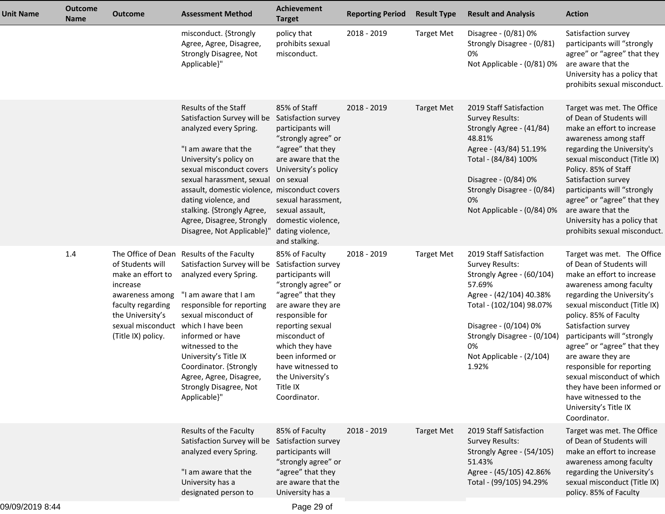| <b>Unit Name</b> | <b>Outcome</b><br><b>Name</b> | <b>Outcome</b>                                                                                                                                           | <b>Assessment Method</b>                                                                                                                                                                                                                                                                                                                                              | <b>Achievement</b><br><b>Target</b>                                                                                                                                                                                                                                                              | <b>Reporting Period</b> | <b>Result Type</b> | <b>Result and Analysis</b>                                                                                                                                                                                                                         | <b>Action</b>                                                                                                                                                                                                                                                                                                                                                                                                                                                                 |
|------------------|-------------------------------|----------------------------------------------------------------------------------------------------------------------------------------------------------|-----------------------------------------------------------------------------------------------------------------------------------------------------------------------------------------------------------------------------------------------------------------------------------------------------------------------------------------------------------------------|--------------------------------------------------------------------------------------------------------------------------------------------------------------------------------------------------------------------------------------------------------------------------------------------------|-------------------------|--------------------|----------------------------------------------------------------------------------------------------------------------------------------------------------------------------------------------------------------------------------------------------|-------------------------------------------------------------------------------------------------------------------------------------------------------------------------------------------------------------------------------------------------------------------------------------------------------------------------------------------------------------------------------------------------------------------------------------------------------------------------------|
|                  |                               |                                                                                                                                                          | misconduct. {Strongly<br>Agree, Agree, Disagree,<br>Strongly Disagree, Not<br>Applicable}"                                                                                                                                                                                                                                                                            | policy that<br>prohibits sexual<br>misconduct.                                                                                                                                                                                                                                                   | 2018 - 2019             | <b>Target Met</b>  | Disagree - (0/81) 0%<br>Strongly Disagree - (0/81)<br>0%<br>Not Applicable - (0/81) 0%                                                                                                                                                             | Satisfaction survey<br>participants will "strongly<br>agree" or "agree" that they<br>are aware that the<br>University has a policy that<br>prohibits sexual misconduct.                                                                                                                                                                                                                                                                                                       |
|                  |                               |                                                                                                                                                          | Results of the Staff<br>Satisfaction Survey will be<br>analyzed every Spring.<br>"I am aware that the<br>University's policy on<br>sexual misconduct covers<br>sexual harassment, sexual<br>assault, domestic violence, misconduct covers<br>dating violence, and<br>stalking. {Strongly Agree,<br>Agree, Disagree, Strongly<br>Disagree, Not Applicable}"            | 85% of Staff<br>Satisfaction survey<br>participants will<br>"strongly agree" or<br>"agree" that they<br>are aware that the<br>University's policy<br>on sexual<br>sexual harassment,<br>sexual assault,<br>domestic violence,<br>dating violence,<br>and stalking.                               | 2018 - 2019             | <b>Target Met</b>  | 2019 Staff Satisfaction<br><b>Survey Results:</b><br>Strongly Agree - (41/84)<br>48.81%<br>Agree - (43/84) 51.19%<br>Total - (84/84) 100%<br>Disagree - (0/84) 0%<br>Strongly Disagree - (0/84)<br>0%<br>Not Applicable - (0/84) 0%                | Target was met. The Office<br>of Dean of Students will<br>make an effort to increase<br>awareness among staff<br>regarding the University's<br>sexual misconduct (Title IX)<br>Policy. 85% of Staff<br>Satisfaction survey<br>participants will "strongly<br>agree" or "agree" that they<br>are aware that the<br>University has a policy that<br>prohibits sexual misconduct.                                                                                                |
|                  | 1.4                           | of Students will<br>make an effort to<br>increase<br>awareness among<br>faculty regarding<br>the University's<br>sexual misconduct<br>(Title IX) policy. | The Office of Dean Results of the Faculty<br>Satisfaction Survey will be<br>analyzed every Spring.<br>"I am aware that I am<br>responsible for reporting<br>sexual misconduct of<br>which I have been<br>informed or have<br>witnessed to the<br>University's Title IX<br>Coordinator. {Strongly<br>Agree, Agree, Disagree,<br>Strongly Disagree, Not<br>Applicable}" | 85% of Faculty<br>Satisfaction survey<br>participants will<br>"strongly agree" or<br>"agree" that they<br>are aware they are<br>responsible for<br>reporting sexual<br>misconduct of<br>which they have<br>been informed or<br>have witnessed to<br>the University's<br>Title IX<br>Coordinator. | 2018 - 2019             | <b>Target Met</b>  | 2019 Staff Satisfaction<br><b>Survey Results:</b><br>Strongly Agree - (60/104)<br>57.69%<br>Agree - (42/104) 40.38%<br>Total - (102/104) 98.07%<br>Disagree - (0/104) 0%<br>Strongly Disagree - (0/104)<br>0%<br>Not Applicable - (2/104)<br>1.92% | Target was met. The Office<br>of Dean of Students will<br>make an effort to increase<br>awareness among faculty<br>regarding the University's<br>sexual misconduct (Title IX)<br>policy. 85% of Faculty<br>Satisfaction survey<br>participants will "strongly<br>agree" or "agree" that they<br>are aware they are<br>responsible for reporting<br>sexual misconduct of which<br>they have been informed or<br>have witnessed to the<br>University's Title IX<br>Coordinator. |
|                  |                               |                                                                                                                                                          | Results of the Faculty<br>Satisfaction Survey will be<br>analyzed every Spring.<br>"I am aware that the<br>University has a<br>designated person to                                                                                                                                                                                                                   | 85% of Faculty<br>Satisfaction survey<br>participants will<br>"strongly agree" or<br>"agree" that they<br>are aware that the<br>University has a                                                                                                                                                 | 2018 - 2019             | <b>Target Met</b>  | 2019 Staff Satisfaction<br><b>Survey Results:</b><br>Strongly Agree - (54/105)<br>51.43%<br>Agree - (45/105) 42.86%<br>Total - (99/105) 94.29%                                                                                                     | Target was met. The Office<br>of Dean of Students will<br>make an effort to increase<br>awareness among faculty<br>regarding the University's<br>sexual misconduct (Title IX)<br>policy. 85% of Faculty                                                                                                                                                                                                                                                                       |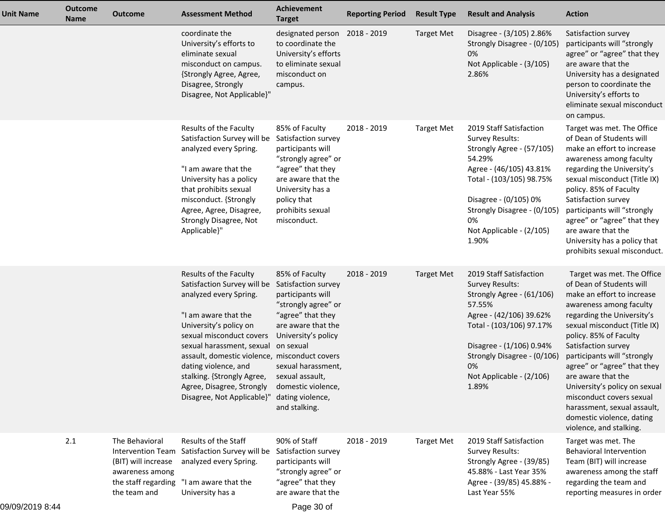| <b>Unit Name</b> | <b>Outcome</b><br><b>Name</b> | <b>Outcome</b>                                                                                  | <b>Assessment Method</b>                                                                                                                                                                                                                                                                                                                                                         | <b>Achievement</b><br><b>Target</b>                                                                                                                                                                                                           | <b>Reporting Period</b> | <b>Result Type</b> | <b>Result and Analysis</b>                                                                                                                                                                                                                            | <b>Action</b>                                                                                                                                                                                                                                                                                                                                                                                                                                                          |
|------------------|-------------------------------|-------------------------------------------------------------------------------------------------|----------------------------------------------------------------------------------------------------------------------------------------------------------------------------------------------------------------------------------------------------------------------------------------------------------------------------------------------------------------------------------|-----------------------------------------------------------------------------------------------------------------------------------------------------------------------------------------------------------------------------------------------|-------------------------|--------------------|-------------------------------------------------------------------------------------------------------------------------------------------------------------------------------------------------------------------------------------------------------|------------------------------------------------------------------------------------------------------------------------------------------------------------------------------------------------------------------------------------------------------------------------------------------------------------------------------------------------------------------------------------------------------------------------------------------------------------------------|
|                  |                               |                                                                                                 | coordinate the<br>University's efforts to<br>eliminate sexual<br>misconduct on campus.<br>{Strongly Agree, Agree,<br>Disagree, Strongly<br>Disagree, Not Applicable}"                                                                                                                                                                                                            | designated person 2018 - 2019<br>to coordinate the<br>University's efforts<br>to eliminate sexual<br>misconduct on<br>campus.                                                                                                                 |                         | <b>Target Met</b>  | Disagree - (3/105) 2.86%<br>Strongly Disagree - (0/105)<br>0%<br>Not Applicable - (3/105)<br>2.86%                                                                                                                                                    | Satisfaction survey<br>participants will "strongly<br>agree" or "agree" that they<br>are aware that the<br>University has a designated<br>person to coordinate the<br>University's efforts to<br>eliminate sexual misconduct<br>on campus.                                                                                                                                                                                                                             |
|                  |                               |                                                                                                 | Results of the Faculty<br>Satisfaction Survey will be<br>analyzed every Spring.<br>"I am aware that the<br>University has a policy<br>that prohibits sexual<br>misconduct. {Strongly<br>Agree, Agree, Disagree,<br>Strongly Disagree, Not<br>Applicable}"                                                                                                                        | 85% of Faculty<br>Satisfaction survey<br>participants will<br>"strongly agree" or<br>"agree" that they<br>are aware that the<br>University has a<br>policy that<br>prohibits sexual<br>misconduct.                                            | 2018 - 2019             | <b>Target Met</b>  | 2019 Staff Satisfaction<br><b>Survey Results:</b><br>Strongly Agree - (57/105)<br>54.29%<br>Agree - (46/105) 43.81%<br>Total - (103/105) 98.75%<br>Disagree - (0/105) 0%<br>Strongly Disagree - (0/105)<br>0%<br>Not Applicable - (2/105)<br>1.90%    | Target was met. The Office<br>of Dean of Students will<br>make an effort to increase<br>awareness among faculty<br>regarding the University's<br>sexual misconduct (Title IX)<br>policy. 85% of Faculty<br>Satisfaction survey<br>participants will "strongly<br>agree" or "agree" that they<br>are aware that the<br>University has a policy that<br>prohibits sexual misconduct.                                                                                     |
|                  |                               |                                                                                                 | Results of the Faculty<br>Satisfaction Survey will be Satisfaction survey<br>analyzed every Spring.<br>"I am aware that the<br>University's policy on<br>sexual misconduct covers<br>sexual harassment, sexual<br>assault, domestic violence, misconduct covers<br>dating violence, and<br>stalking. {Strongly Agree,<br>Agree, Disagree, Strongly<br>Disagree, Not Applicable}" | 85% of Faculty<br>participants will<br>"strongly agree" or<br>"agree" that they<br>are aware that the<br>University's policy<br>on sexual<br>sexual harassment,<br>sexual assault,<br>domestic violence,<br>dating violence,<br>and stalking. | 2018 - 2019             | <b>Target Met</b>  | 2019 Staff Satisfaction<br><b>Survey Results:</b><br>Strongly Agree - (61/106)<br>57.55%<br>Agree - (42/106) 39.62%<br>Total - (103/106) 97.17%<br>Disagree - (1/106) 0.94%<br>Strongly Disagree - (0/106)<br>0%<br>Not Applicable - (2/106)<br>1.89% | Target was met. The Office<br>of Dean of Students will<br>make an effort to increase<br>awareness among faculty<br>regarding the University's<br>sexual misconduct (Title IX)<br>policy. 85% of Faculty<br>Satisfaction survey<br>participants will "strongly<br>agree" or "agree" that they<br>are aware that the<br>University's policy on sexual<br>misconduct covers sexual<br>harassment, sexual assault,<br>domestic violence, dating<br>violence, and stalking. |
|                  | 2.1                           | The Behavioral<br>(BIT) will increase<br>awareness among<br>the staff regarding<br>the team and | Results of the Staff<br>Intervention Team Satisfaction Survey will be<br>analyzed every Spring.<br>"I am aware that the<br>University has a                                                                                                                                                                                                                                      | 90% of Staff<br>Satisfaction survey<br>participants will<br>"strongly agree" or<br>"agree" that they<br>are aware that the                                                                                                                    | 2018 - 2019             | <b>Target Met</b>  | 2019 Staff Satisfaction<br><b>Survey Results:</b><br>Strongly Agree - (39/85)<br>45.88% - Last Year 35%<br>Agree - (39/85) 45.88% -<br>Last Year 55%                                                                                                  | Target was met. The<br><b>Behavioral Intervention</b><br>Team (BIT) will increase<br>awareness among the staff<br>regarding the team and<br>reporting measures in order                                                                                                                                                                                                                                                                                                |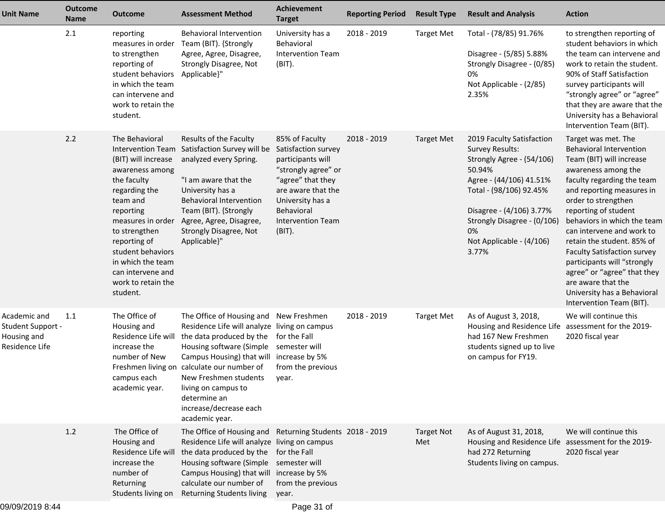| <b>Unit Name</b>                                                   | <b>Outcome</b><br><b>Name</b> | <b>Outcome</b>                                                                                                                                                                                                                                                           | <b>Assessment Method</b>                                                                                                                                                                                                                                                                                                                        | Achievement<br><b>Target</b>                                                                                                                                                  | <b>Reporting Period</b> | <b>Result Type</b>       | <b>Result and Analysis</b>                                                                                                                                                                                                                             | <b>Action</b>                                                                                                                                                                                                                                                                                                                                                                                                                                                                                     |
|--------------------------------------------------------------------|-------------------------------|--------------------------------------------------------------------------------------------------------------------------------------------------------------------------------------------------------------------------------------------------------------------------|-------------------------------------------------------------------------------------------------------------------------------------------------------------------------------------------------------------------------------------------------------------------------------------------------------------------------------------------------|-------------------------------------------------------------------------------------------------------------------------------------------------------------------------------|-------------------------|--------------------------|--------------------------------------------------------------------------------------------------------------------------------------------------------------------------------------------------------------------------------------------------------|---------------------------------------------------------------------------------------------------------------------------------------------------------------------------------------------------------------------------------------------------------------------------------------------------------------------------------------------------------------------------------------------------------------------------------------------------------------------------------------------------|
|                                                                    | 2.1                           | reporting<br>measures in order<br>to strengthen<br>reporting of<br>student behaviors<br>in which the team<br>can intervene and<br>work to retain the<br>student.                                                                                                         | <b>Behavioral Intervention</b><br>Team (BIT). {Strongly<br>Agree, Agree, Disagree,<br>Strongly Disagree, Not<br>Applicable}"                                                                                                                                                                                                                    | University has a<br>Behavioral<br><b>Intervention Team</b><br>(BIT).                                                                                                          | 2018 - 2019             | <b>Target Met</b>        | Total - (78/85) 91.76%<br>Disagree - (5/85) 5.88%<br>Strongly Disagree - (0/85)<br>0%<br>Not Applicable - (2/85)<br>2.35%                                                                                                                              | to strengthen reporting of<br>student behaviors in which<br>the team can intervene and<br>work to retain the student.<br>90% of Staff Satisfaction<br>survey participants will<br>"strongly agree" or "agree"<br>that they are aware that the<br>University has a Behavioral<br>Intervention Team (BIT).                                                                                                                                                                                          |
|                                                                    | 2.2                           | The Behavioral<br>(BIT) will increase<br>awareness among<br>the faculty<br>regarding the<br>team and<br>reporting<br>measures in order<br>to strengthen<br>reporting of<br>student behaviors<br>in which the team<br>can intervene and<br>work to retain the<br>student. | Results of the Faculty<br>Intervention Team Satisfaction Survey will be Satisfaction survey<br>analyzed every Spring.<br>"I am aware that the<br>University has a<br>Behavioral Intervention<br>Team (BIT). {Strongly<br>Agree, Agree, Disagree,<br>Strongly Disagree, Not<br>Applicable}"                                                      | 85% of Faculty<br>participants will<br>"strongly agree" or<br>"agree" that they<br>are aware that the<br>University has a<br>Behavioral<br><b>Intervention Team</b><br>(BIT). | 2018 - 2019             | <b>Target Met</b>        | 2019 Faculty Satisfaction<br><b>Survey Results:</b><br>Strongly Agree - (54/106)<br>50.94%<br>Agree - (44/106) 41.51%<br>Total - (98/106) 92.45%<br>Disagree - (4/106) 3.77%<br>Strongly Disagree - (0/106)<br>0%<br>Not Applicable - (4/106)<br>3.77% | Target was met. The<br><b>Behavioral Intervention</b><br>Team (BIT) will increase<br>awareness among the<br>faculty regarding the team<br>and reporting measures in<br>order to strengthen<br>reporting of student<br>behaviors in which the team<br>can intervene and work to<br>retain the student. 85% of<br><b>Faculty Satisfaction survey</b><br>participants will "strongly<br>agree" or "agree" that they<br>are aware that the<br>University has a Behavioral<br>Intervention Team (BIT). |
| Academic and<br>Student Support -<br>Housing and<br>Residence Life | 1.1                           | The Office of<br>Housing and<br>Residence Life will<br>increase the<br>number of New<br>Freshmen living on<br>campus each<br>academic year.                                                                                                                              | The Office of Housing and New Freshmen<br>Residence Life will analyze living on campus<br>the data produced by the<br>Housing software (Simple semester will<br>Campus Housing) that will increase by 5%<br>calculate our number of<br>New Freshmen students<br>living on campus to<br>determine an<br>increase/decrease each<br>academic year. | for the Fall<br>from the previous<br>year.                                                                                                                                    | 2018 - 2019             | <b>Target Met</b>        | As of August 3, 2018,<br>Housing and Residence Life assessment for the 2019-<br>had 167 New Freshmen<br>students signed up to live<br>on campus for FY19.                                                                                              | We will continue this<br>2020 fiscal year                                                                                                                                                                                                                                                                                                                                                                                                                                                         |
|                                                                    | 1.2                           | The Office of<br>Housing and<br>Residence Life will<br>increase the<br>number of<br>Returning<br>Students living on                                                                                                                                                      | The Office of Housing and Returning Students 2018 - 2019<br>Residence Life will analyze living on campus<br>the data produced by the for the Fall<br>Housing software (Simple semester will<br>Campus Housing) that will increase by 5%<br>calculate our number of<br>Returning Students living year.                                           | from the previous                                                                                                                                                             |                         | <b>Target Not</b><br>Met | As of August 31, 2018,<br>Housing and Residence Life assessment for the 2019-<br>had 272 Returning<br>Students living on campus.                                                                                                                       | We will continue this<br>2020 fiscal year                                                                                                                                                                                                                                                                                                                                                                                                                                                         |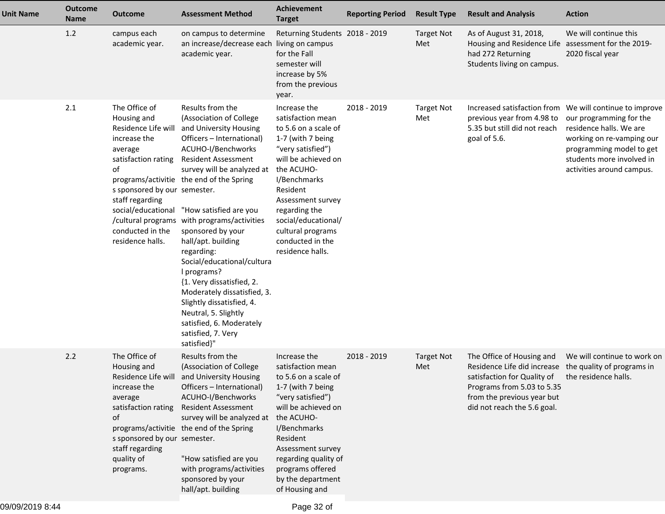| <b>Unit Name</b> | <b>Outcome</b><br><b>Name</b> | <b>Outcome</b>                                                                                                                                                                                         | <b>Assessment Method</b>                                                                                                                                                                                                                                                                                                                                                                                                                                                                                                                                                                                             | <b>Achievement</b><br><b>Target</b>                                                                                                                                                                                                                                                            | <b>Reporting Period</b> | <b>Result Type</b>       | <b>Result and Analysis</b>                                                                                                                                                         | <b>Action</b>                                                                                                                                                                                                                    |
|------------------|-------------------------------|--------------------------------------------------------------------------------------------------------------------------------------------------------------------------------------------------------|----------------------------------------------------------------------------------------------------------------------------------------------------------------------------------------------------------------------------------------------------------------------------------------------------------------------------------------------------------------------------------------------------------------------------------------------------------------------------------------------------------------------------------------------------------------------------------------------------------------------|------------------------------------------------------------------------------------------------------------------------------------------------------------------------------------------------------------------------------------------------------------------------------------------------|-------------------------|--------------------------|------------------------------------------------------------------------------------------------------------------------------------------------------------------------------------|----------------------------------------------------------------------------------------------------------------------------------------------------------------------------------------------------------------------------------|
|                  | 1.2                           | campus each<br>academic year.                                                                                                                                                                          | on campus to determine<br>an increase/decrease each living on campus<br>academic year.                                                                                                                                                                                                                                                                                                                                                                                                                                                                                                                               | Returning Students 2018 - 2019<br>for the Fall<br>semester will<br>increase by 5%<br>from the previous<br>year.                                                                                                                                                                                |                         | <b>Target Not</b><br>Met | As of August 31, 2018,<br>Housing and Residence Life assessment for the 2019-<br>had 272 Returning<br>Students living on campus.                                                   | We will continue this<br>2020 fiscal year                                                                                                                                                                                        |
|                  | 2.1                           | The Office of<br>Housing and<br>Residence Life will<br>increase the<br>average<br>satisfaction rating<br>of<br>s sponsored by our semester.<br>staff regarding<br>conducted in the<br>residence halls. | Results from the<br>(Association of College<br>and University Housing<br>Officers - International)<br>ACUHO-I/Benchworks<br><b>Resident Assessment</b><br>survey will be analyzed at<br>programs/activitie the end of the Spring<br>social/educational "How satisfied are you<br>/cultural programs with programs/activities<br>sponsored by your<br>hall/apt. building<br>regarding:<br>Social/educational/cultura<br>I programs?<br>{1. Very dissatisfied, 2.<br>Moderately dissatisfied, 3.<br>Slightly dissatisfied, 4.<br>Neutral, 5. Slightly<br>satisfied, 6. Moderately<br>satisfied, 7. Very<br>satisfied}" | Increase the<br>satisfaction mean<br>to 5.6 on a scale of<br>1-7 (with 7 being<br>"very satisfied")<br>will be achieved on<br>the ACUHO-<br>I/Benchmarks<br>Resident<br>Assessment survey<br>regarding the<br>social/educational/<br>cultural programs<br>conducted in the<br>residence halls. | 2018 - 2019             | <b>Target Not</b><br>Met | previous year from 4.98 to<br>5.35 but still did not reach<br>goal of 5.6.                                                                                                         | Increased satisfaction from We will continue to improve<br>our programming for the<br>residence halls. We are<br>working on re-vamping our<br>programming model to get<br>students more involved in<br>activities around campus. |
|                  | 2.2                           | The Office of<br>Housing and<br>Residence Life will<br>increase the<br>average<br>satisfaction rating<br>of<br>s sponsored by our semester.<br>staff regarding<br>quality of<br>programs.              | Results from the<br>(Association of College<br>and University Housing<br>Officers - International)<br>ACUHO-I/Benchworks<br><b>Resident Assessment</b><br>survey will be analyzed at<br>programs/activitie the end of the Spring<br>"How satisfied are you<br>with programs/activities<br>sponsored by your<br>hall/apt. building                                                                                                                                                                                                                                                                                    | Increase the<br>satisfaction mean<br>to 5.6 on a scale of<br>1-7 (with 7 being<br>"very satisfied")<br>will be achieved on<br>the ACUHO-<br>I/Benchmarks<br>Resident<br>Assessment survey<br>regarding quality of<br>programs offered<br>by the department<br>of Housing and                   | 2018 - 2019             | <b>Target Not</b><br>Met | The Office of Housing and<br>Residence Life did increase<br>satisfaction for Quality of<br>Programs from 5.03 to 5.35<br>from the previous year but<br>did not reach the 5.6 goal. | We will continue to work on<br>the quality of programs in<br>the residence halls.                                                                                                                                                |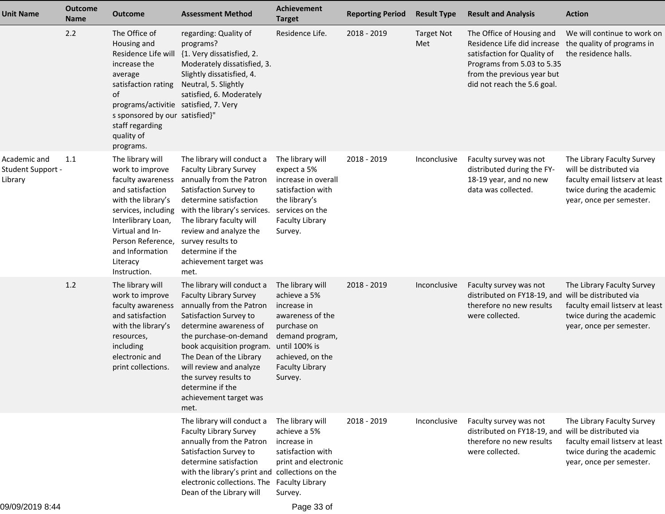| <b>Unit Name</b>                             | <b>Outcome</b><br><b>Name</b> | <b>Outcome</b>                                                                                                                                                                                                                         | <b>Assessment Method</b>                                                                                                                                                                                                                                                                                                                | Achievement<br><b>Target</b>                                                                                                                                                    | <b>Reporting Period</b> | <b>Result Type</b>       | <b>Result and Analysis</b>                                                                                                                                                         | <b>Action</b>                                                                                                                                     |
|----------------------------------------------|-------------------------------|----------------------------------------------------------------------------------------------------------------------------------------------------------------------------------------------------------------------------------------|-----------------------------------------------------------------------------------------------------------------------------------------------------------------------------------------------------------------------------------------------------------------------------------------------------------------------------------------|---------------------------------------------------------------------------------------------------------------------------------------------------------------------------------|-------------------------|--------------------------|------------------------------------------------------------------------------------------------------------------------------------------------------------------------------------|---------------------------------------------------------------------------------------------------------------------------------------------------|
|                                              | 2.2                           | The Office of<br>Housing and<br>Residence Life wil<br>increase the<br>average<br>satisfaction rating<br>of<br>programs/activitie satisfied, 7. Very<br>s sponsored by our satisfied}"<br>staff regarding<br>quality of<br>programs.    | regarding: Quality of<br>programs?<br>{1. Very dissatisfied, 2.<br>Moderately dissatisfied, 3.<br>Slightly dissatisfied, 4.<br>Neutral, 5. Slightly<br>satisfied, 6. Moderately                                                                                                                                                         | Residence Life.                                                                                                                                                                 | 2018 - 2019             | <b>Target Not</b><br>Met | The Office of Housing and<br>Residence Life did increase<br>satisfaction for Quality of<br>Programs from 5.03 to 5.35<br>from the previous year but<br>did not reach the 5.6 goal. | We will continue to work on<br>the quality of programs in<br>the residence halls.                                                                 |
| Academic and<br>Student Support -<br>Library | 1.1                           | The library will<br>work to improve<br>faculty awareness<br>and satisfaction<br>with the library's<br>services, including<br>Interlibrary Loan,<br>Virtual and In-<br>Person Reference,<br>and Information<br>Literacy<br>Instruction. | The library will conduct a<br><b>Faculty Library Survey</b><br>annually from the Patron<br>Satisfaction Survey to<br>determine satisfaction<br>with the library's services.<br>The library faculty will<br>review and analyze the<br>survey results to<br>determine if the<br>achievement target was<br>met.                            | The library will<br>expect a 5%<br>increase in overall<br>satisfaction with<br>the library's<br>services on the<br><b>Faculty Library</b><br>Survey.                            | 2018 - 2019             | Inconclusive             | Faculty survey was not<br>distributed during the FY-<br>18-19 year, and no new<br>data was collected.                                                                              | The Library Faculty Survey<br>will be distributed via<br>faculty email listserv at least<br>twice during the academic<br>year, once per semester. |
|                                              | 1.2                           | The library will<br>work to improve<br>faculty awareness<br>and satisfaction<br>with the library's<br>resources,<br>including<br>electronic and<br>print collections.                                                                  | The library will conduct a<br><b>Faculty Library Survey</b><br>annually from the Patron<br>Satisfaction Survey to<br>determine awareness of<br>the purchase-on-demand<br>book acquisition program.<br>The Dean of the Library<br>will review and analyze<br>the survey results to<br>determine if the<br>achievement target was<br>met. | The library will<br>achieve a 5%<br>increase in<br>awareness of the<br>purchase on<br>demand program,<br>until 100% is<br>achieved, on the<br><b>Faculty Library</b><br>Survey. | 2018 - 2019             | Inconclusive             | Faculty survey was not<br>distributed on FY18-19, and will be distributed via<br>therefore no new results<br>were collected.                                                       | The Library Faculty Survey<br>faculty email listserv at least<br>twice during the academic<br>year, once per semester.                            |
|                                              |                               |                                                                                                                                                                                                                                        | The library will conduct a<br><b>Faculty Library Survey</b><br>annually from the Patron<br>Satisfaction Survey to<br>determine satisfaction<br>with the library's print and collections on the<br>electronic collections. The Faculty Library<br>Dean of the Library will                                                               | The library will<br>achieve a 5%<br>increase in<br>satisfaction with<br>print and electronic<br>Survey.                                                                         | 2018 - 2019             | Inconclusive             | Faculty survey was not<br>distributed on FY18-19, and will be distributed via<br>therefore no new results<br>were collected.                                                       | The Library Faculty Survey<br>faculty email listserv at least<br>twice during the academic<br>year, once per semester.                            |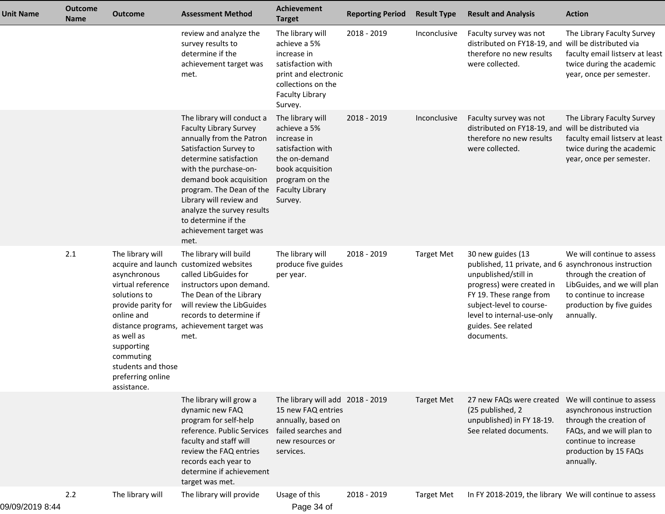| <b>Unit Name</b> | <b>Outcome</b><br>Name | <b>Outcome</b>                                                                                                                                                                                               | <b>Assessment Method</b>                                                                                                                                                                                                                                                                                                                      | <b>Achievement</b><br><b>Target</b>                                                                                                                              | <b>Reporting Period</b> | <b>Result Type</b> | <b>Result and Analysis</b>                                                                                                                                                                                                       | <b>Action</b>                                                                                                                                                                         |
|------------------|------------------------|--------------------------------------------------------------------------------------------------------------------------------------------------------------------------------------------------------------|-----------------------------------------------------------------------------------------------------------------------------------------------------------------------------------------------------------------------------------------------------------------------------------------------------------------------------------------------|------------------------------------------------------------------------------------------------------------------------------------------------------------------|-------------------------|--------------------|----------------------------------------------------------------------------------------------------------------------------------------------------------------------------------------------------------------------------------|---------------------------------------------------------------------------------------------------------------------------------------------------------------------------------------|
|                  |                        |                                                                                                                                                                                                              | review and analyze the<br>survey results to<br>determine if the<br>achievement target was<br>met.                                                                                                                                                                                                                                             | The library will<br>achieve a 5%<br>increase in<br>satisfaction with<br>print and electronic<br>collections on the<br><b>Faculty Library</b><br>Survey.          | 2018 - 2019             | Inconclusive       | Faculty survey was not<br>distributed on FY18-19, and will be distributed via<br>therefore no new results<br>were collected.                                                                                                     | The Library Faculty Survey<br>faculty email listserv at least<br>twice during the academic<br>year, once per semester.                                                                |
|                  |                        |                                                                                                                                                                                                              | The library will conduct a<br><b>Faculty Library Survey</b><br>annually from the Patron<br>Satisfaction Survey to<br>determine satisfaction<br>with the purchase-on-<br>demand book acquisition<br>program. The Dean of the<br>Library will review and<br>analyze the survey results<br>to determine if the<br>achievement target was<br>met. | The library will<br>achieve a 5%<br>increase in<br>satisfaction with<br>the on-demand<br>book acquisition<br>program on the<br><b>Faculty Library</b><br>Survey. | 2018 - 2019             | Inconclusive       | Faculty survey was not<br>distributed on FY18-19, and will be distributed via<br>therefore no new results<br>were collected.                                                                                                     | The Library Faculty Survey<br>faculty email listserv at least<br>twice during the academic<br>year, once per semester.                                                                |
|                  | 2.1                    | The library will<br>asynchronous<br>virtual reference<br>solutions to<br>provide parity for<br>online and<br>as well as<br>supporting<br>commuting<br>students and those<br>preferring online<br>assistance. | The library will build<br>acquire and launch customized websites<br>called LibGuides for<br>instructors upon demand.<br>The Dean of the Library<br>will review the LibGuides<br>records to determine if<br>distance programs, achievement target was<br>met.                                                                                  | The library will<br>produce five guides<br>per year.                                                                                                             | 2018 - 2019             | <b>Target Met</b>  | 30 new guides (13<br>published, 11 private, and 6<br>unpublished/still in<br>progress) were created in<br>FY 19. These range from<br>subject-level to course-<br>level to internal-use-only<br>guides. See related<br>documents. | We will continue to assess<br>asynchronous instruction<br>through the creation of<br>LibGuides, and we will plan<br>to continue to increase<br>production by five guides<br>annually. |
|                  |                        |                                                                                                                                                                                                              | The library will grow a<br>dynamic new FAQ<br>program for self-help<br>reference. Public Services<br>faculty and staff will<br>review the FAQ entries<br>records each year to<br>determine if achievement<br>target was met.                                                                                                                  | The library will add 2018 - 2019<br>15 new FAQ entries<br>annually, based on<br>failed searches and<br>new resources or<br>services.                             |                         | <b>Target Met</b>  | 27 new FAQs were created<br>(25 published, 2)<br>unpublished) in FY 18-19.<br>See related documents.                                                                                                                             | We will continue to assess<br>asynchronous instruction<br>through the creation of<br>FAQs, and we will plan to<br>continue to increase<br>production by 15 FAQs<br>annually.          |
|                  | 2.2                    | The library will                                                                                                                                                                                             | The library will provide                                                                                                                                                                                                                                                                                                                      | Usage of this                                                                                                                                                    | 2018 - 2019             | <b>Target Met</b>  | In FY 2018-2019, the library We will continue to assess                                                                                                                                                                          |                                                                                                                                                                                       |

09/09/2019 8:44

Page 34 of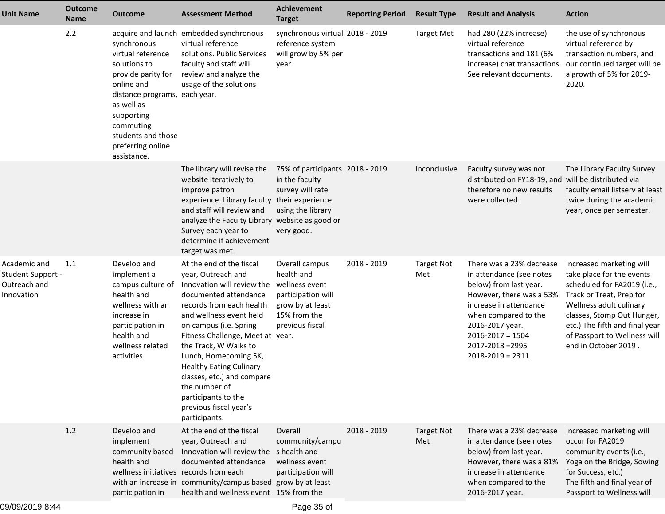| <b>Unit Name</b>                                                       | <b>Outcome</b><br><b>Name</b> | <b>Outcome</b>                                                                                                                                                                                                           | <b>Assessment Method</b>                                                                                                                                                                                                                                                                                                                                                                                                        | <b>Achievement</b><br><b>Target</b>                                                                                         | <b>Reporting Period</b> | <b>Result Type</b>       | <b>Result and Analysis</b>                                                                                                                                                                                                                          | <b>Action</b>                                                                                                                                                                                                                                                       |
|------------------------------------------------------------------------|-------------------------------|--------------------------------------------------------------------------------------------------------------------------------------------------------------------------------------------------------------------------|---------------------------------------------------------------------------------------------------------------------------------------------------------------------------------------------------------------------------------------------------------------------------------------------------------------------------------------------------------------------------------------------------------------------------------|-----------------------------------------------------------------------------------------------------------------------------|-------------------------|--------------------------|-----------------------------------------------------------------------------------------------------------------------------------------------------------------------------------------------------------------------------------------------------|---------------------------------------------------------------------------------------------------------------------------------------------------------------------------------------------------------------------------------------------------------------------|
|                                                                        | 2.2                           | synchronous<br>virtual reference<br>solutions to<br>provide parity for<br>online and<br>distance programs, each year.<br>as well as<br>supporting<br>commuting<br>students and those<br>preferring online<br>assistance. | acquire and launch embedded synchronous<br>virtual reference<br>solutions. Public Services<br>faculty and staff will<br>review and analyze the<br>usage of the solutions                                                                                                                                                                                                                                                        | synchronous virtual 2018 - 2019<br>reference system<br>will grow by 5% per<br>year.                                         |                         | <b>Target Met</b>        | had 280 (22% increase)<br>virtual reference<br>transactions and 181 (6%<br>increase) chat transactions.<br>See relevant documents.                                                                                                                  | the use of synchronous<br>virtual reference by<br>transaction numbers, and<br>our continued target will be<br>a growth of 5% for 2019-<br>2020.                                                                                                                     |
|                                                                        |                               |                                                                                                                                                                                                                          | The library will revise the<br>website iteratively to<br>improve patron<br>experience. Library faculty their experience<br>and staff will review and<br>analyze the Faculty Library website as good or<br>Survey each year to<br>determine if achievement<br>target was met.                                                                                                                                                    | 75% of participants 2018 - 2019<br>in the faculty<br>survey will rate<br>using the library<br>very good.                    |                         | Inconclusive             | Faculty survey was not<br>distributed on FY18-19, and will be distributed via<br>therefore no new results<br>were collected.                                                                                                                        | The Library Faculty Survey<br>faculty email listserv at least<br>twice during the academic<br>year, once per semester.                                                                                                                                              |
| Academic and<br><b>Student Support -</b><br>Outreach and<br>Innovation | 1.1                           | Develop and<br>implement a<br>campus culture of<br>health and<br>wellness with an<br>increase in<br>participation in<br>health and<br>wellness related<br>activities.                                                    | At the end of the fiscal<br>year, Outreach and<br>Innovation will review the<br>documented attendance<br>records from each health<br>and wellness event held<br>on campus (i.e. Spring<br>Fitness Challenge, Meet at year.<br>the Track, W Walks to<br>Lunch, Homecoming 5K,<br><b>Healthy Eating Culinary</b><br>classes, etc.) and compare<br>the number of<br>participants to the<br>previous fiscal year's<br>participants. | Overall campus<br>health and<br>wellness event<br>participation will<br>grow by at least<br>15% from the<br>previous fiscal | 2018 - 2019             | <b>Target Not</b><br>Met | There was a 23% decrease<br>in attendance (see notes<br>below) from last year.<br>However, there was a 53%<br>increase in attendance<br>when compared to the<br>2016-2017 year.<br>$2016 - 2017 = 1504$<br>2017-2018 = 2995<br>$2018 - 2019 = 2311$ | Increased marketing will<br>take place for the events<br>scheduled for FA2019 (i.e.,<br>Track or Treat, Prep for<br>Wellness adult culinary<br>classes, Stomp Out Hunger,<br>etc.) The fifth and final year<br>of Passport to Wellness will<br>end in October 2019. |
|                                                                        | 1.2                           | Develop and<br>implement<br>community based<br>health and<br>wellness initiatives records from each<br>participation in                                                                                                  | At the end of the fiscal<br>year, Outreach and<br>Innovation will review the shealth and<br>documented attendance<br>with an increase in community/campus based grow by at least<br>health and wellness event 15% from the                                                                                                                                                                                                      | Overall<br>community/campu<br>wellness event<br>participation will                                                          | 2018 - 2019             | <b>Target Not</b><br>Met | There was a 23% decrease<br>in attendance (see notes<br>below) from last year.<br>However, there was a 81%<br>increase in attendance<br>when compared to the<br>2016-2017 year.                                                                     | Increased marketing will<br>occur for FA2019<br>community events (i.e.,<br>Yoga on the Bridge, Sowing<br>for Success, etc.)<br>The fifth and final year of<br>Passport to Wellness will                                                                             |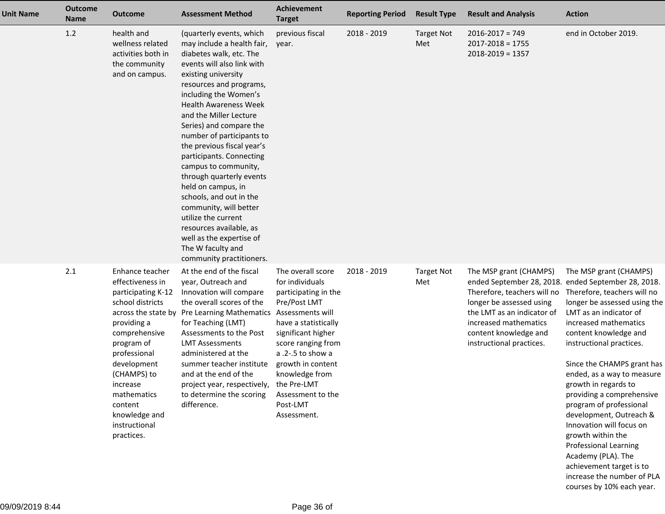| <b>Unit Name</b> | <b>Outcome</b><br><b>Name</b> | <b>Outcome</b>                                                                                                                                                                                                                                                  | <b>Assessment Method</b>                                                                                                                                                                                                                                                                                                                                                                                                                                                                                                                                                                                                             | <b>Achievement</b><br><b>Target</b>                                                                                                                                                                                                                                         | <b>Reporting Period</b> | <b>Result Type</b>       | <b>Result and Analysis</b>                                                                                                                                                                                                                           | <b>Action</b>                                                                                                                                                                                                                                                                                                                                                                                                                                                                                                                         |
|------------------|-------------------------------|-----------------------------------------------------------------------------------------------------------------------------------------------------------------------------------------------------------------------------------------------------------------|--------------------------------------------------------------------------------------------------------------------------------------------------------------------------------------------------------------------------------------------------------------------------------------------------------------------------------------------------------------------------------------------------------------------------------------------------------------------------------------------------------------------------------------------------------------------------------------------------------------------------------------|-----------------------------------------------------------------------------------------------------------------------------------------------------------------------------------------------------------------------------------------------------------------------------|-------------------------|--------------------------|------------------------------------------------------------------------------------------------------------------------------------------------------------------------------------------------------------------------------------------------------|---------------------------------------------------------------------------------------------------------------------------------------------------------------------------------------------------------------------------------------------------------------------------------------------------------------------------------------------------------------------------------------------------------------------------------------------------------------------------------------------------------------------------------------|
|                  | 1.2                           | health and<br>wellness related<br>activities both in<br>the community<br>and on campus.                                                                                                                                                                         | (quarterly events, which<br>may include a health fair,<br>diabetes walk, etc. The<br>events will also link with<br>existing university<br>resources and programs,<br>including the Women's<br><b>Health Awareness Week</b><br>and the Miller Lecture<br>Series) and compare the<br>number of participants to<br>the previous fiscal year's<br>participants. Connecting<br>campus to community,<br>through quarterly events<br>held on campus, in<br>schools, and out in the<br>community, will better<br>utilize the current<br>resources available, as<br>well as the expertise of<br>The W faculty and<br>community practitioners. | previous fiscal<br>year.                                                                                                                                                                                                                                                    | 2018 - 2019             | <b>Target Not</b><br>Met | $2016 - 2017 = 749$<br>$2017 - 2018 = 1755$<br>$2018 - 2019 = 1357$                                                                                                                                                                                  | end in October 2019.                                                                                                                                                                                                                                                                                                                                                                                                                                                                                                                  |
|                  | 2.1                           | Enhance teacher<br>effectiveness in<br>participating K-12<br>school districts<br>providing a<br>comprehensive<br>program of<br>professional<br>development<br>(CHAMPS) to<br>increase<br>mathematics<br>content<br>knowledge and<br>instructional<br>practices. | At the end of the fiscal<br>year, Outreach and<br>Innovation will compare<br>the overall scores of the<br>across the state by Pre Learning Mathematics Assessments will<br>for Teaching (LMT)<br>Assessments to the Post<br><b>LMT Assessments</b><br>administered at the<br>summer teacher institute<br>and at the end of the<br>project year, respectively,<br>to determine the scoring<br>difference.                                                                                                                                                                                                                             | The overall score<br>for individuals<br>participating in the<br>Pre/Post LMT<br>have a statistically<br>significant higher<br>score ranging from<br>a .2-.5 to show a<br>growth in content<br>knowledge from<br>the Pre-LMT<br>Assessment to the<br>Post-LMT<br>Assessment. | 2018 - 2019             | <b>Target Not</b><br>Met | The MSP grant (CHAMPS)<br>ended September 28, 2018. ended September 28, 2018.<br>Therefore, teachers will no<br>longer be assessed using<br>the LMT as an indicator of<br>increased mathematics<br>content knowledge and<br>instructional practices. | The MSP grant (CHAMPS)<br>Therefore, teachers will no<br>longer be assessed using the<br>LMT as an indicator of<br>increased mathematics<br>content knowledge and<br>instructional practices.<br>Since the CHAMPS grant has<br>ended, as a way to measure<br>growth in regards to<br>providing a comprehensive<br>program of professional<br>development, Outreach &<br>Innovation will focus on<br>growth within the<br><b>Professional Learning</b><br>Academy (PLA). The<br>achievement target is to<br>increase the number of PLA |

courses by 10% each year.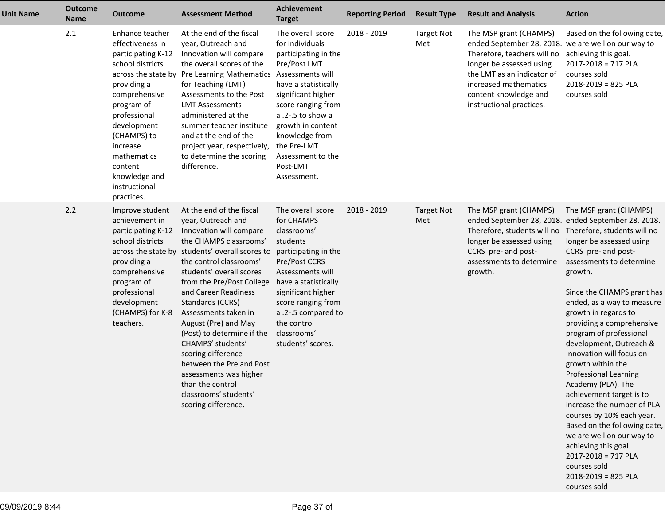| <b>Unit Name</b> | <b>Outcome</b><br><b>Name</b> | <b>Outcome</b>                                                                                                                                                                                                                                                  | <b>Assessment Method</b>                                                                                                                                                                                                                                                                                                                                                                                                                                                                                                                  | Achievement<br><b>Target</b>                                                                                                                                                                                                                                          | <b>Reporting Period</b> | <b>Result Type</b>       | <b>Result and Analysis</b>                                                                                                                                                                                                                           | <b>Action</b>                                                                                                                                                                                                                                                                                                                                                                                                                                                                                                                                                                                                                                                                                                                      |
|------------------|-------------------------------|-----------------------------------------------------------------------------------------------------------------------------------------------------------------------------------------------------------------------------------------------------------------|-------------------------------------------------------------------------------------------------------------------------------------------------------------------------------------------------------------------------------------------------------------------------------------------------------------------------------------------------------------------------------------------------------------------------------------------------------------------------------------------------------------------------------------------|-----------------------------------------------------------------------------------------------------------------------------------------------------------------------------------------------------------------------------------------------------------------------|-------------------------|--------------------------|------------------------------------------------------------------------------------------------------------------------------------------------------------------------------------------------------------------------------------------------------|------------------------------------------------------------------------------------------------------------------------------------------------------------------------------------------------------------------------------------------------------------------------------------------------------------------------------------------------------------------------------------------------------------------------------------------------------------------------------------------------------------------------------------------------------------------------------------------------------------------------------------------------------------------------------------------------------------------------------------|
|                  | 2.1                           | Enhance teacher<br>effectiveness in<br>participating K-12<br>school districts<br>providing a<br>comprehensive<br>program of<br>professional<br>development<br>(CHAMPS) to<br>increase<br>mathematics<br>content<br>knowledge and<br>instructional<br>practices. | At the end of the fiscal<br>year, Outreach and<br>Innovation will compare<br>the overall scores of the<br>across the state by Pre Learning Mathematics Assessments will<br>for Teaching (LMT)<br>Assessments to the Post<br><b>LMT Assessments</b><br>administered at the<br>summer teacher institute<br>and at the end of the<br>project year, respectively, the Pre-LMT<br>to determine the scoring<br>difference.                                                                                                                      | The overall score<br>for individuals<br>participating in the<br>Pre/Post LMT<br>have a statistically<br>significant higher<br>score ranging from<br>a .2-.5 to show a<br>growth in content<br>knowledge from<br>Assessment to the<br>Post-LMT<br>Assessment.          | 2018 - 2019             | <b>Target Not</b><br>Met | The MSP grant (CHAMPS)<br>ended September 28, 2018. we are well on our way to<br>Therefore, teachers will no<br>longer be assessed using<br>the LMT as an indicator of<br>increased mathematics<br>content knowledge and<br>instructional practices. | Based on the following date,<br>achieving this goal.<br>$2017 - 2018 = 717$ PLA<br>courses sold<br>$2018 - 2019 = 825$ PLA<br>courses sold                                                                                                                                                                                                                                                                                                                                                                                                                                                                                                                                                                                         |
|                  | 2.2                           | Improve student<br>achievement in<br>participating K-12<br>school districts<br>providing a<br>comprehensive<br>program of<br>professional<br>development<br>(CHAMPS) for K-8<br>teachers.                                                                       | At the end of the fiscal<br>year, Outreach and<br>Innovation will compare<br>the CHAMPS classrooms'<br>across the state by students' overall scores to<br>the control classrooms'<br>students' overall scores<br>from the Pre/Post College<br>and Career Readiness<br>Standards (CCRS)<br>Assessments taken in<br>August (Pre) and May<br>(Post) to determine if the<br>CHAMPS' students'<br>scoring difference<br>between the Pre and Post<br>assessments was higher<br>than the control<br>classrooms' students'<br>scoring difference. | The overall score<br>for CHAMPS<br>classrooms'<br>students<br>participating in the<br>Pre/Post CCRS<br>Assessments will<br>have a statistically<br>significant higher<br>score ranging from<br>a .2-.5 compared to<br>the control<br>classrooms'<br>students' scores. | 2018 - 2019             | <b>Target Not</b><br>Met | The MSP grant (CHAMPS)<br>Therefore, students will no<br>longer be assessed using<br>CCRS pre- and post-<br>assessments to determine<br>growth.                                                                                                      | The MSP grant (CHAMPS)<br>ended September 28, 2018. ended September 28, 2018.<br>Therefore, students will no<br>longer be assessed using<br>CCRS pre- and post-<br>assessments to determine<br>growth.<br>Since the CHAMPS grant has<br>ended, as a way to measure<br>growth in regards to<br>providing a comprehensive<br>program of professional<br>development, Outreach &<br>Innovation will focus on<br>growth within the<br><b>Professional Learning</b><br>Academy (PLA). The<br>achievement target is to<br>increase the number of PLA<br>courses by 10% each year.<br>Based on the following date,<br>we are well on our way to<br>achieving this goal.<br>2017-2018 = 717 PLA<br>courses sold<br>$2018 - 2019 = 825$ PLA |

courses sold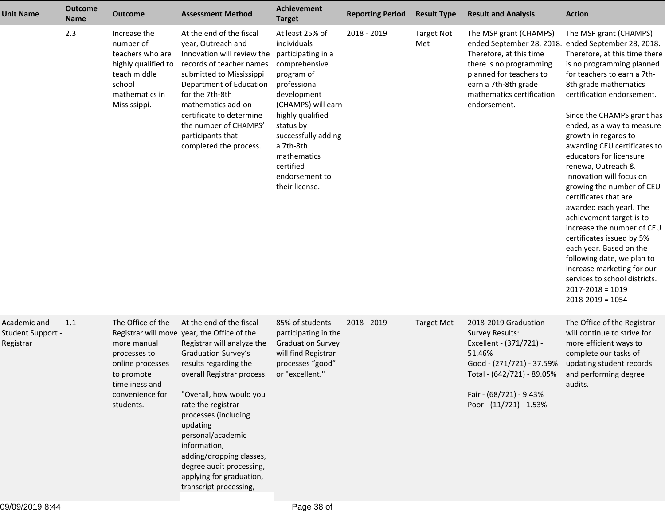| <b>Unit Name</b>                               | <b>Outcome</b><br><b>Name</b> | <b>Outcome</b>                                                                                                                       | <b>Assessment Method</b>                                                                                                                                                                                                                                                                                                                                                                                                    | Achievement<br><b>Target</b>                                                                                                                                                                                                                                                  | <b>Reporting Period</b> | <b>Result Type</b>       | <b>Result and Analysis</b>                                                                                                                                                                                | <b>Action</b>                                                                                                                                                                                                                                                                                                                                                                                                                                                                                                                                                                                                                                                                                                                                            |
|------------------------------------------------|-------------------------------|--------------------------------------------------------------------------------------------------------------------------------------|-----------------------------------------------------------------------------------------------------------------------------------------------------------------------------------------------------------------------------------------------------------------------------------------------------------------------------------------------------------------------------------------------------------------------------|-------------------------------------------------------------------------------------------------------------------------------------------------------------------------------------------------------------------------------------------------------------------------------|-------------------------|--------------------------|-----------------------------------------------------------------------------------------------------------------------------------------------------------------------------------------------------------|----------------------------------------------------------------------------------------------------------------------------------------------------------------------------------------------------------------------------------------------------------------------------------------------------------------------------------------------------------------------------------------------------------------------------------------------------------------------------------------------------------------------------------------------------------------------------------------------------------------------------------------------------------------------------------------------------------------------------------------------------------|
|                                                | 2.3                           | Increase the<br>number of<br>teachers who are<br>highly qualified to<br>teach middle<br>school<br>mathematics in<br>Mississippi.     | At the end of the fiscal<br>year, Outreach and<br>Innovation will review the<br>records of teacher names<br>submitted to Mississippi<br>Department of Education<br>for the 7th-8th<br>mathematics add-on<br>certificate to determine<br>the number of CHAMPS'<br>participants that<br>completed the process.                                                                                                                | At least 25% of<br>individuals<br>participating in a<br>comprehensive<br>program of<br>professional<br>development<br>(CHAMPS) will earn<br>highly qualified<br>status by<br>successfully adding<br>a 7th-8th<br>mathematics<br>certified<br>endorsement to<br>their license. | 2018 - 2019             | <b>Target Not</b><br>Met | The MSP grant (CHAMPS)<br>ended September 28, 2018.<br>Therefore, at this time<br>there is no programming<br>planned for teachers to<br>earn a 7th-8th grade<br>mathematics certification<br>endorsement. | The MSP grant (CHAMPS)<br>ended September 28, 2018.<br>Therefore, at this time there<br>is no programming planned<br>for teachers to earn a 7th-<br>8th grade mathematics<br>certification endorsement.<br>Since the CHAMPS grant has<br>ended, as a way to measure<br>growth in regards to<br>awarding CEU certificates to<br>educators for licensure<br>renewa, Outreach &<br>Innovation will focus on<br>growing the number of CEU<br>certificates that are<br>awarded each yearl. The<br>achievement target is to<br>increase the number of CEU<br>certificates issued by 5%<br>each year. Based on the<br>following date, we plan to<br>increase marketing for our<br>services to school districts.<br>$2017 - 2018 = 1019$<br>$2018 - 2019 = 1054$ |
| Academic and<br>Student Support -<br>Registrar | 1.1                           | The Office of the<br>more manual<br>processes to<br>online processes<br>to promote<br>timeliness and<br>convenience for<br>students. | At the end of the fiscal<br>Registrar will move year, the Office of the<br>Registrar will analyze the<br>Graduation Survey's<br>results regarding the<br>overall Registrar process.<br>"Overall, how would you<br>rate the registrar<br>processes (including<br>updating<br>personal/academic<br>information,<br>adding/dropping classes,<br>degree audit processing,<br>applying for graduation,<br>transcript processing, | 85% of students<br>participating in the<br><b>Graduation Survey</b><br>will find Registrar<br>processes "good"<br>or "excellent."                                                                                                                                             | 2018 - 2019             | <b>Target Met</b>        | 2018-2019 Graduation<br><b>Survey Results:</b><br>Excellent - (371/721) -<br>51.46%<br>Good - (271/721) - 37.59%<br>Total - (642/721) - 89.05%<br>Fair - (68/721) - 9.43%<br>Poor - (11/721) - 1.53%      | The Office of the Registrar<br>will continue to strive for<br>more efficient ways to<br>complete our tasks of<br>updating student records<br>and performing degree<br>audits.                                                                                                                                                                                                                                                                                                                                                                                                                                                                                                                                                                            |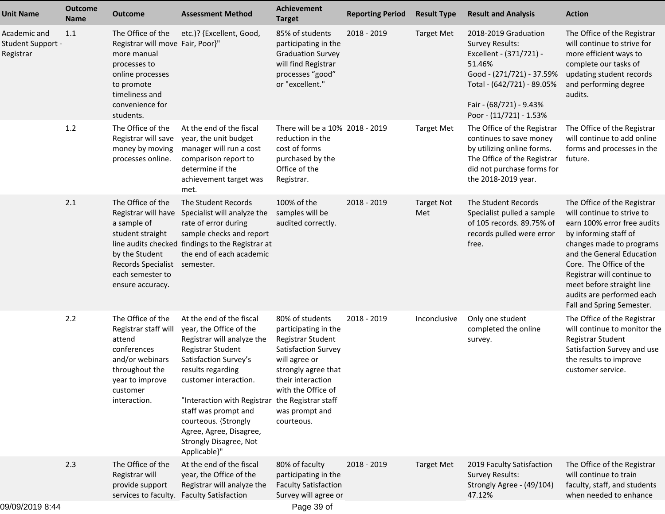| <b>Unit Name</b>                               | <b>Outcome</b><br><b>Name</b> | <b>Outcome</b>                                                                                                                                                           | <b>Assessment Method</b>                                                                                                                                                                                                                                                                                                                                     | <b>Achievement</b><br><b>Target</b>                                                                                                                                                                    | <b>Reporting Period</b> | <b>Result Type</b>       | <b>Result and Analysis</b>                                                                                                                                                                           | <b>Action</b>                                                                                                                                                                                                                                                                                                              |
|------------------------------------------------|-------------------------------|--------------------------------------------------------------------------------------------------------------------------------------------------------------------------|--------------------------------------------------------------------------------------------------------------------------------------------------------------------------------------------------------------------------------------------------------------------------------------------------------------------------------------------------------------|--------------------------------------------------------------------------------------------------------------------------------------------------------------------------------------------------------|-------------------------|--------------------------|------------------------------------------------------------------------------------------------------------------------------------------------------------------------------------------------------|----------------------------------------------------------------------------------------------------------------------------------------------------------------------------------------------------------------------------------------------------------------------------------------------------------------------------|
| Academic and<br>Student Support -<br>Registrar | 1.1                           | The Office of the<br>Registrar will move Fair, Poor}"<br>more manual<br>processes to<br>online processes<br>to promote<br>timeliness and<br>convenience for<br>students. | etc.)? {Excellent, Good,                                                                                                                                                                                                                                                                                                                                     | 85% of students<br>participating in the<br><b>Graduation Survey</b><br>will find Registrar<br>processes "good"<br>or "excellent."                                                                      | 2018 - 2019             | <b>Target Met</b>        | 2018-2019 Graduation<br><b>Survey Results:</b><br>Excellent - (371/721) -<br>51.46%<br>Good - (271/721) - 37.59%<br>Total - (642/721) - 89.05%<br>Fair - (68/721) - 9.43%<br>Poor - (11/721) - 1.53% | The Office of the Registrar<br>will continue to strive for<br>more efficient ways to<br>complete our tasks of<br>updating student records<br>and performing degree<br>audits.                                                                                                                                              |
|                                                | 1.2                           | The Office of the<br>Registrar will save<br>money by moving<br>processes online.                                                                                         | At the end of the fiscal<br>year, the unit budget<br>manager will run a cost<br>comparison report to<br>determine if the<br>achievement target was<br>met.                                                                                                                                                                                                   | There will be a 10% 2018 - 2019<br>reduction in the<br>cost of forms<br>purchased by the<br>Office of the<br>Registrar.                                                                                |                         | <b>Target Met</b>        | The Office of the Registrar<br>continues to save money<br>by utilizing online forms.<br>The Office of the Registrar<br>did not purchase forms for<br>the 2018-2019 year.                             | The Office of the Registrar<br>will continue to add online<br>forms and processes in the<br>future.                                                                                                                                                                                                                        |
|                                                | 2.1                           | The Office of the<br>Registrar will have<br>a sample of<br>student straight<br>by the Student<br>Records Specialist semester.<br>each semester to<br>ensure accuracy.    | The Student Records<br>Specialist will analyze the<br>rate of error during<br>sample checks and report<br>line audits checked findings to the Registrar at<br>the end of each academic                                                                                                                                                                       | 100% of the<br>samples will be<br>audited correctly.                                                                                                                                                   | 2018 - 2019             | <b>Target Not</b><br>Met | The Student Records<br>Specialist pulled a sample<br>of 105 records. 89.75% of<br>records pulled were error<br>free.                                                                                 | The Office of the Registrar<br>will continue to strive to<br>earn 100% error free audits<br>by informing staff of<br>changes made to programs<br>and the General Education<br>Core. The Office of the<br>Registrar will continue to<br>meet before straight line<br>audits are performed each<br>Fall and Spring Semester. |
|                                                | 2.2                           | The Office of the<br>Registrar staff will<br>attend<br>conferences<br>and/or webinars<br>throughout the<br>year to improve<br>customer<br>interaction.                   | At the end of the fiscal<br>year, the Office of the<br>Registrar will analyze the<br>Registrar Student<br>Satisfaction Survey's<br>results regarding<br>customer interaction.<br>"Interaction with Registrar the Registrar staff<br>staff was prompt and<br>courteous. {Strongly<br>Agree, Agree, Disagree,<br><b>Strongly Disagree, Not</b><br>Applicable}" | 80% of students<br>participating in the<br>Registrar Student<br>Satisfaction Survey<br>will agree or<br>strongly agree that<br>their interaction<br>with the Office of<br>was prompt and<br>courteous. | 2018 - 2019             | Inconclusive             | Only one student<br>completed the online<br>survey.                                                                                                                                                  | The Office of the Registrar<br>will continue to monitor the<br>Registrar Student<br>Satisfaction Survey and use<br>the results to improve<br>customer service.                                                                                                                                                             |
|                                                | 2.3                           | The Office of the<br>Registrar will<br>provide support                                                                                                                   | At the end of the fiscal<br>year, the Office of the<br>Registrar will analyze the<br>services to faculty. Faculty Satisfaction                                                                                                                                                                                                                               | 80% of faculty<br>participating in the<br><b>Faculty Satisfaction</b><br>Survey will agree or                                                                                                          | 2018 - 2019             | <b>Target Met</b>        | 2019 Faculty Satisfaction<br><b>Survey Results:</b><br>Strongly Agree - (49/104)<br>47.12%                                                                                                           | The Office of the Registrar<br>will continue to train<br>faculty, staff, and students<br>when needed to enhance                                                                                                                                                                                                            |
| 10/00/2010 0.11                                |                               |                                                                                                                                                                          |                                                                                                                                                                                                                                                                                                                                                              | Dao 20 of                                                                                                                                                                                              |                         |                          |                                                                                                                                                                                                      |                                                                                                                                                                                                                                                                                                                            |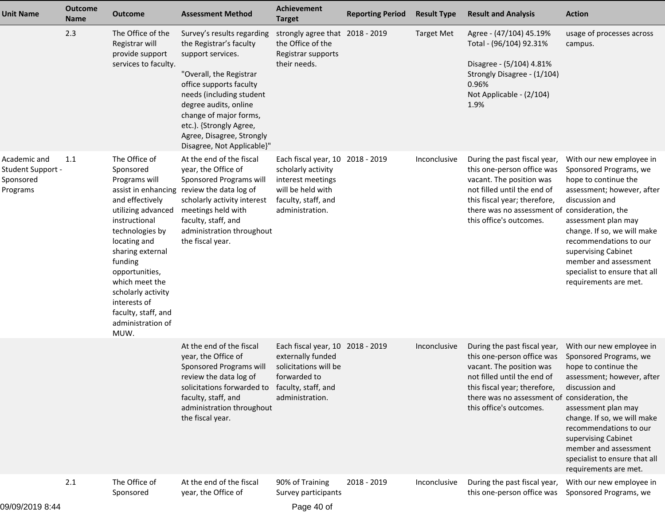| <b>Unit Name</b>                                           | <b>Outcome</b><br><b>Name</b> | <b>Outcome</b>                                                                                                                                                                                                                                                                                        | <b>Assessment Method</b>                                                                                                                                                                                                                                                                              | Achievement<br><b>Target</b>                                                                                                               | <b>Reporting Period</b> | <b>Result Type</b> | <b>Result and Analysis</b>                                                                                                                                                                                                        | <b>Action</b>                                                                                                                                                                                                                                                                                                                              |
|------------------------------------------------------------|-------------------------------|-------------------------------------------------------------------------------------------------------------------------------------------------------------------------------------------------------------------------------------------------------------------------------------------------------|-------------------------------------------------------------------------------------------------------------------------------------------------------------------------------------------------------------------------------------------------------------------------------------------------------|--------------------------------------------------------------------------------------------------------------------------------------------|-------------------------|--------------------|-----------------------------------------------------------------------------------------------------------------------------------------------------------------------------------------------------------------------------------|--------------------------------------------------------------------------------------------------------------------------------------------------------------------------------------------------------------------------------------------------------------------------------------------------------------------------------------------|
|                                                            | 2.3                           | The Office of the<br>Registrar will<br>provide support<br>services to faculty.                                                                                                                                                                                                                        | Survey's results regarding<br>the Registrar's faculty<br>support services.<br>"Overall, the Registrar<br>office supports faculty<br>needs (including student<br>degree audits, online<br>change of major forms,<br>etc.). {Strongly Agree,<br>Agree, Disagree, Strongly<br>Disagree, Not Applicable}" | strongly agree that 2018 - 2019<br>the Office of the<br>Registrar supports<br>their needs.                                                 |                         | <b>Target Met</b>  | Agree - (47/104) 45.19%<br>Total - (96/104) 92.31%<br>Disagree - (5/104) 4.81%<br>Strongly Disagree - (1/104)<br>0.96%<br>Not Applicable - (2/104)<br>1.9%                                                                        | usage of processes across<br>campus.                                                                                                                                                                                                                                                                                                       |
| Academic and<br>Student Support -<br>Sponsored<br>Programs | 1.1                           | The Office of<br>Sponsored<br>Programs will<br>and effectively<br>utilizing advanced<br>instructional<br>technologies by<br>locating and<br>sharing external<br>funding<br>opportunities,<br>which meet the<br>scholarly activity<br>interests of<br>faculty, staff, and<br>administration of<br>MUW. | At the end of the fiscal<br>year, the Office of<br>Sponsored Programs will<br>assist in enhancing review the data log of<br>scholarly activity interest<br>meetings held with<br>faculty, staff, and<br>administration throughout<br>the fiscal year.                                                 | Each fiscal year, 10 2018 - 2019<br>scholarly activity<br>interest meetings<br>will be held with<br>faculty, staff, and<br>administration. |                         | Inconclusive       | During the past fiscal year,<br>this one-person office was<br>vacant. The position was<br>not filled until the end of<br>this fiscal year; therefore,<br>there was no assessment of consideration, the<br>this office's outcomes. | With our new employee in<br>Sponsored Programs, we<br>hope to continue the<br>assessment; however, after<br>discussion and<br>assessment plan may<br>change. If so, we will make<br>recommendations to our<br>supervising Cabinet<br>member and assessment<br>specialist to ensure that all<br>requirements are met.                       |
|                                                            |                               |                                                                                                                                                                                                                                                                                                       | At the end of the fiscal<br>year, the Office of<br>Sponsored Programs will<br>review the data log of<br>solicitations forwarded to faculty, staff, and<br>faculty, staff, and<br>administration throughout<br>the fiscal year.                                                                        | Each fiscal year, 10 2018 - 2019<br>externally funded<br>solicitations will be<br>forwarded to<br>administration.                          |                         | Inconclusive       | During the past fiscal year,<br>this one-person office was<br>vacant. The position was<br>not filled until the end of<br>this fiscal year; therefore,<br>there was no assessment of<br>this office's outcomes.                    | With our new employee in<br>Sponsored Programs, we<br>hope to continue the<br>assessment; however, after<br>discussion and<br>consideration, the<br>assessment plan may<br>change. If so, we will make<br>recommendations to our<br>supervising Cabinet<br>member and assessment<br>specialist to ensure that all<br>requirements are met. |
|                                                            | 2.1                           | The Office of<br>Sponsored                                                                                                                                                                                                                                                                            | At the end of the fiscal<br>year, the Office of                                                                                                                                                                                                                                                       | 90% of Training<br>Survey participants                                                                                                     | 2018 - 2019             | Inconclusive       | During the past fiscal year,<br>this one-person office was                                                                                                                                                                        | With our new employee in<br>Sponsored Programs, we                                                                                                                                                                                                                                                                                         |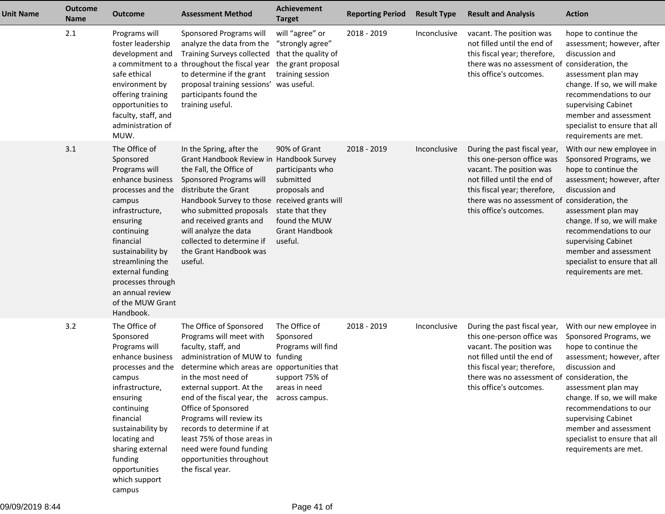| <b>Unit Name</b> | <b>Outcome</b><br><b>Name</b> | <b>Outcome</b>                                                                                                                                                                                                                                                                                  | <b>Assessment Method</b>                                                                                                                                                                                                                                                                                                                                                                                                                                  | <b>Achievement</b><br><b>Target</b>                                                                                                    | <b>Reporting Period</b> | <b>Result Type</b> | <b>Result and Analysis</b>                                                                                                                                                                                                        | <b>Action</b>                                                                                                                                                                                                                                                                                                        |
|------------------|-------------------------------|-------------------------------------------------------------------------------------------------------------------------------------------------------------------------------------------------------------------------------------------------------------------------------------------------|-----------------------------------------------------------------------------------------------------------------------------------------------------------------------------------------------------------------------------------------------------------------------------------------------------------------------------------------------------------------------------------------------------------------------------------------------------------|----------------------------------------------------------------------------------------------------------------------------------------|-------------------------|--------------------|-----------------------------------------------------------------------------------------------------------------------------------------------------------------------------------------------------------------------------------|----------------------------------------------------------------------------------------------------------------------------------------------------------------------------------------------------------------------------------------------------------------------------------------------------------------------|
|                  | 2.1                           | Programs will<br>foster leadership<br>development and<br>safe ethical<br>environment by<br>offering training<br>opportunities to<br>faculty, staff, and<br>administration of<br>MUW.                                                                                                            | Sponsored Programs will<br>analyze the data from the<br><b>Training Surveys collected</b><br>a commitment to a throughout the fiscal year<br>to determine if the grant<br>proposal training sessions' was useful.<br>participants found the<br>training useful.                                                                                                                                                                                           | will "agree" or<br>"strongly agree"<br>that the quality of<br>the grant proposal<br>training session                                   | 2018 - 2019             | Inconclusive       | vacant. The position was<br>not filled until the end of<br>this fiscal year; therefore,<br>there was no assessment of<br>this office's outcomes.                                                                                  | hope to continue the<br>assessment; however, after<br>discussion and<br>consideration, the<br>assessment plan may<br>change. If so, we will make<br>recommendations to our<br>supervising Cabinet<br>member and assessment<br>specialist to ensure that all<br>requirements are met.                                 |
|                  | 3.1                           | The Office of<br>Sponsored<br>Programs will<br>enhance business<br>processes and the<br>campus<br>infrastructure,<br>ensuring<br>continuing<br>financial<br>sustainability by<br>streamlining the<br>external funding<br>processes through<br>an annual review<br>of the MUW Grant<br>Handbook. | In the Spring, after the<br>Grant Handbook Review in Handbook Survey<br>the Fall, the Office of<br>Sponsored Programs will<br>distribute the Grant<br>Handbook Survey to those received grants will<br>who submitted proposals<br>and received grants and<br>will analyze the data<br>collected to determine if<br>the Grant Handbook was<br>useful.                                                                                                      | 90% of Grant<br>participants who<br>submitted<br>proposals and<br>state that they<br>found the MUW<br><b>Grant Handbook</b><br>useful. | 2018 - 2019             | Inconclusive       | During the past fiscal year,<br>this one-person office was<br>vacant. The position was<br>not filled until the end of<br>this fiscal year; therefore,<br>there was no assessment of consideration, the<br>this office's outcomes. | With our new employee in<br>Sponsored Programs, we<br>hope to continue the<br>assessment; however, after<br>discussion and<br>assessment plan may<br>change. If so, we will make<br>recommendations to our<br>supervising Cabinet<br>member and assessment<br>specialist to ensure that all<br>requirements are met. |
|                  | 3.2                           | The Office of<br>Sponsored<br>Programs will<br>enhance business<br>processes and the<br>campus<br>infrastructure,<br>ensuring<br>continuing<br>financial<br>sustainability by<br>locating and<br>sharing external<br>funding<br>opportunities<br>which support<br>campus                        | The Office of Sponsored<br>Programs will meet with<br>faculty, staff, and<br>administration of MUW to funding<br>determine which areas are opportunities that<br>in the most need of<br>external support. At the<br>end of the fiscal year, the across campus.<br>Office of Sponsored<br>Programs will review its<br>records to determine if at<br>least 75% of those areas in<br>need were found funding<br>opportunities throughout<br>the fiscal year. | The Office of<br>Sponsored<br>Programs will find<br>support 75% of<br>areas in need                                                    | 2018 - 2019             | Inconclusive       | During the past fiscal year,<br>this one-person office was<br>vacant. The position was<br>not filled until the end of<br>this fiscal year; therefore,<br>there was no assessment of consideration, the<br>this office's outcomes. | With our new employee in<br>Sponsored Programs, we<br>hope to continue the<br>assessment; however, after<br>discussion and<br>assessment plan may<br>change. If so, we will make<br>recommendations to our<br>supervising Cabinet<br>member and assessment<br>specialist to ensure that all<br>requirements are met. |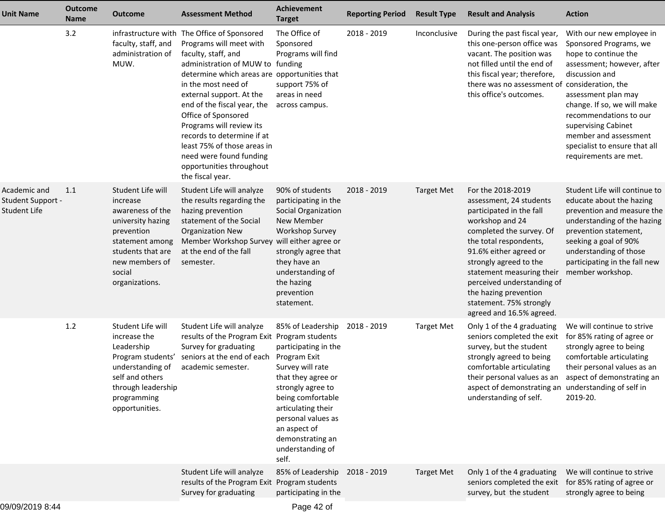| Unit Name                                                | <b>Outcome</b><br>Name | <b>Outcome</b>                                                                                                                                                             | <b>Assessment Method</b>                                                                                                                                                                                                                                                                                                                                                                                                                                       | <b>Achievement</b><br><b>Target</b>                                                                                                                                                                                                                        | <b>Reporting Period</b> | <b>Result Type</b> | <b>Result and Analysis</b>                                                                                                                                                                                                                                                                                                                       | <b>Action</b>                                                                                                                                                                                                                                                                                                                              |
|----------------------------------------------------------|------------------------|----------------------------------------------------------------------------------------------------------------------------------------------------------------------------|----------------------------------------------------------------------------------------------------------------------------------------------------------------------------------------------------------------------------------------------------------------------------------------------------------------------------------------------------------------------------------------------------------------------------------------------------------------|------------------------------------------------------------------------------------------------------------------------------------------------------------------------------------------------------------------------------------------------------------|-------------------------|--------------------|--------------------------------------------------------------------------------------------------------------------------------------------------------------------------------------------------------------------------------------------------------------------------------------------------------------------------------------------------|--------------------------------------------------------------------------------------------------------------------------------------------------------------------------------------------------------------------------------------------------------------------------------------------------------------------------------------------|
|                                                          | 3.2                    | faculty, staff, and<br>administration of<br>MUW.                                                                                                                           | infrastructure with The Office of Sponsored<br>Programs will meet with<br>faculty, staff, and<br>administration of MUW to funding<br>determine which areas are opportunities that<br>in the most need of<br>external support. At the<br>end of the fiscal year, the<br>Office of Sponsored<br>Programs will review its<br>records to determine if at<br>least 75% of those areas in<br>need were found funding<br>opportunities throughout<br>the fiscal year. | The Office of<br>Sponsored<br>Programs will find<br>support 75% of<br>areas in need<br>across campus.                                                                                                                                                      | 2018 - 2019             | Inconclusive       | During the past fiscal year,<br>this one-person office was<br>vacant. The position was<br>not filled until the end of<br>this fiscal year; therefore,<br>there was no assessment of<br>this office's outcomes.                                                                                                                                   | With our new employee in<br>Sponsored Programs, we<br>hope to continue the<br>assessment; however, after<br>discussion and<br>consideration, the<br>assessment plan may<br>change. If so, we will make<br>recommendations to our<br>supervising Cabinet<br>member and assessment<br>specialist to ensure that all<br>requirements are met. |
| Academic and<br><b>Student Support -</b><br>Student Life | 1.1                    | Student Life will<br>increase<br>awareness of the<br>university hazing<br>prevention<br>statement among<br>students that are<br>new members of<br>social<br>organizations. | Student Life will analyze<br>the results regarding the<br>hazing prevention<br>statement of the Social<br><b>Organization New</b><br>Member Workshop Survey will either agree or<br>at the end of the fall<br>semester.                                                                                                                                                                                                                                        | 90% of students<br>participating in the<br>Social Organization<br>New Member<br><b>Workshop Survey</b><br>strongly agree that<br>they have an<br>understanding of<br>the hazing<br>prevention<br>statement.                                                | 2018 - 2019             | <b>Target Met</b>  | For the 2018-2019<br>assessment, 24 students<br>participated in the fall<br>workshop and 24<br>completed the survey. Of<br>the total respondents,<br>91.6% either agreed or<br>strongly agreed to the<br>statement measuring their<br>perceived understanding of<br>the hazing prevention<br>statement. 75% strongly<br>agreed and 16.5% agreed. | Student Life will continue to<br>educate about the hazing<br>prevention and measure the<br>understanding of the hazing<br>prevention statement,<br>seeking a goal of 90%<br>understanding of those<br>participating in the fall new<br>member workshop.                                                                                    |
|                                                          | $1.2\,$                | Student Life will<br>increase the<br>Leadership<br>Program students'<br>understanding of<br>self and others<br>through leadership<br>programming<br>opportunities.         | Student Life will analyze<br>results of the Program Exit Program students<br>Survey for graduating<br>seniors at the end of each<br>academic semester.                                                                                                                                                                                                                                                                                                         | 85% of Leadership<br>participating in the<br>Program Exit<br>Survey will rate<br>that they agree or<br>strongly agree to<br>being comfortable<br>articulating their<br>personal values as<br>an aspect of<br>demonstrating an<br>understanding of<br>self. | 2018 - 2019             | <b>Target Met</b>  | Only 1 of the 4 graduating<br>seniors completed the exit<br>survey, but the student<br>strongly agreed to being<br>comfortable articulating<br>their personal values as an<br>aspect of demonstrating an understanding of self in<br>understanding of self.                                                                                      | We will continue to strive<br>for 85% rating of agree or<br>strongly agree to being<br>comfortable articulating<br>their personal values as an<br>aspect of demonstrating an<br>2019-20.                                                                                                                                                   |
|                                                          |                        |                                                                                                                                                                            | Student Life will analyze<br>results of the Program Exit Program students<br>Survey for graduating                                                                                                                                                                                                                                                                                                                                                             | 85% of Leadership<br>participating in the                                                                                                                                                                                                                  | 2018 - 2019             | <b>Target Met</b>  | Only 1 of the 4 graduating<br>seniors completed the exit<br>survey, but the student                                                                                                                                                                                                                                                              | We will continue to strive<br>for 85% rating of agree or<br>strongly agree to being                                                                                                                                                                                                                                                        |
|                                                          |                        |                                                                                                                                                                            |                                                                                                                                                                                                                                                                                                                                                                                                                                                                |                                                                                                                                                                                                                                                            |                         |                    |                                                                                                                                                                                                                                                                                                                                                  |                                                                                                                                                                                                                                                                                                                                            |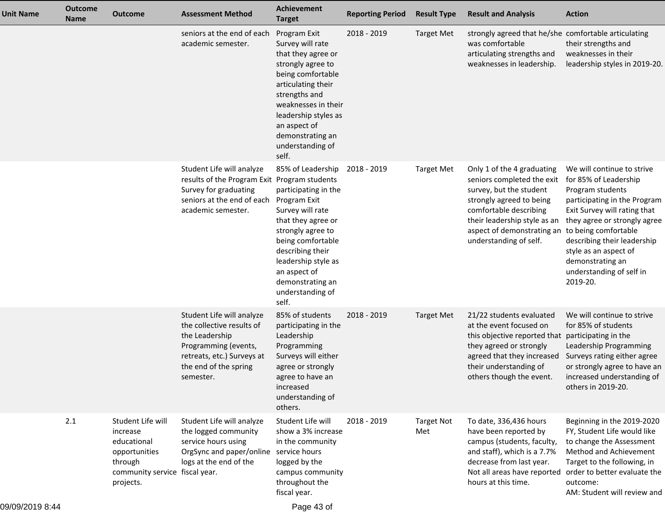| <b>Unit Name</b> | <b>Outcome</b><br>Name | <b>Outcome</b>                                                                                                          | <b>Assessment Method</b>                                                                                                                                             | <b>Achievement</b><br><b>Target</b>                                                                                                                                                                                                                       | <b>Reporting Period</b> | <b>Result Type</b>       | <b>Result and Analysis</b>                                                                                                                                                                                                                             | <b>Action</b>                                                                                                                                                                                                                                                                               |
|------------------|------------------------|-------------------------------------------------------------------------------------------------------------------------|----------------------------------------------------------------------------------------------------------------------------------------------------------------------|-----------------------------------------------------------------------------------------------------------------------------------------------------------------------------------------------------------------------------------------------------------|-------------------------|--------------------------|--------------------------------------------------------------------------------------------------------------------------------------------------------------------------------------------------------------------------------------------------------|---------------------------------------------------------------------------------------------------------------------------------------------------------------------------------------------------------------------------------------------------------------------------------------------|
|                  |                        |                                                                                                                         | seniors at the end of each<br>academic semester.                                                                                                                     | Program Exit<br>Survey will rate<br>that they agree or<br>strongly agree to<br>being comfortable<br>articulating their<br>strengths and<br>weaknesses in their<br>leadership styles as<br>an aspect of<br>demonstrating an<br>understanding of<br>self.   | 2018 - 2019             | <b>Target Met</b>        | strongly agreed that he/she comfortable articulating<br>was comfortable<br>articulating strengths and<br>weaknesses in leadership.                                                                                                                     | their strengths and<br>weaknesses in their<br>leadership styles in 2019-20.                                                                                                                                                                                                                 |
|                  |                        |                                                                                                                         | Student Life will analyze<br>results of the Program Exit Program students<br>Survey for graduating<br>seniors at the end of each<br>academic semester.               | 85% of Leadership<br>participating in the<br>Program Exit<br>Survey will rate<br>that they agree or<br>strongly agree to<br>being comfortable<br>describing their<br>leadership style as<br>an aspect of<br>demonstrating an<br>understanding of<br>self. | 2018 - 2019             | <b>Target Met</b>        | Only 1 of the 4 graduating<br>seniors completed the exit<br>survey, but the student<br>strongly agreed to being<br>comfortable describing<br>their leadership style as an<br>aspect of demonstrating an to being comfortable<br>understanding of self. | We will continue to strive<br>for 85% of Leadership<br>Program students<br>participating in the Program<br>Exit Survey will rating that<br>they agree or strongly agree<br>describing their leadership<br>style as an aspect of<br>demonstrating an<br>understanding of self in<br>2019-20. |
|                  |                        |                                                                                                                         | Student Life will analyze<br>the collective results of<br>the Leadership<br>Programming (events,<br>retreats, etc.) Surveys at<br>the end of the spring<br>semester. | 85% of students<br>participating in the<br>Leadership<br>Programming<br>Surveys will either<br>agree or strongly<br>agree to have an<br>increased<br>understanding of<br>others.                                                                          | 2018 - 2019             | <b>Target Met</b>        | 21/22 students evaluated<br>at the event focused on<br>this objective reported that<br>they agreed or strongly<br>agreed that they increased<br>their understanding of<br>others though the event.                                                     | We will continue to strive<br>for 85% of students<br>participating in the<br>Leadership Programming<br>Surveys rating either agree<br>or strongly agree to have an<br>increased understanding of<br>others in 2019-20.                                                                      |
|                  | 2.1                    | Student Life will<br>increase<br>educational<br>opportunities<br>through<br>community service fiscal year.<br>projects. | Student Life will analyze<br>the logged community<br>service hours using<br>OrgSync and paper/online service hours<br>logs at the end of the                         | Student Life will<br>show a 3% increase<br>in the community<br>logged by the<br>campus community<br>throughout the<br>fiscal year.                                                                                                                        | 2018 - 2019             | <b>Target Not</b><br>Met | To date, 336,436 hours<br>have been reported by<br>campus (students, faculty,<br>and staff), which is a 7.7%<br>decrease from last year.<br>Not all areas have reported<br>hours at this time.                                                         | Beginning in the 2019-2020<br>FY, Student Life would like<br>to change the Assessment<br>Method and Achievement<br>Target to the following, in<br>order to better evaluate the<br>outcome:<br>AM: Student will review and                                                                   |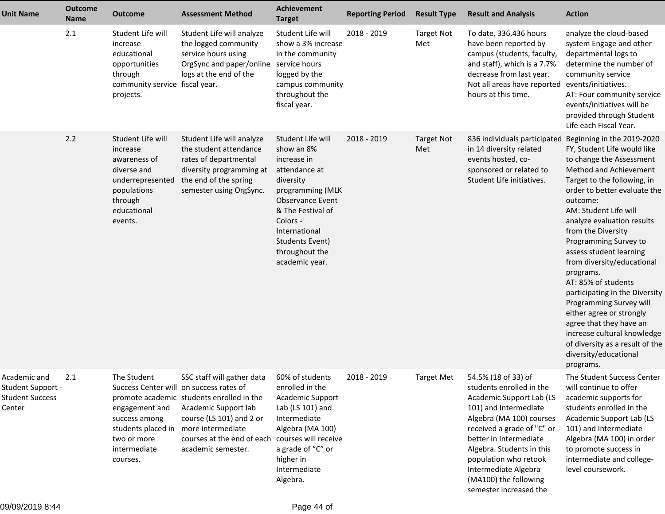| <b>Unit Name</b>                                                      | <b>Outcome</b><br><b>Name</b> | <b>Outcome</b>                                                                                                                       | <b>Assessment Method</b>                                                                                                                                                                                                                                             | <b>Achievement</b><br><b>Target</b>                                                                                                                                                                                                  | <b>Reporting Period</b> | <b>Result Type</b>       | <b>Result and Analysis</b>                                                                                                                                                                                                                                                                                                | <b>Action</b>                                                                                                                                                                                                                                                                                                                                                                                                                                                                                                                                                                                                             |
|-----------------------------------------------------------------------|-------------------------------|--------------------------------------------------------------------------------------------------------------------------------------|----------------------------------------------------------------------------------------------------------------------------------------------------------------------------------------------------------------------------------------------------------------------|--------------------------------------------------------------------------------------------------------------------------------------------------------------------------------------------------------------------------------------|-------------------------|--------------------------|---------------------------------------------------------------------------------------------------------------------------------------------------------------------------------------------------------------------------------------------------------------------------------------------------------------------------|---------------------------------------------------------------------------------------------------------------------------------------------------------------------------------------------------------------------------------------------------------------------------------------------------------------------------------------------------------------------------------------------------------------------------------------------------------------------------------------------------------------------------------------------------------------------------------------------------------------------------|
|                                                                       | 2.1                           | Student Life will<br>increase<br>educational<br>opportunities<br>through<br>community service fiscal year.<br>projects.              | Student Life will analyze<br>the logged community<br>service hours using<br>OrgSync and paper/online service hours<br>logs at the end of the                                                                                                                         | Student Life will<br>show a 3% increase<br>in the community<br>logged by the<br>campus community<br>throughout the<br>fiscal year.                                                                                                   | 2018 - 2019             | <b>Target Not</b><br>Met | To date, 336,436 hours<br>have been reported by<br>campus (students, faculty,<br>and staff), which is a 7.7%<br>decrease from last year.<br>Not all areas have reported<br>hours at this time.                                                                                                                            | analyze the cloud-based<br>system Engage and other<br>departmental logs to<br>determine the number of<br>community service<br>events/initiatives.<br>AT: Four community service<br>events/initiatives will be<br>provided through Student<br>Life each Fiscal Year.                                                                                                                                                                                                                                                                                                                                                       |
|                                                                       | 2.2                           | Student Life will<br>increase<br>awareness of<br>diverse and<br>underrepresented<br>populations<br>through<br>educational<br>events. | Student Life will analyze<br>the student attendance<br>rates of departmental<br>diversity programming at<br>the end of the spring<br>semester using OrgSync.                                                                                                         | Student Life will<br>show an 8%<br>increase in<br>attendance at<br>diversity<br>programming (MLK<br><b>Observance Event</b><br>& The Festival of<br>Colors -<br>International<br>Students Event)<br>throughout the<br>academic year. | 2018 - 2019             | <b>Target Not</b><br>Met | 836 individuals participated<br>in 14 diversity related<br>events hosted, co-<br>sponsored or related to<br>Student Life initiatives.                                                                                                                                                                                     | Beginning in the 2019-2020<br>FY, Student Life would like<br>to change the Assessment<br>Method and Achievement<br>Target to the following, in<br>order to better evaluate the<br>outcome:<br>AM: Student Life will<br>analyze evaluation results<br>from the Diversity<br>Programming Survey to<br>assess student learning<br>from diversity/educational<br>programs.<br>AT: 85% of students<br>participating in the Diversity<br>Programming Survey will<br>either agree or strongly<br>agree that they have an<br>increase cultural knowledge<br>of diversity as a result of the<br>diversity/educational<br>programs. |
| Academic and<br>Student Support -<br><b>Student Success</b><br>Center | 2.1                           | The Student<br>engagement and<br>success among<br>students placed in<br>two or more<br>intermediate<br>courses.                      | SSC staff will gather data<br>Success Center will on success rates of<br>promote academic students enrolled in the<br>Academic Support lab<br>course (LS 101) and 2 or<br>more intermediate<br>courses at the end of each courses will receive<br>academic semester. | 60% of students<br>enrolled in the<br>Academic Support<br>Lab (LS 101) and<br>Intermediate<br>Algebra (MA 100)<br>a grade of "C" or<br>higher in<br>Intermediate<br>Algebra.                                                         | 2018 - 2019             | <b>Target Met</b>        | 54.5% (18 of 33) of<br>students enrolled in the<br>Academic Support Lab (LS<br>101) and Intermediate<br>Algebra (MA 100) courses<br>received a grade of "C" or<br>better in Intermediate<br>Algebra. Students in this<br>population who retook<br>Intermediate Algebra<br>(MA100) the following<br>semester increased the | The Student Success Center<br>will continue to offer<br>academic supports for<br>students enrolled in the<br>Academic Support Lab (LS<br>101) and Intermediate<br>Algebra (MA 100) in order<br>to promote success in<br>intermediate and college-<br>level coursework.                                                                                                                                                                                                                                                                                                                                                    |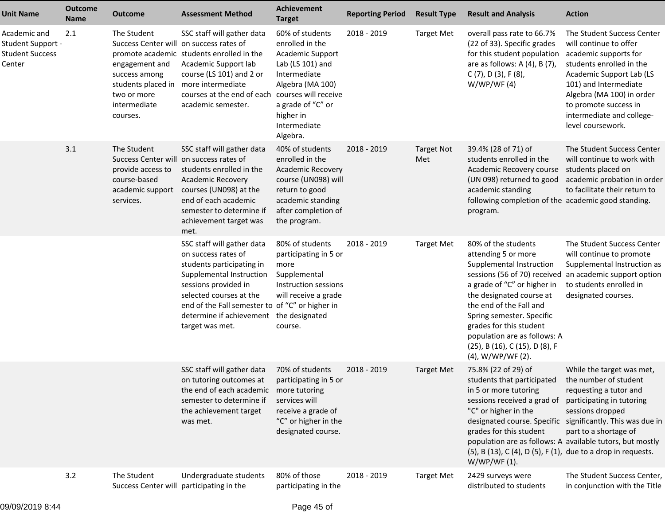| <b>Unit Name</b>                                               | <b>Outcome</b><br><b>Name</b> | <b>Outcome</b>                                                                                                                                             | <b>Assessment Method</b>                                                                                                                                                                                                                                        | <b>Achievement</b><br><b>Target</b>                                                                                                                                                                  | <b>Reporting Period</b> | <b>Result Type</b>       | <b>Result and Analysis</b>                                                                                                                                                                                                                                                                                                                                       | <b>Action</b>                                                                                                                                                                                                                                                          |
|----------------------------------------------------------------|-------------------------------|------------------------------------------------------------------------------------------------------------------------------------------------------------|-----------------------------------------------------------------------------------------------------------------------------------------------------------------------------------------------------------------------------------------------------------------|------------------------------------------------------------------------------------------------------------------------------------------------------------------------------------------------------|-------------------------|--------------------------|------------------------------------------------------------------------------------------------------------------------------------------------------------------------------------------------------------------------------------------------------------------------------------------------------------------------------------------------------------------|------------------------------------------------------------------------------------------------------------------------------------------------------------------------------------------------------------------------------------------------------------------------|
| Academic and<br>Student Support -<br>Student Success<br>Center | 2.1                           | The Student<br>Success Center will on success rates of<br>engagement and<br>success among<br>students placed in<br>two or more<br>intermediate<br>courses. | SSC staff will gather data<br>promote academic students enrolled in the<br>Academic Support lab<br>course (LS 101) and 2 or<br>more intermediate<br>courses at the end of each<br>academic semester.                                                            | 60% of students<br>enrolled in the<br>Academic Support<br>Lab (LS 101) and<br>Intermediate<br>Algebra (MA 100)<br>courses will receive<br>a grade of "C" or<br>higher in<br>Intermediate<br>Algebra. | 2018 - 2019             | <b>Target Met</b>        | overall pass rate to 66.7%<br>(22 of 33). Specific grades<br>for this student population<br>are as follows: A (4), B (7),<br>$C(7)$ , D $(3)$ , F $(8)$ ,<br>W/WP/WF(4)                                                                                                                                                                                          | The Student Success Center<br>will continue to offer<br>academic supports for<br>students enrolled in the<br>Academic Support Lab (LS<br>101) and Intermediate<br>Algebra (MA 100) in order<br>to promote success in<br>intermediate and college-<br>level coursework. |
|                                                                | 3.1                           | The Student<br><b>Success Center will</b><br>provide access to<br>course-based<br>academic support<br>services.                                            | SSC staff will gather data<br>on success rates of<br>students enrolled in the<br><b>Academic Recovery</b><br>courses (UN098) at the<br>end of each academic<br>semester to determine if<br>achievement target was<br>met.                                       | 40% of students<br>enrolled in the<br><b>Academic Recovery</b><br>course (UN098) will<br>return to good<br>academic standing<br>after completion of<br>the program.                                  | 2018 - 2019             | <b>Target Not</b><br>Met | 39.4% (28 of 71) of<br>students enrolled in the<br>Academic Recovery course<br>(UN 098) returned to good<br>academic standing<br>following completion of the academic good standing.<br>program.                                                                                                                                                                 | The Student Success Center<br>will continue to work with<br>students placed on<br>academic probation in order<br>to facilitate their return to                                                                                                                         |
|                                                                |                               |                                                                                                                                                            | SSC staff will gather data<br>on success rates of<br>students participating in<br>Supplemental Instruction<br>sessions provided in<br>selected courses at the<br>end of the Fall semester to of "C" or higher in<br>determine if achievement<br>target was met. | 80% of students<br>participating in 5 or<br>more<br>Supplemental<br>Instruction sessions<br>will receive a grade<br>the designated<br>course.                                                        | 2018 - 2019             | <b>Target Met</b>        | 80% of the students<br>attending 5 or more<br>Supplemental Instruction<br>sessions (56 of 70) received<br>a grade of "C" or higher in<br>the designated course at<br>the end of the Fall and<br>Spring semester. Specific<br>grades for this student<br>population are as follows: A<br>(25), B (16), C (15), D (8), F<br>(4), W/WP/WF (2).                      | The Student Success Center<br>will continue to promote<br>Supplemental Instruction as<br>an academic support option<br>to students enrolled in<br>designated courses.                                                                                                  |
|                                                                |                               |                                                                                                                                                            | SSC staff will gather data<br>on tutoring outcomes at<br>the end of each academic<br>semester to determine if<br>the achievement target<br>was met.                                                                                                             | 70% of students<br>participating in 5 or<br>more tutoring<br>services will<br>receive a grade of<br>"C" or higher in the<br>designated course.                                                       | 2018 - 2019             | <b>Target Met</b>        | 75.8% (22 of 29) of<br>students that participated the number of student<br>in 5 or more tutoring<br>sessions received a grad of<br>"C" or higher in the<br>designated course. Specific<br>grades for this student<br>population are as follows: A available tutors, but mostly<br>(5), B (13), C (4), D (5), F (1), due to a drop in requests.<br>$W/WP/WF(1)$ . | While the target was met,<br>requesting a tutor and<br>participating in tutoring<br>sessions dropped<br>significantly. This was due in<br>part to a shortage of                                                                                                        |
|                                                                | 3.2                           | The Student<br>Success Center will participating in the                                                                                                    | Undergraduate students                                                                                                                                                                                                                                          | 80% of those<br>participating in the                                                                                                                                                                 | 2018 - 2019             | <b>Target Met</b>        | 2429 surveys were<br>distributed to students                                                                                                                                                                                                                                                                                                                     | The Student Success Center,<br>in conjunction with the Title                                                                                                                                                                                                           |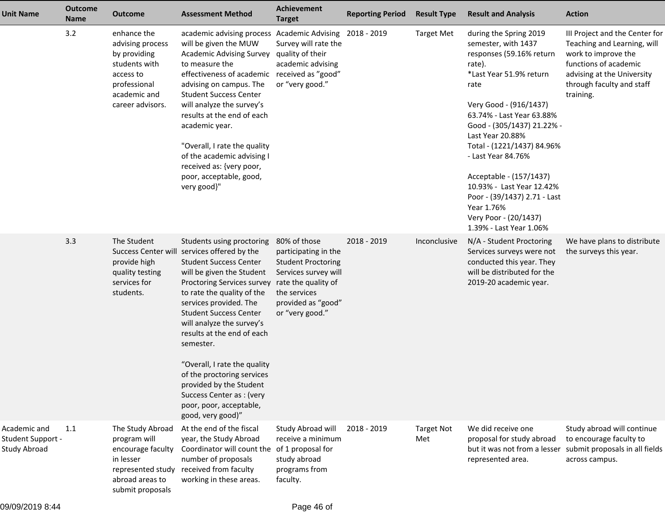| <b>Unit Name</b>                                  | <b>Outcome</b><br><b>Name</b> | <b>Outcome</b>                                                                                                                    | <b>Assessment Method</b>                                                                                                                                                                                                                                                                                                                                                                                                                                                                                   | Achievement<br><b>Target</b>                                                                                                                       | <b>Reporting Period</b> | <b>Result Type</b>       | <b>Result and Analysis</b>                                                                                                                                                                                                                                                                                                                                                                                                                    | <b>Action</b>                                                                                                                                                                         |
|---------------------------------------------------|-------------------------------|-----------------------------------------------------------------------------------------------------------------------------------|------------------------------------------------------------------------------------------------------------------------------------------------------------------------------------------------------------------------------------------------------------------------------------------------------------------------------------------------------------------------------------------------------------------------------------------------------------------------------------------------------------|----------------------------------------------------------------------------------------------------------------------------------------------------|-------------------------|--------------------------|-----------------------------------------------------------------------------------------------------------------------------------------------------------------------------------------------------------------------------------------------------------------------------------------------------------------------------------------------------------------------------------------------------------------------------------------------|---------------------------------------------------------------------------------------------------------------------------------------------------------------------------------------|
|                                                   | 3.2                           | enhance the<br>advising process<br>by providing<br>students with<br>access to<br>professional<br>academic and<br>career advisors. | academic advising process Academic Advising 2018 - 2019<br>will be given the MUW<br><b>Academic Advising Survey</b><br>to measure the<br>effectiveness of academic<br>advising on campus. The<br><b>Student Success Center</b><br>will analyze the survey's<br>results at the end of each<br>academic year.<br>"Overall, I rate the quality<br>of the academic advising I<br>received as: {very poor,<br>poor, acceptable, good,<br>very good}"                                                            | Survey will rate the<br>quality of their<br>academic advising<br>received as "good"<br>or "very good."                                             |                         | <b>Target Met</b>        | during the Spring 2019<br>semester, with 1437<br>responses (59.16% return<br>rate).<br>*Last Year 51.9% return<br>rate<br>Very Good - (916/1437)<br>63.74% - Last Year 63.88%<br>Good - (305/1437) 21.22% -<br>Last Year 20.88%<br>Total - (1221/1437) 84.96%<br>- Last Year 84.76%<br>Acceptable - (157/1437)<br>10.93% - Last Year 12.42%<br>Poor - (39/1437) 2.71 - Last<br>Year 1.76%<br>Very Poor - (20/1437)<br>1.39% - Last Year 1.06% | III Project and the Center for<br>Teaching and Learning, will<br>work to improve the<br>functions of academic<br>advising at the University<br>through faculty and staff<br>training. |
|                                                   | 3.3                           | The Student<br><b>Success Center wil</b><br>provide high<br>quality testing<br>services for<br>students.                          | Students using proctoring<br>services offered by the<br><b>Student Success Center</b><br>will be given the Student<br>Proctoring Services survey rate the quality of<br>to rate the quality of the<br>services provided. The<br><b>Student Success Center</b><br>will analyze the survey's<br>results at the end of each<br>semester.<br>"Overall, I rate the quality<br>of the proctoring services<br>provided by the Student<br>Success Center as: (very<br>poor, poor, acceptable,<br>good, very good)" | 80% of those<br>participating in the<br><b>Student Proctoring</b><br>Services survey will<br>the services<br>provided as "good"<br>or "very good." | 2018 - 2019             | Inconclusive             | N/A - Student Proctoring<br>Services surveys were not<br>conducted this year. They<br>will be distributed for the<br>2019-20 academic year.                                                                                                                                                                                                                                                                                                   | We have plans to distribute<br>the surveys this year.                                                                                                                                 |
| Academic and<br>Student Support -<br>Study Abroad | 1.1                           | The Study Abroad<br>program will<br>encourage faculty<br>in lesser<br>represented study<br>abroad areas to<br>submit proposals    | At the end of the fiscal<br>year, the Study Abroad<br>Coordinator will count the<br>number of proposals<br>received from faculty<br>working in these areas.                                                                                                                                                                                                                                                                                                                                                | Study Abroad will<br>receive a minimum<br>of 1 proposal for<br>study abroad<br>programs from<br>faculty.                                           | 2018 - 2019             | <b>Target Not</b><br>Met | We did receive one<br>proposal for study abroad<br>but it was not from a lesser<br>represented area.                                                                                                                                                                                                                                                                                                                                          | Study abroad will continue<br>to encourage faculty to<br>submit proposals in all fields<br>across campus.                                                                             |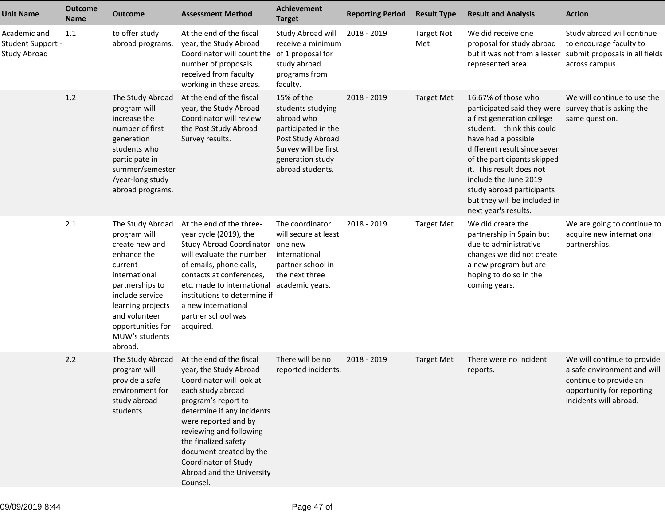| <b>Unit Name</b>                                  | <b>Outcome</b><br><b>Name</b> | <b>Outcome</b>                                                                                                                                                                                                              | <b>Assessment Method</b>                                                                                                                                                                                                                                                                                                        | <b>Achievement</b><br><b>Target</b>                                                                                                                       | <b>Reporting Period</b> | <b>Result Type</b>       | <b>Result and Analysis</b>                                                                                                                                                                                                                                                                                                                                                | <b>Action</b>                                                                                                                               |
|---------------------------------------------------|-------------------------------|-----------------------------------------------------------------------------------------------------------------------------------------------------------------------------------------------------------------------------|---------------------------------------------------------------------------------------------------------------------------------------------------------------------------------------------------------------------------------------------------------------------------------------------------------------------------------|-----------------------------------------------------------------------------------------------------------------------------------------------------------|-------------------------|--------------------------|---------------------------------------------------------------------------------------------------------------------------------------------------------------------------------------------------------------------------------------------------------------------------------------------------------------------------------------------------------------------------|---------------------------------------------------------------------------------------------------------------------------------------------|
| Academic and<br>Student Support -<br>Study Abroad | 1.1                           | to offer study<br>abroad programs.                                                                                                                                                                                          | At the end of the fiscal<br>year, the Study Abroad<br>Coordinator will count the of 1 proposal for<br>number of proposals<br>received from faculty<br>working in these areas.                                                                                                                                                   | Study Abroad will<br>receive a minimum<br>study abroad<br>programs from<br>faculty.                                                                       | 2018 - 2019             | <b>Target Not</b><br>Met | We did receive one<br>proposal for study abroad<br>but it was not from a lesser<br>represented area.                                                                                                                                                                                                                                                                      | Study abroad will continue<br>to encourage faculty to<br>submit proposals in all fields<br>across campus.                                   |
|                                                   | 1.2                           | The Study Abroad<br>program will<br>increase the<br>number of first<br>generation<br>students who<br>participate in<br>summer/semester<br>/year-long study<br>abroad programs.                                              | At the end of the fiscal<br>year, the Study Abroad<br>Coordinator will review<br>the Post Study Abroad<br>Survey results.                                                                                                                                                                                                       | 15% of the<br>students studying<br>abroad who<br>participated in the<br>Post Study Abroad<br>Survey will be first<br>generation study<br>abroad students. | 2018 - 2019             | <b>Target Met</b>        | 16.67% of those who<br>participated said they were survey that is asking the<br>a first generation college<br>student. I think this could<br>have had a possible<br>different result since seven<br>of the participants skipped<br>it. This result does not<br>include the June 2019<br>study abroad participants<br>but they will be included in<br>next year's results. | We will continue to use the<br>same question.                                                                                               |
|                                                   | 2.1                           | The Study Abroad<br>program will<br>create new and<br>enhance the<br>current<br>international<br>partnerships to<br>include service<br>learning projects<br>and volunteer<br>opportunities for<br>MUW's students<br>abroad. | At the end of the three-<br>year cycle (2019), the<br>Study Abroad Coordinator one new<br>will evaluate the number<br>of emails, phone calls,<br>contacts at conferences,<br>etc. made to international<br>institutions to determine if<br>a new international<br>partner school was<br>acquired.                               | The coordinator<br>will secure at least<br>international<br>partner school in<br>the next three<br>academic years.                                        | 2018 - 2019             | <b>Target Met</b>        | We did create the<br>partnership in Spain but<br>due to administrative<br>changes we did not create<br>a new program but are<br>hoping to do so in the<br>coming years.                                                                                                                                                                                                   | We are going to continue to<br>acquire new international<br>partnerships.                                                                   |
|                                                   | 2.2                           | The Study Abroad<br>program will<br>provide a safe<br>environment for<br>study abroad<br>students.                                                                                                                          | At the end of the fiscal<br>year, the Study Abroad<br>Coordinator will look at<br>each study abroad<br>program's report to<br>determine if any incidents<br>were reported and by<br>reviewing and following<br>the finalized safety<br>document created by the<br>Coordinator of Study<br>Abroad and the University<br>Counsel. | There will be no<br>reported incidents.                                                                                                                   | 2018 - 2019             | <b>Target Met</b>        | There were no incident<br>reports.                                                                                                                                                                                                                                                                                                                                        | We will continue to provide<br>a safe environment and will<br>continue to provide an<br>opportunity for reporting<br>incidents will abroad. |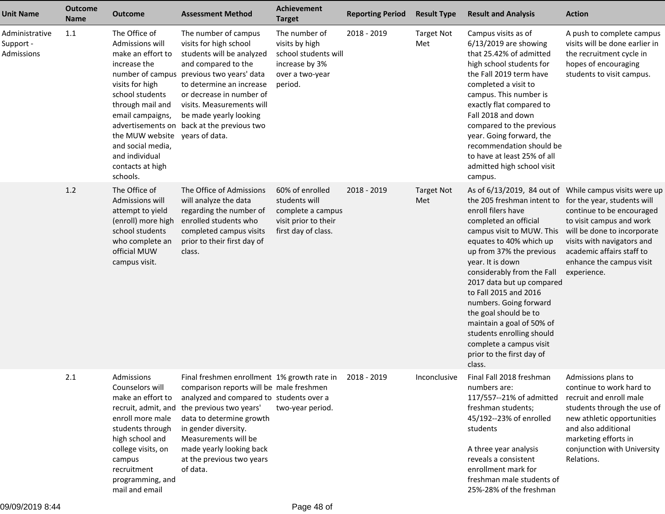| <b>Unit Name</b>                          | <b>Outcome</b><br><b>Name</b> | <b>Outcome</b>                                                                                                                                                                                                                                | <b>Assessment Method</b>                                                                                                                                                                                                                                                                                                       | <b>Achievement</b><br><b>Target</b>                                                                     | <b>Reporting Period</b> | <b>Result Type</b>       | <b>Result and Analysis</b>                                                                                                                                                                                                                                                                                                                                                                                                                                                                                     | <b>Action</b>                                                                                                                                                                                                                       |
|-------------------------------------------|-------------------------------|-----------------------------------------------------------------------------------------------------------------------------------------------------------------------------------------------------------------------------------------------|--------------------------------------------------------------------------------------------------------------------------------------------------------------------------------------------------------------------------------------------------------------------------------------------------------------------------------|---------------------------------------------------------------------------------------------------------|-------------------------|--------------------------|----------------------------------------------------------------------------------------------------------------------------------------------------------------------------------------------------------------------------------------------------------------------------------------------------------------------------------------------------------------------------------------------------------------------------------------------------------------------------------------------------------------|-------------------------------------------------------------------------------------------------------------------------------------------------------------------------------------------------------------------------------------|
| Administrative<br>Support -<br>Admissions | 1.1                           | The Office of<br>Admissions will<br>make an effort to<br>increase the<br>visits for high<br>school students<br>through mail and<br>email campaigns,<br>the MUW website<br>and social media,<br>and individual<br>contacts at high<br>schools. | The number of campus<br>visits for high school<br>students will be analyzed<br>and compared to the<br>number of campus previous two years' data<br>to determine an increase<br>or decrease in number of<br>visits. Measurements will<br>be made yearly looking<br>advertisements on back at the previous two<br>years of data. | The number of<br>visits by high<br>school students will<br>increase by 3%<br>over a two-year<br>period. | 2018 - 2019             | <b>Target Not</b><br>Met | Campus visits as of<br>$6/13/2019$ are showing<br>that 25.42% of admitted<br>high school students for<br>the Fall 2019 term have<br>completed a visit to<br>campus. This number is<br>exactly flat compared to<br>Fall 2018 and down<br>compared to the previous<br>year. Going forward, the<br>recommendation should be<br>to have at least 25% of all<br>admitted high school visit<br>campus.                                                                                                               | A push to complete campus<br>visits will be done earlier in<br>the recruitment cycle in<br>hopes of encouraging<br>students to visit campus.                                                                                        |
|                                           | 1.2                           | The Office of<br>Admissions will<br>attempt to yield<br>(enroll) more high<br>school students<br>who complete an<br>official MUW<br>campus visit.                                                                                             | The Office of Admissions<br>will analyze the data<br>regarding the number of<br>enrolled students who<br>completed campus visits<br>prior to their first day of<br>class.                                                                                                                                                      | 60% of enrolled<br>students will<br>complete a campus<br>visit prior to their<br>first day of class.    | 2018 - 2019             | <b>Target Not</b><br>Met | As of 6/13/2019, 84 out of While campus visits were up<br>the 205 freshman intent to<br>enroll filers have<br>completed an official<br>campus visit to MUW. This<br>equates to 40% which up<br>up from 37% the previous<br>year. It is down<br>considerably from the Fall<br>2017 data but up compared<br>to Fall 2015 and 2016<br>numbers. Going forward<br>the goal should be to<br>maintain a goal of 50% of<br>students enrolling should<br>complete a campus visit<br>prior to the first day of<br>class. | for the year, students will<br>continue to be encouraged<br>to visit campus and work<br>will be done to incorporate<br>visits with navigators and<br>academic affairs staff to<br>enhance the campus visit<br>experience.           |
|                                           | 2.1                           | Admissions<br>Counselors will<br>make an effort to<br>recruit, admit, and<br>enroll more male<br>students through<br>high school and<br>college visits, on<br>campus<br>recruitment<br>programming, and<br>mail and email                     | Final freshmen enrollment 1% growth rate in<br>comparison reports will be male freshmen<br>analyzed and compared to students over a<br>the previous two years'<br>data to determine growth<br>in gender diversity.<br>Measurements will be<br>made yearly looking back<br>at the previous two years<br>of data.                | two-year period.                                                                                        | 2018 - 2019             | Inconclusive             | Final Fall 2018 freshman<br>numbers are:<br>117/557 -- 21% of admitted<br>freshman students;<br>45/192--23% of enrolled<br>students<br>A three year analysis<br>reveals a consistent<br>enrollment mark for<br>freshman male students of<br>25%-28% of the freshman                                                                                                                                                                                                                                            | Admissions plans to<br>continue to work hard to<br>recruit and enroll male<br>students through the use of<br>new athletic opportunities<br>and also additional<br>marketing efforts in<br>conjunction with University<br>Relations. |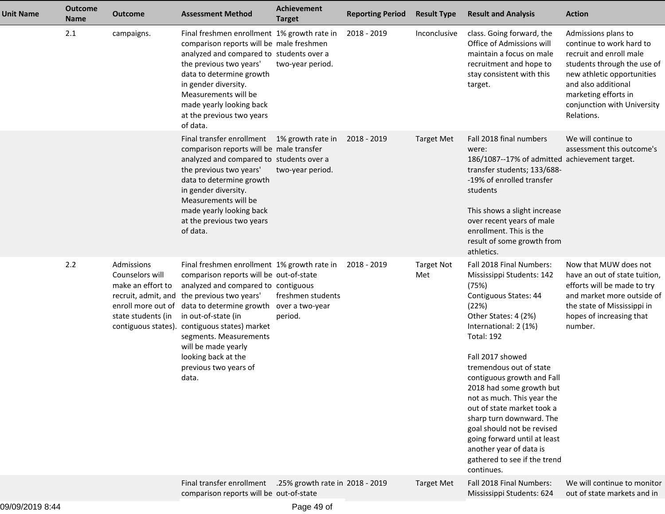| <b>Unit Name</b> | <b>Outcome</b><br><b>Name</b> | <b>Outcome</b>                                                                                  | <b>Assessment Method</b>                                                                                                                                                                                                                                                                                                                                                                                  | <b>Achievement</b><br><b>Target</b> | <b>Reporting Period</b> | <b>Result Type</b>       | <b>Result and Analysis</b>                                                                                                                                                                                                                                                                                                                                                                                                                                                                                     | <b>Action</b>                                                                                                                                                                                                                       |
|------------------|-------------------------------|-------------------------------------------------------------------------------------------------|-----------------------------------------------------------------------------------------------------------------------------------------------------------------------------------------------------------------------------------------------------------------------------------------------------------------------------------------------------------------------------------------------------------|-------------------------------------|-------------------------|--------------------------|----------------------------------------------------------------------------------------------------------------------------------------------------------------------------------------------------------------------------------------------------------------------------------------------------------------------------------------------------------------------------------------------------------------------------------------------------------------------------------------------------------------|-------------------------------------------------------------------------------------------------------------------------------------------------------------------------------------------------------------------------------------|
|                  | 2.1                           | campaigns.                                                                                      | Final freshmen enrollment 1% growth rate in<br>comparison reports will be male freshmen<br>analyzed and compared to students over a<br>the previous two years'<br>data to determine growth<br>in gender diversity.<br>Measurements will be<br>made yearly looking back<br>at the previous two years<br>of data.                                                                                           | two-year period.                    | 2018 - 2019             | Inconclusive             | class. Going forward, the<br>Office of Admissions will<br>maintain a focus on male<br>recruitment and hope to<br>stay consistent with this<br>target.                                                                                                                                                                                                                                                                                                                                                          | Admissions plans to<br>continue to work hard to<br>recruit and enroll male<br>students through the use of<br>new athletic opportunities<br>and also additional<br>marketing efforts in<br>conjunction with University<br>Relations. |
|                  |                               |                                                                                                 | Final transfer enrollment 1% growth rate in<br>comparison reports will be male transfer<br>analyzed and compared to students over a<br>the previous two years'<br>data to determine growth<br>in gender diversity.<br>Measurements will be<br>made yearly looking back<br>at the previous two years<br>of data.                                                                                           | two-year period.                    | 2018 - 2019             | <b>Target Met</b>        | Fall 2018 final numbers<br>were:<br>186/1087--17% of admitted achievement target.<br>transfer students; 133/688-<br>-19% of enrolled transfer<br>students<br>This shows a slight increase<br>over recent years of male<br>enrollment. This is the<br>result of some growth from<br>athletics.                                                                                                                                                                                                                  | We will continue to<br>assessment this outcome's                                                                                                                                                                                    |
|                  | 2.2                           | Admissions<br>Counselors will<br>make an effort to<br>state students (in<br>contiguous states). | Final freshmen enrollment 1% growth rate in<br>comparison reports will be out-of-state<br>analyzed and compared to contiguous<br>recruit, admit, and the previous two years'<br>enroll more out of data to determine growth over a two-year<br>in out-of-state (in<br>contiguous states) market<br>segments. Measurements<br>will be made yearly<br>looking back at the<br>previous two years of<br>data. | freshmen students<br>period.        | 2018 - 2019             | <b>Target Not</b><br>Met | Fall 2018 Final Numbers:<br>Mississippi Students: 142<br>(75%)<br>Contiguous States: 44<br>(22%)<br>Other States: 4 (2%)<br>International: 2 (1%)<br><b>Total: 192</b><br>Fall 2017 showed<br>tremendous out of state<br>contiguous growth and Fall<br>2018 had some growth but<br>not as much. This year the<br>out of state market took a<br>sharp turn downward. The<br>goal should not be revised<br>going forward until at least<br>another year of data is<br>gathered to see if the trend<br>continues. | Now that MUW does not<br>have an out of state tuition,<br>efforts will be made to try<br>and market more outside of<br>the state of Mississippi in<br>hopes of increasing that<br>number.                                           |
|                  |                               |                                                                                                 | Final transfer enrollment .25% growth rate in 2018 - 2019<br>comparison reports will be out-of-state                                                                                                                                                                                                                                                                                                      |                                     |                         | <b>Target Met</b>        | Fall 2018 Final Numbers:<br>Mississippi Students: 624                                                                                                                                                                                                                                                                                                                                                                                                                                                          | We will continue to monitor<br>out of state markets and in                                                                                                                                                                          |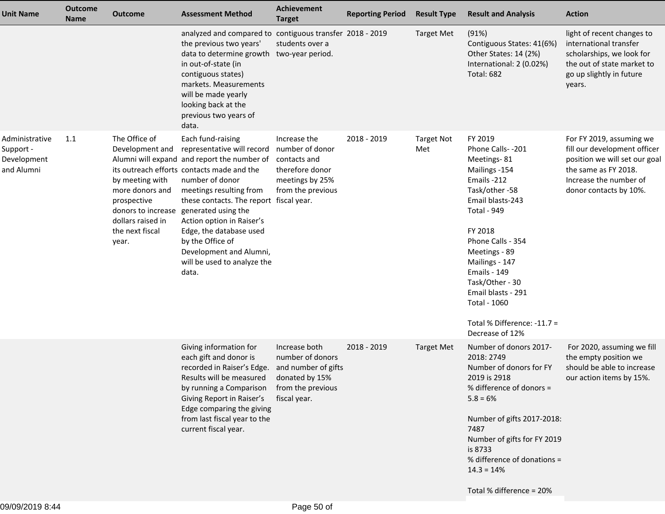| <b>Unit Name</b>                                         | <b>Outcome</b><br><b>Name</b> | <b>Outcome</b>                                                                                                                                               | <b>Assessment Method</b>                                                                                                                                                                                                                                                                                                                                                                                                 | Achievement<br><b>Target</b>                                                               | <b>Reporting Period</b> | <b>Result Type</b>       | <b>Result and Analysis</b>                                                                                                                                                                                                                                                                                                                 | <b>Action</b>                                                                                                                                                         |
|----------------------------------------------------------|-------------------------------|--------------------------------------------------------------------------------------------------------------------------------------------------------------|--------------------------------------------------------------------------------------------------------------------------------------------------------------------------------------------------------------------------------------------------------------------------------------------------------------------------------------------------------------------------------------------------------------------------|--------------------------------------------------------------------------------------------|-------------------------|--------------------------|--------------------------------------------------------------------------------------------------------------------------------------------------------------------------------------------------------------------------------------------------------------------------------------------------------------------------------------------|-----------------------------------------------------------------------------------------------------------------------------------------------------------------------|
|                                                          |                               |                                                                                                                                                              | analyzed and compared to contiguous transfer 2018 - 2019<br>the previous two years'<br>data to determine growth<br>in out-of-state (in<br>contiguous states)<br>markets. Measurements<br>will be made yearly<br>looking back at the<br>previous two years of<br>data.                                                                                                                                                    | students over a<br>two-year period.                                                        |                         | <b>Target Met</b>        | (91%)<br>Contiguous States: 41(6%)<br>Other States: 14 (2%)<br>International: 2 (0.02%)<br><b>Total: 682</b>                                                                                                                                                                                                                               | light of recent changes to<br>international transfer<br>scholarships, we look for<br>the out of state market to<br>go up slightly in future<br>years.                 |
| Administrative<br>Support -<br>Development<br>and Alumni | 1.1                           | The Office of<br>Development and<br>by meeting with<br>more donors and<br>prospective<br>donors to increase<br>dollars raised in<br>the next fiscal<br>year. | Each fund-raising<br>representative will record<br>Alumni will expand and report the number of contacts and<br>its outreach efforts contacts made and the<br>number of donor<br>meetings resulting from<br>these contacts. The report fiscal year.<br>generated using the<br>Action option in Raiser's<br>Edge, the database used<br>by the Office of<br>Development and Alumni,<br>will be used to analyze the<br>data. | Increase the<br>number of donor<br>therefore donor<br>meetings by 25%<br>from the previous | 2018 - 2019             | <b>Target Not</b><br>Met | FY 2019<br>Phone Calls--201<br>Meetings-81<br>Mailings -154<br>Emails -212<br>Task/other-58<br>Email blasts-243<br><b>Total - 949</b><br>FY 2018<br>Phone Calls - 354<br>Meetings - 89<br>Mailings - 147<br><b>Emails - 149</b><br>Task/Other - 30<br>Email blasts - 291<br>Total - 1060<br>Total % Difference: -11.7 =<br>Decrease of 12% | For FY 2019, assuming we<br>fill our development officer<br>position we will set our goal<br>the same as FY 2018.<br>Increase the number of<br>donor contacts by 10%. |
|                                                          |                               |                                                                                                                                                              | Giving information for<br>each gift and donor is<br>recorded in Raiser's Edge.<br>Results will be measured<br>by running a Comparison from the previous<br>Giving Report in Raiser's<br>Edge comparing the giving<br>from last fiscal year to the<br>current fiscal year.                                                                                                                                                | Increase both<br>number of donors<br>and number of gifts<br>donated by 15%<br>fiscal year. | 2018 - 2019             | <b>Target Met</b>        | Number of donors 2017-<br>2018: 2749<br>Number of donors for FY<br>2019 is 2918<br>% difference of donors =<br>$5.8 = 6%$<br>Number of gifts 2017-2018:<br>7487<br>Number of gifts for FY 2019<br>is 8733<br>% difference of donations =<br>$14.3 = 14%$                                                                                   | For 2020, assuming we fill<br>the empty position we<br>should be able to increase<br>our action items by 15%.                                                         |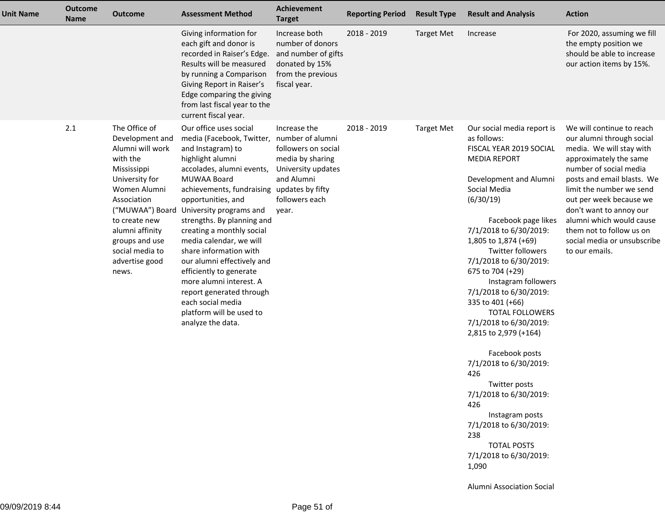| <b>Unit Name</b> | <b>Outcome</b><br><b>Name</b> | <b>Outcome</b>                                                                                                                                                                                                                       | <b>Assessment Method</b>                                                                                                                                                                                                                                                                                                                                                                                                                                                                                                                                                       | <b>Achievement</b><br><b>Target</b>                                                                                    | <b>Reporting Period</b> | <b>Result Type</b> | <b>Result and Analysis</b>                                                                                                                                                                                                                                                                                                                                                                                                                                                                                                                                                                                                                                                                             | <b>Action</b>                                                                                                                                                                                                                                                                                                                                                   |
|------------------|-------------------------------|--------------------------------------------------------------------------------------------------------------------------------------------------------------------------------------------------------------------------------------|--------------------------------------------------------------------------------------------------------------------------------------------------------------------------------------------------------------------------------------------------------------------------------------------------------------------------------------------------------------------------------------------------------------------------------------------------------------------------------------------------------------------------------------------------------------------------------|------------------------------------------------------------------------------------------------------------------------|-------------------------|--------------------|--------------------------------------------------------------------------------------------------------------------------------------------------------------------------------------------------------------------------------------------------------------------------------------------------------------------------------------------------------------------------------------------------------------------------------------------------------------------------------------------------------------------------------------------------------------------------------------------------------------------------------------------------------------------------------------------------------|-----------------------------------------------------------------------------------------------------------------------------------------------------------------------------------------------------------------------------------------------------------------------------------------------------------------------------------------------------------------|
|                  |                               |                                                                                                                                                                                                                                      | Giving information for<br>each gift and donor is<br>recorded in Raiser's Edge.<br>Results will be measured<br>by running a Comparison<br>Giving Report in Raiser's<br>Edge comparing the giving<br>from last fiscal year to the<br>current fiscal year.                                                                                                                                                                                                                                                                                                                        | Increase both<br>number of donors<br>and number of gifts<br>donated by 15%<br>from the previous<br>fiscal year.        | 2018 - 2019             | <b>Target Met</b>  | Increase                                                                                                                                                                                                                                                                                                                                                                                                                                                                                                                                                                                                                                                                                               | For 2020, assuming we fill<br>the empty position we<br>should be able to increase<br>our action items by 15%.                                                                                                                                                                                                                                                   |
|                  | 2.1                           | The Office of<br>Development and<br>Alumni will work<br>with the<br>Mississippi<br>University for<br>Women Alumni<br>Association<br>to create new<br>alumni affinity<br>groups and use<br>social media to<br>advertise good<br>news. | Our office uses social<br>media (Facebook, Twitter, number of alumni<br>and Instagram) to<br>highlight alumni<br>accolades, alumni events,<br>MUWAA Board<br>achievements, fundraising updates by fifty<br>opportunities, and<br>("MUWAA") Board University programs and<br>strengths. By planning and<br>creating a monthly social<br>media calendar, we will<br>share information with<br>our alumni effectively and<br>efficiently to generate<br>more alumni interest. A<br>report generated through<br>each social media<br>platform will be used to<br>analyze the data. | Increase the<br>followers on social<br>media by sharing<br>University updates<br>and Alumni<br>followers each<br>year. | 2018 - 2019             | <b>Target Met</b>  | Our social media report is<br>as follows:<br>FISCAL YEAR 2019 SOCIAL<br><b>MEDIA REPORT</b><br>Development and Alumni<br>Social Media<br>(6/30/19)<br>Facebook page likes<br>7/1/2018 to 6/30/2019:<br>1,805 to 1,874 (+69)<br><b>Twitter followers</b><br>7/1/2018 to 6/30/2019:<br>675 to 704 (+29)<br>Instagram followers<br>7/1/2018 to 6/30/2019:<br>335 to 401 (+66)<br><b>TOTAL FOLLOWERS</b><br>7/1/2018 to 6/30/2019:<br>2,815 to 2,979 (+164)<br>Facebook posts<br>7/1/2018 to 6/30/2019:<br>426<br>Twitter posts<br>7/1/2018 to 6/30/2019:<br>426<br>Instagram posts<br>7/1/2018 to 6/30/2019:<br>238<br><b>TOTAL POSTS</b><br>7/1/2018 to 6/30/2019:<br>1,090<br>Alumni Association Social | We will continue to reach<br>our alumni through social<br>media. We will stay with<br>approximately the same<br>number of social media<br>posts and email blasts. We<br>limit the number we send<br>out per week because we<br>don't want to annoy our<br>alumni which would cause<br>them not to follow us on<br>social media or unsubscribe<br>to our emails. |
|                  |                               |                                                                                                                                                                                                                                      |                                                                                                                                                                                                                                                                                                                                                                                                                                                                                                                                                                                |                                                                                                                        |                         |                    |                                                                                                                                                                                                                                                                                                                                                                                                                                                                                                                                                                                                                                                                                                        |                                                                                                                                                                                                                                                                                                                                                                 |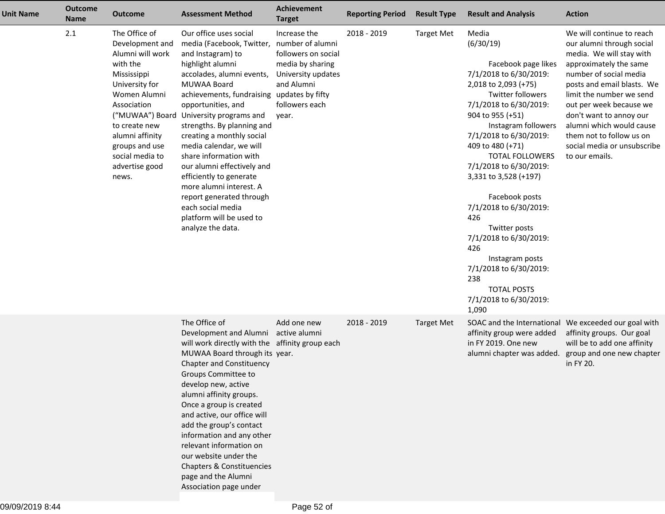| <b>Unit Name</b> | <b>Outcome</b><br>Name | <b>Outcome</b>                                                                                                                                                                                                                                          | <b>Assessment Method</b>                                                                                                                                                                                                                                                                                                                                                                                                                                                                                                                                       | Achievement<br><b>Target</b>                                                                                           | <b>Reporting Period</b> | <b>Result Type</b> | <b>Result and Analysis</b>                                                                                                                                                                                                                                                                                                                                                                                                                                                                                                                | <b>Action</b>                                                                                                                                                                                                                                                                                                                                                   |
|------------------|------------------------|---------------------------------------------------------------------------------------------------------------------------------------------------------------------------------------------------------------------------------------------------------|----------------------------------------------------------------------------------------------------------------------------------------------------------------------------------------------------------------------------------------------------------------------------------------------------------------------------------------------------------------------------------------------------------------------------------------------------------------------------------------------------------------------------------------------------------------|------------------------------------------------------------------------------------------------------------------------|-------------------------|--------------------|-------------------------------------------------------------------------------------------------------------------------------------------------------------------------------------------------------------------------------------------------------------------------------------------------------------------------------------------------------------------------------------------------------------------------------------------------------------------------------------------------------------------------------------------|-----------------------------------------------------------------------------------------------------------------------------------------------------------------------------------------------------------------------------------------------------------------------------------------------------------------------------------------------------------------|
|                  | 2.1                    | The Office of<br>Development and<br>Alumni will work<br>with the<br>Mississippi<br>University for<br>Women Alumni<br>Association<br>("MUWAA") Board<br>to create new<br>alumni affinity<br>groups and use<br>social media to<br>advertise good<br>news. | Our office uses social<br>media (Facebook, Twitter, number of alumni<br>and Instagram) to<br>highlight alumni<br>accolades, alumni events,<br>MUWAA Board<br>achievements, fundraising updates by fifty<br>opportunities, and<br>University programs and<br>strengths. By planning and<br>creating a monthly social<br>media calendar, we will<br>share information with<br>our alumni effectively and<br>efficiently to generate<br>more alumni interest. A<br>report generated through<br>each social media<br>platform will be used to<br>analyze the data. | Increase the<br>followers on social<br>media by sharing<br>University updates<br>and Alumni<br>followers each<br>year. | 2018 - 2019             | <b>Target Met</b>  | Media<br>(6/30/19)<br>Facebook page likes<br>7/1/2018 to 6/30/2019:<br>2,018 to 2,093 (+75)<br><b>Twitter followers</b><br>7/1/2018 to 6/30/2019:<br>904 to 955 (+51)<br>Instagram followers<br>7/1/2018 to 6/30/2019:<br>409 to 480 (+71)<br><b>TOTAL FOLLOWERS</b><br>7/1/2018 to 6/30/2019:<br>3,331 to 3,528 (+197)<br>Facebook posts<br>7/1/2018 to 6/30/2019:<br>426<br>Twitter posts<br>7/1/2018 to 6/30/2019:<br>426<br>Instagram posts<br>7/1/2018 to 6/30/2019:<br>238<br><b>TOTAL POSTS</b><br>7/1/2018 to 6/30/2019:<br>1,090 | We will continue to reach<br>our alumni through social<br>media. We will stay with<br>approximately the same<br>number of social media<br>posts and email blasts. We<br>limit the number we send<br>out per week because we<br>don't want to annoy our<br>alumni which would cause<br>them not to follow us on<br>social media or unsubscribe<br>to our emails. |
|                  |                        |                                                                                                                                                                                                                                                         | The Office of<br>Development and Alumni<br>will work directly with the affinity group each<br>MUWAA Board through its year.<br><b>Chapter and Constituency</b><br>Groups Committee to<br>develop new, active<br>alumni affinity groups.<br>Once a group is created<br>and active, our office will<br>add the group's contact<br>information and any other<br>relevant information on<br>our website under the<br>Chapters & Constituencies<br>page and the Alumni<br>Association page under                                                                    | Add one new<br>active alumni                                                                                           | 2018 - 2019             | <b>Target Met</b>  | affinity group were added<br>in FY 2019. One new<br>alumni chapter was added.                                                                                                                                                                                                                                                                                                                                                                                                                                                             | SOAC and the International We exceeded our goal with<br>affinity groups. Our goal<br>will be to add one affinity<br>group and one new chapter<br>in FY 20.                                                                                                                                                                                                      |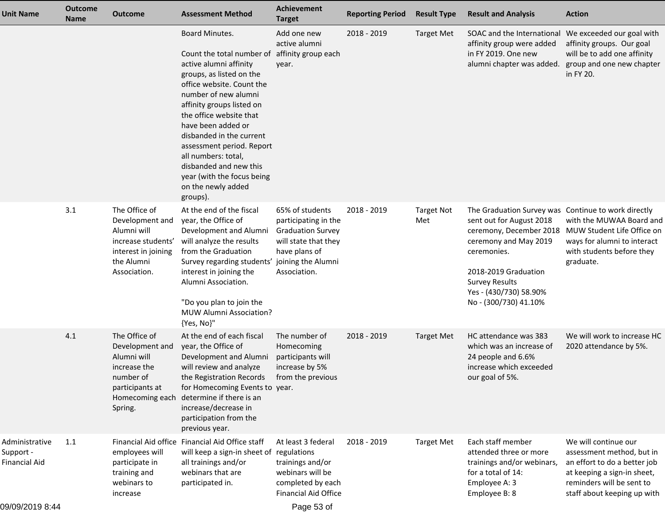| <b>Unit Name</b>                                                       | <b>Outcome</b><br><b>Name</b> | <b>Outcome</b>                                                                                                                | <b>Assessment Method</b>                                                                                                                                                                                                                                                                                                                                                                                                           | Achievement<br><b>Target</b>                                                                                                 | <b>Reporting Period</b> | <b>Result Type</b>       | <b>Result and Analysis</b>                                                                                                                                                                                                                             | <b>Action</b>                                                                                                                                                                |
|------------------------------------------------------------------------|-------------------------------|-------------------------------------------------------------------------------------------------------------------------------|------------------------------------------------------------------------------------------------------------------------------------------------------------------------------------------------------------------------------------------------------------------------------------------------------------------------------------------------------------------------------------------------------------------------------------|------------------------------------------------------------------------------------------------------------------------------|-------------------------|--------------------------|--------------------------------------------------------------------------------------------------------------------------------------------------------------------------------------------------------------------------------------------------------|------------------------------------------------------------------------------------------------------------------------------------------------------------------------------|
|                                                                        |                               |                                                                                                                               | Board Minutes.<br>Count the total number of affinity group each<br>active alumni affinity<br>groups, as listed on the<br>office website. Count the<br>number of new alumni<br>affinity groups listed on<br>the office website that<br>have been added or<br>disbanded in the current<br>assessment period. Report<br>all numbers: total,<br>disbanded and new this<br>year (with the focus being<br>on the newly added<br>groups). | Add one new<br>active alumni<br>year.                                                                                        | 2018 - 2019             | <b>Target Met</b>        | SOAC and the International<br>affinity group were added<br>in FY 2019. One new<br>alumni chapter was added.                                                                                                                                            | We exceeded our goal with<br>affinity groups. Our goal<br>will be to add one affinity<br>group and one new chapter<br>in FY 20.                                              |
|                                                                        | 3.1                           | The Office of<br>Development and<br>Alumni will<br>increase students'<br>interest in joining<br>the Alumni<br>Association.    | At the end of the fiscal<br>year, the Office of<br>Development and Alumni<br>will analyze the results<br>from the Graduation<br>Survey regarding students' joining the Alumni<br>interest in joining the<br>Alumni Association.<br>"Do you plan to join the<br>MUW Alumni Association?<br>{Yes, No}"                                                                                                                               | 65% of students<br>participating in the<br><b>Graduation Survey</b><br>will state that they<br>have plans of<br>Association. | 2018 - 2019             | <b>Target Not</b><br>Met | The Graduation Survey was Continue to work directly<br>sent out for August 2018<br>ceremony, December 2018<br>ceremony and May 2019<br>ceremonies.<br>2018-2019 Graduation<br><b>Survey Results</b><br>Yes - (430/730) 58.90%<br>No - (300/730) 41.10% | with the MUWAA Board and<br>MUW Student Life Office on<br>ways for alumni to interact<br>with students before they<br>graduate.                                              |
|                                                                        | 4.1                           | The Office of<br>Development and<br>Alumni will<br>increase the<br>number of<br>participants at<br>Homecoming each<br>Spring. | At the end of each fiscal<br>year, the Office of<br>Development and Alumni<br>will review and analyze<br>the Registration Records<br>for Homecoming Events to year.<br>determine if there is an<br>increase/decrease in<br>participation from the<br>previous year.                                                                                                                                                                | The number of<br>Homecoming<br>participants will<br>increase by 5%<br>from the previous                                      | 2018 - 2019             | <b>Target Met</b>        | HC attendance was 383<br>which was an increase of<br>24 people and 6.6%<br>increase which exceeded<br>our goal of 5%.                                                                                                                                  | We will work to increase HC<br>2020 attendance by 5%.                                                                                                                        |
| Administrative<br>Support -<br><b>Financial Aid</b><br>09/09/2019 8:44 | 1.1                           | Financial Aid office<br>employees will<br>participate in<br>training and<br>webinars to<br>increase                           | Financial Aid Office staff<br>will keep a sign-in sheet of regulations<br>all trainings and/or<br>webinars that are<br>participated in.                                                                                                                                                                                                                                                                                            | At least 3 federal<br>trainings and/or<br>webinars will be<br>completed by each<br><b>Financial Aid Office</b><br>Page 53 of | 2018 - 2019             | <b>Target Met</b>        | Each staff member<br>attended three or more<br>trainings and/or webinars,<br>for a total of 14:<br>Employee A: 3<br>Employee B: 8                                                                                                                      | We will continue our<br>assessment method, but in<br>an effort to do a better job<br>at keeping a sign-in sheet,<br>reminders will be sent to<br>staff about keeping up with |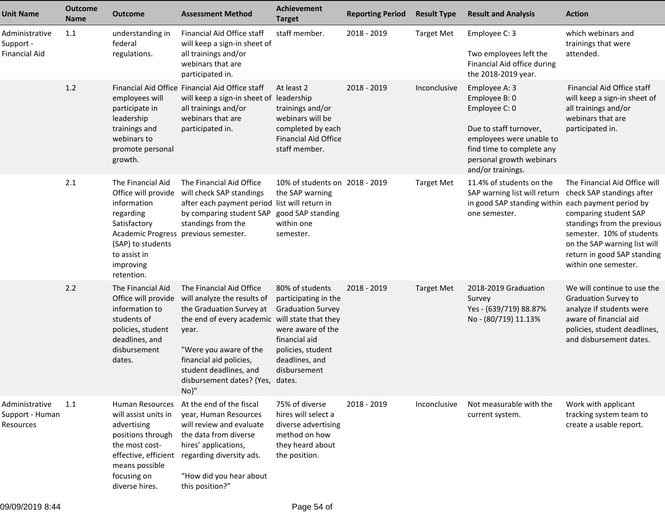| <b>Unit Name</b>                                    | <b>Outcome</b><br><b>Name</b> | <b>Outcome</b>                                                                                                                                                                   | <b>Assessment Method</b>                                                                                                                                                                                                                                                  | Achievement<br><b>Target</b>                                                                                                                                     | <b>Reporting Period</b> | <b>Result Type</b> | <b>Result and Analysis</b>                                                                                                                                                          | <b>Action</b>                                                                                                                                                                                                                          |
|-----------------------------------------------------|-------------------------------|----------------------------------------------------------------------------------------------------------------------------------------------------------------------------------|---------------------------------------------------------------------------------------------------------------------------------------------------------------------------------------------------------------------------------------------------------------------------|------------------------------------------------------------------------------------------------------------------------------------------------------------------|-------------------------|--------------------|-------------------------------------------------------------------------------------------------------------------------------------------------------------------------------------|----------------------------------------------------------------------------------------------------------------------------------------------------------------------------------------------------------------------------------------|
| Administrative<br>Support -<br><b>Financial Aid</b> | 1.1                           | understanding in<br>federal<br>regulations.                                                                                                                                      | Financial Aid Office staff<br>will keep a sign-in sheet of<br>all trainings and/or<br>webinars that are<br>participated in.                                                                                                                                               | staff member.                                                                                                                                                    | 2018 - 2019             | <b>Target Met</b>  | Employee C: 3<br>Two employees left the<br>Financial Aid office during<br>the 2018-2019 year.                                                                                       | which webinars and<br>trainings that were<br>attended.                                                                                                                                                                                 |
|                                                     | 1.2                           | employees will<br>participate in<br>leadership<br>trainings and<br>webinars to<br>promote personal<br>growth.                                                                    | Financial Aid Office Financial Aid Office staff<br>will keep a sign-in sheet of leadership<br>all trainings and/or<br>webinars that are<br>participated in.                                                                                                               | At least 2<br>trainings and/or<br>webinars will be<br>completed by each<br><b>Financial Aid Office</b><br>staff member.                                          | 2018 - 2019             | Inconclusive       | Employee A: 3<br>Employee B: 0<br>Employee C: 0<br>Due to staff turnover,<br>employees were unable to<br>find time to complete any<br>personal growth webinars<br>and/or trainings. | Financial Aid Office staff<br>will keep a sign-in sheet of<br>all trainings and/or<br>webinars that are<br>participated in.                                                                                                            |
|                                                     | 2.1                           | The Financial Aid<br>Office will provide<br>information<br>regarding<br>Satisfactory<br><b>Academic Progress</b><br>(SAP) to students<br>to assist in<br>improving<br>retention. | The Financial Aid Office<br>will check SAP standings<br>after each payment period list will return in<br>by comparing student SAP<br>standings from the<br>previous semester.                                                                                             | 10% of students on 2018 - 2019<br>the SAP warning<br>good SAP standing<br>within one<br>semester.                                                                |                         | <b>Target Met</b>  | 11.4% of students on the<br>SAP warning list will return<br>in good SAP standing within each payment period by<br>one semester.                                                     | The Financial Aid Office will<br>check SAP standings after<br>comparing student SAP<br>standings from the previous<br>semester. 10% of students<br>on the SAP warning list will<br>return in good SAP standing<br>within one semester. |
|                                                     | 2.2                           | The Financial Aid<br>Office will provide<br>information to<br>students of<br>policies, student<br>deadlines, and<br>disbursement<br>dates.                                       | The Financial Aid Office<br>will analyze the results of<br>the Graduation Survey at<br>the end of every academic will state that they<br>year.<br>"Were you aware of the<br>financial aid policies,<br>student deadlines, and<br>disbursement dates? {Yes, dates.<br>No}" | 80% of students<br>participating in the<br><b>Graduation Survey</b><br>were aware of the<br>financial aid<br>policies, student<br>deadlines, and<br>disbursement | 2018 - 2019             | <b>Target Met</b>  | 2018-2019 Graduation<br>Survey<br>Yes - (639/719) 88.87%<br>No - (80/719) 11.13%                                                                                                    | We will continue to use the<br><b>Graduation Survey to</b><br>analyze if students were<br>aware of financial aid<br>policies, student deadlines,<br>and disbursement dates.                                                            |
| Administrative<br>Support - Human<br>Resources      | 1.1                           | Human Resources<br>will assist units in<br>advertising<br>positions through<br>the most cost-<br>means possible<br>focusing on<br>diverse hires.                                 | At the end of the fiscal<br>year, Human Resources<br>will review and evaluate<br>the data from diverse<br>hires' applications,<br>effective, efficient regarding diversity ads.<br>"How did you hear about<br>this position?"                                             | 75% of diverse<br>hires will select a<br>diverse advertising<br>method on how<br>they heard about<br>the position.                                               | 2018 - 2019             | Inconclusive       | Not measurable with the<br>current system.                                                                                                                                          | Work with applicant<br>tracking system team to<br>create a usable report.                                                                                                                                                              |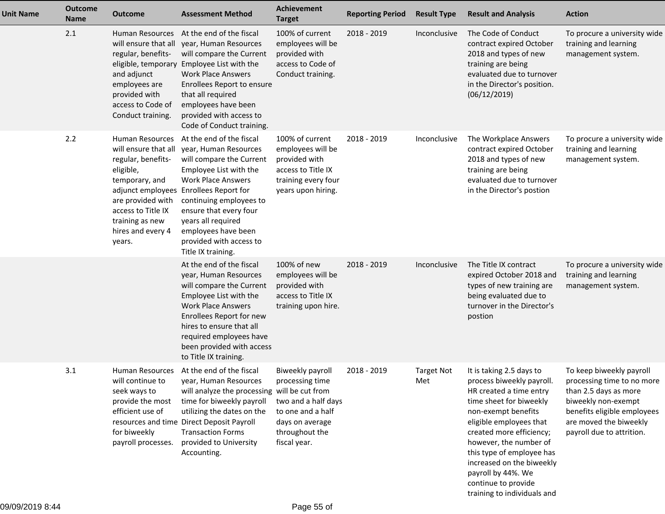| <b>Unit Name</b> | <b>Outcome</b><br><b>Name</b> | <b>Outcome</b>                                                                                                                                                                            | <b>Assessment Method</b>                                                                                                                                                                                                                                                                                                          | <b>Achievement</b><br><b>Target</b>                                                                                                  | <b>Reporting Period</b> | <b>Result Type</b>       | <b>Result and Analysis</b>                                                                                                                                                                                                                                                                                                                                | <b>Action</b>                                                                                                                                                                                |
|------------------|-------------------------------|-------------------------------------------------------------------------------------------------------------------------------------------------------------------------------------------|-----------------------------------------------------------------------------------------------------------------------------------------------------------------------------------------------------------------------------------------------------------------------------------------------------------------------------------|--------------------------------------------------------------------------------------------------------------------------------------|-------------------------|--------------------------|-----------------------------------------------------------------------------------------------------------------------------------------------------------------------------------------------------------------------------------------------------------------------------------------------------------------------------------------------------------|----------------------------------------------------------------------------------------------------------------------------------------------------------------------------------------------|
|                  | 2.1                           | will ensure that all<br>regular, benefits-<br>eligible, temporary<br>and adjunct<br>employees are<br>provided with<br>access to Code of<br>Conduct training.                              | Human Resources At the end of the fiscal<br>year, Human Resources<br>will compare the Current<br>Employee List with the<br><b>Work Place Answers</b><br>Enrollees Report to ensure<br>that all required<br>employees have been<br>provided with access to<br>Code of Conduct training.                                            | 100% of current<br>employees will be<br>provided with<br>access to Code of<br>Conduct training.                                      | 2018 - 2019             | Inconclusive             | The Code of Conduct<br>contract expired October<br>2018 and types of new<br>training are being<br>evaluated due to turnover<br>in the Director's position.<br>(06/12/2019)                                                                                                                                                                                | To procure a university wide<br>training and learning<br>management system.                                                                                                                  |
|                  | 2.2                           | Human Resources<br>will ensure that all<br>regular, benefits-<br>eligible,<br>temporary, and<br>are provided with<br>access to Title IX<br>training as new<br>hires and every 4<br>years. | At the end of the fiscal<br>year, Human Resources<br>will compare the Current<br>Employee List with the<br><b>Work Place Answers</b><br>adjunct employees Enrollees Report for<br>continuing employees to<br>ensure that every four<br>years all required<br>employees have been<br>provided with access to<br>Title IX training. | 100% of current<br>employees will be<br>provided with<br>access to Title IX<br>training every four<br>years upon hiring.             | 2018 - 2019             | Inconclusive             | The Workplace Answers<br>contract expired October<br>2018 and types of new<br>training are being<br>evaluated due to turnover<br>in the Director's postion                                                                                                                                                                                                | To procure a university wide<br>training and learning<br>management system.                                                                                                                  |
|                  |                               |                                                                                                                                                                                           | At the end of the fiscal<br>year, Human Resources<br>will compare the Current<br>Employee List with the<br><b>Work Place Answers</b><br>Enrollees Report for new<br>hires to ensure that all<br>required employees have<br>been provided with access<br>to Title IX training.                                                     | 100% of new<br>employees will be<br>provided with<br>access to Title IX<br>training upon hire.                                       | 2018 - 2019             | Inconclusive             | The Title IX contract<br>expired October 2018 and<br>types of new training are<br>being evaluated due to<br>turnover in the Director's<br>postion                                                                                                                                                                                                         | To procure a university wide<br>training and learning<br>management system.                                                                                                                  |
|                  | 3.1                           | Human Resources<br>will continue to<br>seek ways to<br>provide the most<br>efficient use of<br>for biweekly<br>payroll processes.                                                         | At the end of the fiscal<br>year, Human Resources<br>will analyze the processing will be cut from<br>time for biweekly payroll<br>utilizing the dates on the<br>resources and time Direct Deposit Payroll<br><b>Transaction Forms</b><br>provided to University<br>Accounting.                                                    | Biweekly payroll<br>processing time<br>two and a half days<br>to one and a half<br>days on average<br>throughout the<br>fiscal year. | 2018 - 2019             | <b>Target Not</b><br>Met | It is taking 2.5 days to<br>process biweekly payroll.<br>HR created a time entry<br>time sheet for biweekly<br>non-exempt benefits<br>eligible employees that<br>created more efficiency;<br>however, the number of<br>this type of employee has<br>increased on the biweekly<br>payroll by 44%. We<br>continue to provide<br>training to individuals and | To keep biweekly payroll<br>processing time to no more<br>than 2.5 days as more<br>biweekly non-exempt<br>benefits eligible employees<br>are moved the biweekly<br>payroll due to attrition. |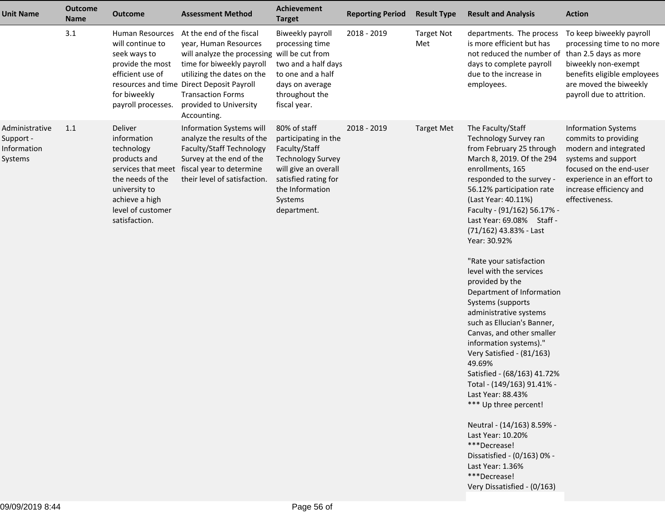| <b>Unit Name</b>                                      | <b>Outcome</b><br><b>Name</b> | <b>Outcome</b>                                                                                                                                                          | <b>Assessment Method</b>                                                                                                                                                                                                                                                       | Achievement<br><b>Target</b>                                                                                                                                                   | <b>Reporting Period</b> | <b>Result Type</b>       | <b>Result and Analysis</b>                                                                                                                                                                                                                                                                                                                                                                                                                                                                                                                                                                                                                                                                                                                                                                                                                                                      | <b>Action</b>                                                                                                                                                                                            |
|-------------------------------------------------------|-------------------------------|-------------------------------------------------------------------------------------------------------------------------------------------------------------------------|--------------------------------------------------------------------------------------------------------------------------------------------------------------------------------------------------------------------------------------------------------------------------------|--------------------------------------------------------------------------------------------------------------------------------------------------------------------------------|-------------------------|--------------------------|---------------------------------------------------------------------------------------------------------------------------------------------------------------------------------------------------------------------------------------------------------------------------------------------------------------------------------------------------------------------------------------------------------------------------------------------------------------------------------------------------------------------------------------------------------------------------------------------------------------------------------------------------------------------------------------------------------------------------------------------------------------------------------------------------------------------------------------------------------------------------------|----------------------------------------------------------------------------------------------------------------------------------------------------------------------------------------------------------|
|                                                       | 3.1                           | Human Resources<br>will continue to<br>seek ways to<br>provide the most<br>efficient use of<br>for biweekly<br>payroll processes.                                       | At the end of the fiscal<br>year, Human Resources<br>will analyze the processing will be cut from<br>time for biweekly payroll<br>utilizing the dates on the<br>resources and time Direct Deposit Payroll<br><b>Transaction Forms</b><br>provided to University<br>Accounting. | Biweekly payroll<br>processing time<br>two and a half days<br>to one and a half<br>days on average<br>throughout the<br>fiscal year.                                           | 2018 - 2019             | <b>Target Not</b><br>Met | departments. The process<br>is more efficient but has<br>not reduced the number of<br>days to complete payroll<br>due to the increase in<br>employees.                                                                                                                                                                                                                                                                                                                                                                                                                                                                                                                                                                                                                                                                                                                          | To keep biweekly payroll<br>processing time to no more<br>than 2.5 days as more<br>biweekly non-exempt<br>benefits eligible employees<br>are moved the biweekly<br>payroll due to attrition.             |
| Administrative<br>Support -<br>Information<br>Systems | 1.1                           | Deliver<br>information<br>technology<br>products and<br>services that meet<br>the needs of the<br>university to<br>achieve a high<br>level of customer<br>satisfaction. | Information Systems will<br>analyze the results of the<br>Faculty/Staff Technology<br>Survey at the end of the<br>fiscal year to determine<br>their level of satisfaction.                                                                                                     | 80% of staff<br>participating in the<br>Faculty/Staff<br><b>Technology Survey</b><br>will give an overall<br>satisfied rating for<br>the Information<br>Systems<br>department. | 2018 - 2019             | <b>Target Met</b>        | The Faculty/Staff<br>Technology Survey ran<br>from February 25 through<br>March 8, 2019. Of the 294<br>enrollments, 165<br>responded to the survey -<br>56.12% participation rate<br>(Last Year: 40.11%)<br>Faculty - (91/162) 56.17% -<br>Last Year: 69.08% Staff -<br>(71/162) 43.83% - Last<br>Year: 30.92%<br>"Rate your satisfaction<br>level with the services<br>provided by the<br>Department of Information<br>Systems (supports<br>administrative systems<br>such as Ellucian's Banner,<br>Canvas, and other smaller<br>information systems)."<br>Very Satisfied - (81/163)<br>49.69%<br>Satisfied - (68/163) 41.72%<br>Total - (149/163) 91.41% -<br>Last Year: 88.43%<br>*** Up three percent!<br>Neutral - (14/163) 8.59% -<br>Last Year: 10.20%<br>***Decrease!<br>Dissatisfied - (0/163) 0% -<br>Last Year: 1.36%<br>***Decrease!<br>Very Dissatisfied - (0/163) | <b>Information Systems</b><br>commits to providing<br>modern and integrated<br>systems and support<br>focused on the end-user<br>experience in an effort to<br>increase efficiency and<br>effectiveness. |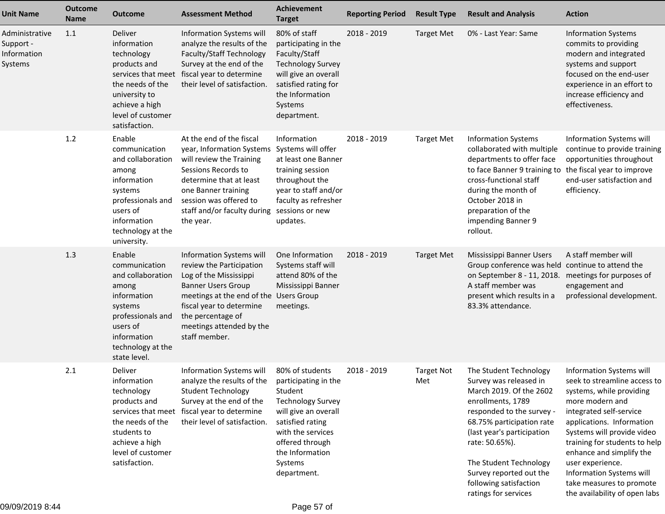| <b>Unit Name</b>                                      | <b>Outcome</b><br><b>Name</b> | <b>Outcome</b>                                                                                                                                                          | <b>Assessment Method</b>                                                                                                                                                                                                                            | Achievement<br><b>Target</b>                                                                                                                                                                                    | <b>Reporting Period</b> | <b>Result Type</b>       | <b>Result and Analysis</b>                                                                                                                                                                                                                                                                                        | <b>Action</b>                                                                                                                                                                                                                                                                                                                                                           |
|-------------------------------------------------------|-------------------------------|-------------------------------------------------------------------------------------------------------------------------------------------------------------------------|-----------------------------------------------------------------------------------------------------------------------------------------------------------------------------------------------------------------------------------------------------|-----------------------------------------------------------------------------------------------------------------------------------------------------------------------------------------------------------------|-------------------------|--------------------------|-------------------------------------------------------------------------------------------------------------------------------------------------------------------------------------------------------------------------------------------------------------------------------------------------------------------|-------------------------------------------------------------------------------------------------------------------------------------------------------------------------------------------------------------------------------------------------------------------------------------------------------------------------------------------------------------------------|
| Administrative<br>Support -<br>Information<br>Systems | 1.1                           | Deliver<br>information<br>technology<br>products and<br>services that meet<br>the needs of the<br>university to<br>achieve a high<br>level of customer<br>satisfaction. | Information Systems will<br>analyze the results of the<br>Faculty/Staff Technology<br>Survey at the end of the<br>fiscal year to determine<br>their level of satisfaction.                                                                          | 80% of staff<br>participating in the<br>Faculty/Staff<br><b>Technology Survey</b><br>will give an overall<br>satisfied rating for<br>the Information<br>Systems<br>department.                                  | 2018 - 2019             | <b>Target Met</b>        | 0% - Last Year: Same                                                                                                                                                                                                                                                                                              | <b>Information Systems</b><br>commits to providing<br>modern and integrated<br>systems and support<br>focused on the end-user<br>experience in an effort to<br>increase efficiency and<br>effectiveness.                                                                                                                                                                |
|                                                       | $1.2$                         | Enable<br>communication<br>and collaboration<br>among<br>information<br>systems<br>professionals and<br>users of<br>information<br>technology at the<br>university.     | At the end of the fiscal<br>year, Information Systems Systems will offer<br>will review the Training<br>Sessions Records to<br>determine that at least<br>one Banner training<br>session was offered to<br>staff and/or faculty during<br>the year. | Information<br>at least one Banner<br>training session<br>throughout the<br>year to staff and/or<br>faculty as refresher<br>sessions or new<br>updates.                                                         | 2018 - 2019             | <b>Target Met</b>        | <b>Information Systems</b><br>collaborated with multiple<br>departments to offer face<br>to face Banner 9 training to<br>cross-functional staff<br>during the month of<br>October 2018 in<br>preparation of the<br>impending Banner 9<br>rollout.                                                                 | Information Systems will<br>continue to provide training<br>opportunities throughout<br>the fiscal year to improve<br>end-user satisfaction and<br>efficiency.                                                                                                                                                                                                          |
|                                                       | 1.3                           | Enable<br>communication<br>and collaboration<br>among<br>information<br>systems<br>professionals and<br>users of<br>information<br>technology at the<br>state level.    | Information Systems will<br>review the Participation<br>Log of the Mississippi<br><b>Banner Users Group</b><br>meetings at the end of the Users Group<br>fiscal year to determine<br>the percentage of<br>meetings attended by the<br>staff member. | One Information<br>Systems staff will<br>attend 80% of the<br>Mississippi Banner<br>meetings.                                                                                                                   | 2018 - 2019             | <b>Target Met</b>        | Mississippi Banner Users<br>Group conference was held continue to attend the<br>on September 8 - 11, 2018.<br>A staff member was<br>present which results in a<br>83.3% attendance.                                                                                                                               | A staff member will<br>meetings for purposes of<br>engagement and<br>professional development.                                                                                                                                                                                                                                                                          |
|                                                       | 2.1                           | Deliver<br>information<br>technology<br>products and<br>services that meet<br>the needs of the<br>students to<br>achieve a high<br>level of customer<br>satisfaction.   | Information Systems will<br>analyze the results of the<br><b>Student Technology</b><br>Survey at the end of the<br>fiscal year to determine<br>their level of satisfaction.                                                                         | 80% of students<br>participating in the<br>Student<br><b>Technology Survey</b><br>will give an overall<br>satisfied rating<br>with the services<br>offered through<br>the Information<br>Systems<br>department. | 2018 - 2019             | <b>Target Not</b><br>Met | The Student Technology<br>Survey was released in<br>March 2019. Of the 2602<br>enrollments, 1789<br>responded to the survey -<br>68.75% participation rate<br>(last year's participation<br>rate: 50.65%).<br>The Student Technology<br>Survey reported out the<br>following satisfaction<br>ratings for services | Information Systems will<br>seek to streamline access to<br>systems, while providing<br>more modern and<br>integrated self-service<br>applications. Information<br>Systems will provide video<br>training for students to help<br>enhance and simplify the<br>user experience.<br>Information Systems will<br>take measures to promote<br>the availability of open labs |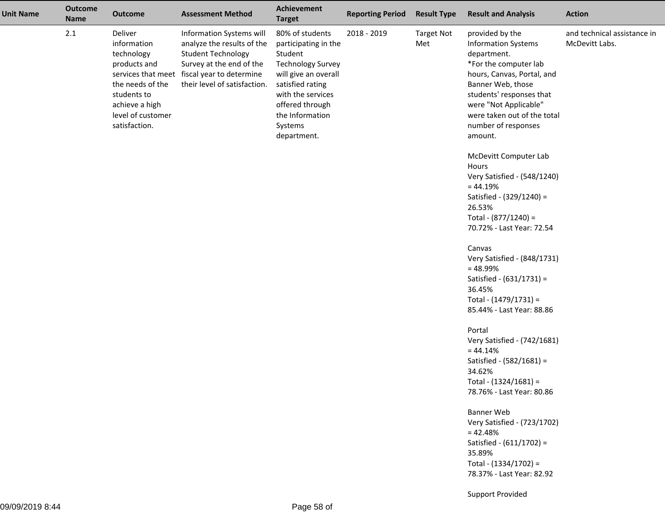| <b>Unit Name</b> | <b>Outcome</b><br><b>Name</b> | <b>Outcome</b>                                                                                                                                  | <b>Assessment Method</b>                                                                                                                                                                       | <b>Achievement</b><br><b>Target</b>                                                                                                                                                                             | <b>Reporting Period</b> | <b>Result Type</b>       | <b>Result and Analysis</b>                                                                                                                                                                                                                                                                                                                                                                                                                                                                                                                                                                                                                                                                                                                                                                                                                                                                                   | <b>Action</b>                                 |
|------------------|-------------------------------|-------------------------------------------------------------------------------------------------------------------------------------------------|------------------------------------------------------------------------------------------------------------------------------------------------------------------------------------------------|-----------------------------------------------------------------------------------------------------------------------------------------------------------------------------------------------------------------|-------------------------|--------------------------|--------------------------------------------------------------------------------------------------------------------------------------------------------------------------------------------------------------------------------------------------------------------------------------------------------------------------------------------------------------------------------------------------------------------------------------------------------------------------------------------------------------------------------------------------------------------------------------------------------------------------------------------------------------------------------------------------------------------------------------------------------------------------------------------------------------------------------------------------------------------------------------------------------------|-----------------------------------------------|
|                  | 2.1                           | Deliver<br>information<br>technology<br>products and<br>the needs of the<br>students to<br>achieve a high<br>level of customer<br>satisfaction. | Information Systems will<br>analyze the results of the<br><b>Student Technology</b><br>Survey at the end of the<br>services that meet fiscal year to determine<br>their level of satisfaction. | 80% of students<br>participating in the<br>Student<br><b>Technology Survey</b><br>will give an overall<br>satisfied rating<br>with the services<br>offered through<br>the Information<br>Systems<br>department. | 2018 - 2019             | <b>Target Not</b><br>Met | provided by the<br><b>Information Systems</b><br>department.<br>*For the computer lab<br>hours, Canvas, Portal, and<br>Banner Web, those<br>students' responses that<br>were "Not Applicable"<br>were taken out of the total<br>number of responses<br>amount.<br>McDevitt Computer Lab<br>Hours<br>Very Satisfied - (548/1240)<br>$= 44.19%$<br>Satisfied - (329/1240) =<br>26.53%<br>Total - (877/1240) =<br>70.72% - Last Year: 72.54<br>Canvas<br>Very Satisfied - (848/1731)<br>$= 48.99%$<br>Satisfied - (631/1731) =<br>36.45%<br>Total - (1479/1731) =<br>85.44% - Last Year: 88.86<br>Portal<br>Very Satisfied - (742/1681)<br>$= 44.14%$<br>Satisfied - (582/1681) =<br>34.62%<br>Total - (1324/1681) =<br>78.76% - Last Year: 80.86<br><b>Banner Web</b><br>Very Satisfied - (723/1702)<br>$= 42.48%$<br>Satisfied - (611/1702) =<br>35.89%<br>Total - (1334/1702) =<br>78.37% - Last Year: 82.92 | and technical assistance in<br>McDevitt Labs. |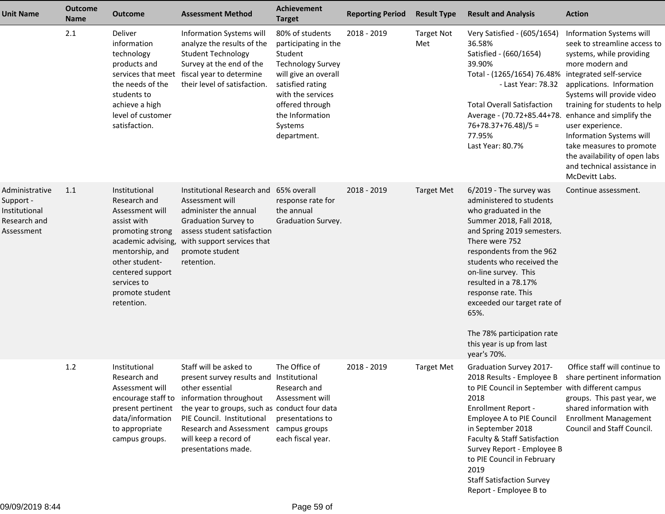| <b>Unit Name</b>                                                                  | <b>Outcome</b><br><b>Name</b> | <b>Outcome</b>                                                                                                                                                                                                     | <b>Assessment Method</b>                                                                                                                                                                                                                                                         | Achievement<br><b>Target</b>                                                                                                                                                                                    | <b>Reporting Period</b> | <b>Result Type</b>       | <b>Result and Analysis</b>                                                                                                                                                                                                                                                                                                                                                                              | <b>Action</b>                                                                                                                                                                                                                                                                                                                                                                                 |
|-----------------------------------------------------------------------------------|-------------------------------|--------------------------------------------------------------------------------------------------------------------------------------------------------------------------------------------------------------------|----------------------------------------------------------------------------------------------------------------------------------------------------------------------------------------------------------------------------------------------------------------------------------|-----------------------------------------------------------------------------------------------------------------------------------------------------------------------------------------------------------------|-------------------------|--------------------------|---------------------------------------------------------------------------------------------------------------------------------------------------------------------------------------------------------------------------------------------------------------------------------------------------------------------------------------------------------------------------------------------------------|-----------------------------------------------------------------------------------------------------------------------------------------------------------------------------------------------------------------------------------------------------------------------------------------------------------------------------------------------------------------------------------------------|
|                                                                                   | 2.1                           | Deliver<br>information<br>technology<br>products and<br>services that meet<br>the needs of the<br>students to<br>achieve a high<br>level of customer<br>satisfaction.                                              | Information Systems will<br>analyze the results of the<br><b>Student Technology</b><br>Survey at the end of the<br>fiscal year to determine<br>their level of satisfaction.                                                                                                      | 80% of students<br>participating in the<br>Student<br><b>Technology Survey</b><br>will give an overall<br>satisfied rating<br>with the services<br>offered through<br>the Information<br>Systems<br>department. | 2018 - 2019             | <b>Target Not</b><br>Met | Very Satisfied - (605/1654)<br>36.58%<br>Satisfied - (660/1654)<br>39.90%<br>Total - (1265/1654) 76.48% integrated self-service<br>- Last Year: 78.32<br><b>Total Overall Satisfaction</b><br>Average - (70.72+85.44+78.<br>$76+78.37+76.48)/5 =$<br>77.95%<br>Last Year: 80.7%                                                                                                                         | Information Systems will<br>seek to streamline access to<br>systems, while providing<br>more modern and<br>applications. Information<br>Systems will provide video<br>training for students to help<br>enhance and simplify the<br>user experience.<br>Information Systems will<br>take measures to promote<br>the availability of open labs<br>and technical assistance in<br>McDevitt Labs. |
| Administrative<br>Support -<br><b>Institutional</b><br>Research and<br>Assessment | 1.1                           | Institutional<br>Research and<br>Assessment will<br>assist with<br>promoting strong<br>academic advising,<br>mentorship, and<br>other student-<br>centered support<br>services to<br>promote student<br>retention. | Institutional Research and 65% overall<br>Assessment will<br>administer the annual<br><b>Graduation Survey to</b><br>assess student satisfaction<br>with support services that<br>promote student<br>retention.                                                                  | response rate for<br>the annual<br>Graduation Survey.                                                                                                                                                           | 2018 - 2019             | <b>Target Met</b>        | 6/2019 - The survey was<br>administered to students<br>who graduated in the<br>Summer 2018, Fall 2018,<br>and Spring 2019 semesters.<br>There were 752<br>respondents from the 962<br>students who received the<br>on-line survey. This<br>resulted in a 78.17%<br>response rate. This<br>exceeded our target rate of<br>65%.<br>The 78% participation rate<br>this year is up from last<br>year's 70%. | Continue assessment.                                                                                                                                                                                                                                                                                                                                                                          |
|                                                                                   | $1.2$                         | Institutional<br>Research and<br>Assessment will<br>encourage staff to<br>present pertinent<br>data/information<br>to appropriate<br>campus groups.                                                                | Staff will be asked to<br>present survey results and Institutional<br>other essential<br>information throughout<br>the year to groups, such as conduct four data<br>PIE Council. Institutional<br><b>Research and Assessment</b><br>will keep a record of<br>presentations made. | The Office of<br>Research and<br>Assessment will<br>presentations to<br>campus groups<br>each fiscal year.                                                                                                      | 2018 - 2019             | <b>Target Met</b>        | <b>Graduation Survey 2017-</b><br>2018 Results - Employee B<br>to PIE Council in September with different campus<br>2018<br><b>Enrollment Report -</b><br>Employee A to PIE Council<br>in September 2018<br>Faculty & Staff Satisfaction<br>Survey Report - Employee B<br>to PIE Council in February<br>2019<br><b>Staff Satisfaction Survey</b><br>Report - Employee B to                              | Office staff will continue to<br>share pertinent information<br>groups. This past year, we<br>shared information with<br><b>Enrollment Management</b><br>Council and Staff Council.                                                                                                                                                                                                           |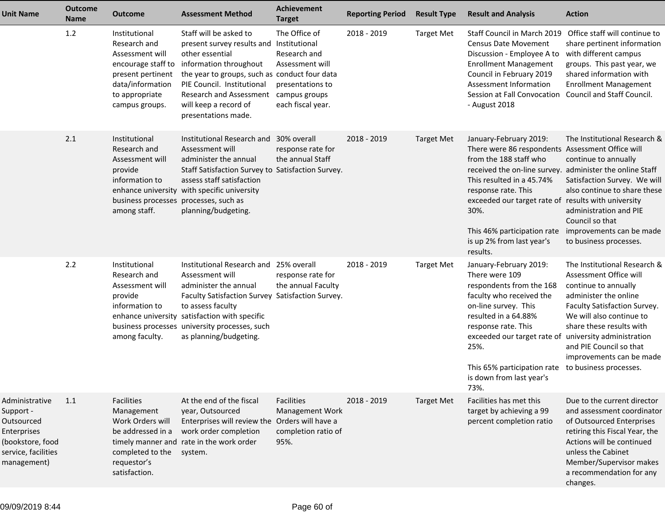| <b>Unit Name</b>                                                                                                   | <b>Outcome</b><br><b>Name</b> | <b>Outcome</b>                                                                                                                                      | <b>Assessment Method</b>                                                                                                                                                                                                                                                         | <b>Achievement</b><br><b>Target</b>                                                                        | <b>Reporting Period</b> | <b>Result Type</b> | <b>Result and Analysis</b>                                                                                                                                                                                                                                                                                                      | <b>Action</b>                                                                                                                                                                                                                                                                                                 |
|--------------------------------------------------------------------------------------------------------------------|-------------------------------|-----------------------------------------------------------------------------------------------------------------------------------------------------|----------------------------------------------------------------------------------------------------------------------------------------------------------------------------------------------------------------------------------------------------------------------------------|------------------------------------------------------------------------------------------------------------|-------------------------|--------------------|---------------------------------------------------------------------------------------------------------------------------------------------------------------------------------------------------------------------------------------------------------------------------------------------------------------------------------|---------------------------------------------------------------------------------------------------------------------------------------------------------------------------------------------------------------------------------------------------------------------------------------------------------------|
|                                                                                                                    | 1.2                           | Institutional<br>Research and<br>Assessment will<br>encourage staff to<br>present pertinent<br>data/information<br>to appropriate<br>campus groups. | Staff will be asked to<br>present survey results and Institutional<br>other essential<br>information throughout<br>the year to groups, such as conduct four data<br>PIE Council. Institutional<br><b>Research and Assessment</b><br>will keep a record of<br>presentations made. | The Office of<br>Research and<br>Assessment will<br>presentations to<br>campus groups<br>each fiscal year. | 2018 - 2019             | <b>Target Met</b>  | Staff Council in March 2019 Office staff will continue to<br><b>Census Date Movement</b><br>Discussion - Employee A to<br><b>Enrollment Management</b><br>Council in February 2019<br>Assessment Information<br>Session at Fall Convocation<br>- August 2018                                                                    | share pertinent information<br>with different campus<br>groups. This past year, we<br>shared information with<br><b>Enrollment Management</b><br>Council and Staff Council.                                                                                                                                   |
|                                                                                                                    | 2.1                           | Institutional<br>Research and<br>Assessment will<br>provide<br>information to<br>business processes<br>among staff.                                 | Institutional Research and 30% overall<br>Assessment will<br>administer the annual<br>Staff Satisfaction Survey to Satisfaction Survey.<br>assess staff satisfaction<br>enhance university with specific university<br>processes, such as<br>planning/budgeting.                 | response rate for<br>the annual Staff                                                                      | 2018 - 2019             | <b>Target Met</b>  | January-February 2019:<br>There were 86 respondents Assessment Office will<br>from the 188 staff who<br>received the on-line survey.<br>This resulted in a 45.74%<br>response rate. This<br>exceeded our target rate of results with university<br>30%.<br>This 46% participation rate<br>is up 2% from last year's<br>results. | The Institutional Research &<br>continue to annually<br>administer the online Staff<br>Satisfaction Survey. We will<br>also continue to share these<br>administration and PIE<br>Council so that<br>improvements can be made<br>to business processes.                                                        |
|                                                                                                                    | 2.2                           | Institutional<br>Research and<br>Assessment will<br>provide<br>information to<br>enhance university<br>business processes<br>among faculty.         | Institutional Research and 25% overall<br>Assessment will<br>administer the annual<br>Faculty Satisfaction Survey Satisfaction Survey.<br>to assess faculty<br>satisfaction with specific<br>university processes, such<br>as planning/budgeting.                                | response rate for<br>the annual Faculty                                                                    | 2018 - 2019             | <b>Target Met</b>  | January-February 2019:<br>There were 109<br>respondents from the 168<br>faculty who received the<br>on-line survey. This<br>resulted in a 64.88%<br>response rate. This<br>exceeded our target rate of<br>25%.<br>This 65% participation rate<br>is down from last year's<br>73%.                                               | The Institutional Research &<br>Assessment Office will<br>continue to annually<br>administer the online<br>Faculty Satisfaction Survey.<br>We will also continue to<br>share these results with<br>university administration<br>and PIE Council so that<br>improvements can be made<br>to business processes. |
| Administrative<br>Support -<br>Outsourced<br>Enterprises<br>(bookstore, food<br>service, facilities<br>management) | 1.1                           | <b>Facilities</b><br>Management<br>Work Orders will<br>be addressed in a<br>completed to the<br>requestor's<br>satisfaction.                        | At the end of the fiscal<br>year, Outsourced<br>Enterprises will review the Orders will have a<br>work order completion<br>timely manner and rate in the work order<br>system.                                                                                                   | Facilities<br>Management Work<br>completion ratio of<br>95%.                                               | 2018 - 2019             | <b>Target Met</b>  | Facilities has met this<br>target by achieving a 99<br>percent completion ratio                                                                                                                                                                                                                                                 | Due to the current director<br>and assessment coordinator<br>of Outsourced Enterprises<br>retiring this Fiscal Year, the<br>Actions will be continued<br>unless the Cabinet<br>Member/Supervisor makes<br>a recommendation for any<br>changes.                                                                |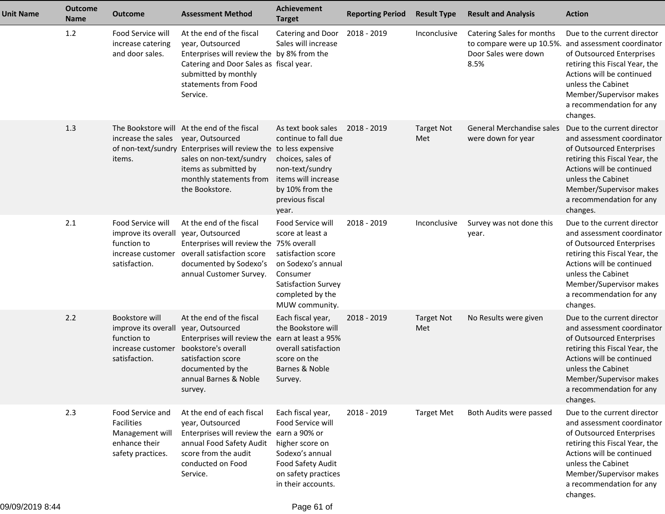| <b>Unit Name</b> | <b>Outcome</b><br>Name | <b>Outcome</b>                                                                                 | <b>Assessment Method</b>                                                                                                                                                                                                              | <b>Achievement</b><br><b>Target</b>                                                                                                                        | <b>Reporting Period</b> | <b>Result Type</b>       | <b>Result and Analysis</b>                                                             | <b>Action</b>                                                                                                                                                                                                                                  |
|------------------|------------------------|------------------------------------------------------------------------------------------------|---------------------------------------------------------------------------------------------------------------------------------------------------------------------------------------------------------------------------------------|------------------------------------------------------------------------------------------------------------------------------------------------------------|-------------------------|--------------------------|----------------------------------------------------------------------------------------|------------------------------------------------------------------------------------------------------------------------------------------------------------------------------------------------------------------------------------------------|
|                  | 1.2                    | Food Service will<br>increase catering<br>and door sales.                                      | At the end of the fiscal<br>year, Outsourced<br>Enterprises will review the by 8% from the<br>Catering and Door Sales as fiscal year.<br>submitted by monthly<br>statements from Food<br>Service.                                     | Catering and Door<br>Sales will increase                                                                                                                   | 2018 - 2019             | Inconclusive             | Catering Sales for months<br>to compare were up 10.5%.<br>Door Sales were down<br>8.5% | Due to the current director<br>and assessment coordinator<br>of Outsourced Enterprises<br>retiring this Fiscal Year, the<br>Actions will be continued<br>unless the Cabinet<br>Member/Supervisor makes<br>a recommendation for any<br>changes. |
|                  | 1.3                    | increase the sales<br>items.                                                                   | The Bookstore will At the end of the fiscal<br>year, Outsourced<br>of non-text/sundry Enterprises will review the to less expensive<br>sales on non-text/sundry<br>items as submitted by<br>monthly statements from<br>the Bookstore. | As text book sales<br>continue to fall due<br>choices, sales of<br>non-text/sundry<br>items will increase<br>by 10% from the<br>previous fiscal<br>year.   | 2018 - 2019             | <b>Target Not</b><br>Met | <b>General Merchandise sales</b><br>were down for year                                 | Due to the current director<br>and assessment coordinator<br>of Outsourced Enterprises<br>retiring this Fiscal Year, the<br>Actions will be continued<br>unless the Cabinet<br>Member/Supervisor makes<br>a recommendation for any<br>changes. |
|                  | 2.1                    | Food Service will<br>improve its overall<br>function to<br>increase customer<br>satisfaction.  | At the end of the fiscal<br>year, Outsourced<br>Enterprises will review the 75% overall<br>overall satisfaction score<br>documented by Sodexo's<br>annual Customer Survey.                                                            | Food Service will<br>score at least a<br>satisfaction score<br>on Sodexo's annual<br>Consumer<br>Satisfaction Survey<br>completed by the<br>MUW community. | 2018 - 2019             | Inconclusive             | Survey was not done this<br>year.                                                      | Due to the current director<br>and assessment coordinator<br>of Outsourced Enterprises<br>retiring this Fiscal Year, the<br>Actions will be continued<br>unless the Cabinet<br>Member/Supervisor makes<br>a recommendation for any<br>changes. |
|                  | 2.2                    | Bookstore will<br>improve its overall<br>function to<br>increase customer<br>satisfaction.     | At the end of the fiscal<br>year, Outsourced<br>Enterprises will review the earn at least a 95%<br>bookstore's overall<br>satisfaction score<br>documented by the<br>annual Barnes & Noble<br>survey.                                 | Each fiscal year,<br>the Bookstore will<br>overall satisfaction<br>score on the<br>Barnes & Noble<br>Survey.                                               | 2018 - 2019             | <b>Target Not</b><br>Met | No Results were given                                                                  | Due to the current director<br>and assessment coordinator<br>of Outsourced Enterprises<br>retiring this Fiscal Year, the<br>Actions will be continued<br>unless the Cabinet<br>Member/Supervisor makes<br>a recommendation for any<br>changes. |
|                  | 2.3                    | Food Service and<br><b>Facilities</b><br>Management will<br>enhance their<br>safety practices. | At the end of each fiscal<br>year, Outsourced<br>Enterprises will review the earn a 90% or<br>annual Food Safety Audit<br>score from the audit<br>conducted on Food<br>Service.                                                       | Each fiscal year,<br>Food Service will<br>higher score on<br>Sodexo's annual<br>Food Safety Audit<br>on safety practices<br>in their accounts.             | 2018 - 2019             | <b>Target Met</b>        | Both Audits were passed                                                                | Due to the current director<br>and assessment coordinator<br>of Outsourced Enterprises<br>retiring this Fiscal Year, the<br>Actions will be continued<br>unless the Cabinet<br>Member/Supervisor makes<br>a recommendation for any<br>changes. |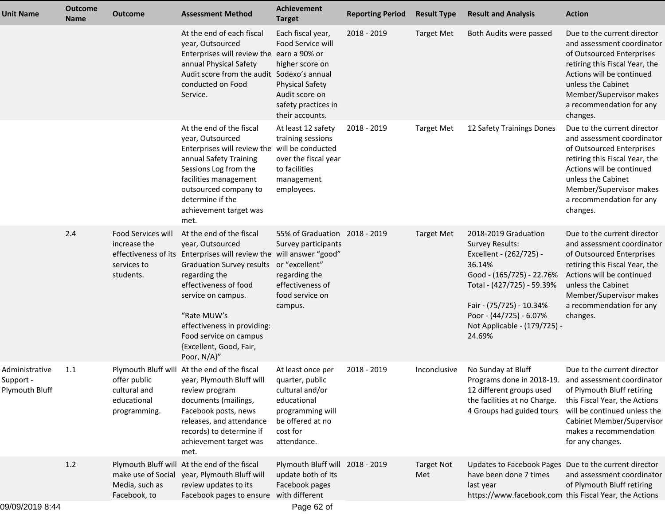| <b>Unit Name</b>                              | <b>Outcome</b><br><b>Name</b> | Outcome                                                        | <b>Assessment Method</b>                                                                                                                                                                                                                                                                                                                          | <b>Achievement</b><br><b>Target</b>                                                                                                             | <b>Reporting Period</b> | <b>Result Type</b>       | <b>Result and Analysis</b>                                                                                                                                                                                                               | <b>Action</b>                                                                                                                                                                                                                                                 |
|-----------------------------------------------|-------------------------------|----------------------------------------------------------------|---------------------------------------------------------------------------------------------------------------------------------------------------------------------------------------------------------------------------------------------------------------------------------------------------------------------------------------------------|-------------------------------------------------------------------------------------------------------------------------------------------------|-------------------------|--------------------------|------------------------------------------------------------------------------------------------------------------------------------------------------------------------------------------------------------------------------------------|---------------------------------------------------------------------------------------------------------------------------------------------------------------------------------------------------------------------------------------------------------------|
|                                               |                               |                                                                | At the end of each fiscal<br>year, Outsourced<br>Enterprises will review the earn a 90% or<br>annual Physical Safety<br>Audit score from the audit Sodexo's annual<br>conducted on Food<br>Service.                                                                                                                                               | Each fiscal year,<br>Food Service will<br>higher score on<br><b>Physical Safety</b><br>Audit score on<br>safety practices in<br>their accounts. | 2018 - 2019             | <b>Target Met</b>        | Both Audits were passed                                                                                                                                                                                                                  | Due to the current director<br>and assessment coordinator<br>of Outsourced Enterprises<br>retiring this Fiscal Year, the<br>Actions will be continued<br>unless the Cabinet<br>Member/Supervisor makes<br>a recommendation for any<br>changes.                |
|                                               |                               |                                                                | At the end of the fiscal<br>year, Outsourced<br>Enterprises will review the will be conducted<br>annual Safety Training<br>Sessions Log from the<br>facilities management<br>outsourced company to<br>determine if the<br>achievement target was<br>met.                                                                                          | At least 12 safety<br>training sessions<br>over the fiscal year<br>to facilities<br>management<br>employees.                                    | 2018 - 2019             | <b>Target Met</b>        | 12 Safety Trainings Dones                                                                                                                                                                                                                | Due to the current director<br>and assessment coordinator<br>of Outsourced Enterprises<br>retiring this Fiscal Year, the<br>Actions will be continued<br>unless the Cabinet<br>Member/Supervisor makes<br>a recommendation for any<br>changes.                |
|                                               | 2.4                           | Food Services will<br>increase the<br>services to<br>students. | At the end of the fiscal<br>year, Outsourced<br>effectiveness of its Enterprises will review the will answer "good"<br>Graduation Survey results or "excellent"<br>regarding the<br>effectiveness of food<br>service on campus.<br>"Rate MUW's<br>effectiveness in providing:<br>Food service on campus<br>{Excellent, Good, Fair,<br>Poor, N/A}" | 55% of Graduation 2018 - 2019<br>Survey participants<br>regarding the<br>effectiveness of<br>food service on<br>campus.                         |                         | <b>Target Met</b>        | 2018-2019 Graduation<br>Survey Results:<br>Excellent - (262/725) -<br>36.14%<br>Good - (165/725) - 22.76%<br>Total - (427/725) - 59.39%<br>Fair - (75/725) - 10.34%<br>Poor - (44/725) - 6.07%<br>Not Applicable - (179/725) -<br>24.69% | Due to the current director<br>and assessment coordinator<br>of Outsourced Enterprises<br>retiring this Fiscal Year, the<br>Actions will be continued<br>unless the Cabinet<br>Member/Supervisor makes<br>a recommendation for any<br>changes.                |
| Administrative<br>Support -<br>Plymouth Bluff | 1.1                           | offer public<br>cultural and<br>educational<br>programming.    | Plymouth Bluff will At the end of the fiscal<br>year, Plymouth Bluff will quarter, public<br>review program<br>documents (mailings,<br>Facebook posts, news<br>releases, and attendance<br>records) to determine if<br>achievement target was<br>met.                                                                                             | At least once per<br>cultural and/or<br>educational<br>programming will<br>be offered at no<br>cost for<br>attendance.                          | 2018 - 2019             | Inconclusive             | No Sunday at Bluff<br>12 different groups used<br>the facilities at no Charge.<br>4 Groups had guided tours                                                                                                                              | Due to the current director<br>Programs done in 2018-19. and assessment coordinator<br>of Plymouth Bluff retiring<br>this Fiscal Year, the Actions<br>will be continued unless the<br>Cabinet Member/Supervisor<br>makes a recommendation<br>for any changes. |
|                                               | 1.2                           | make use of Social<br>Media, such as<br>Facebook, to           | Plymouth Bluff will At the end of the fiscal<br>year, Plymouth Bluff will<br>review updates to its<br>Facebook pages to ensure with different                                                                                                                                                                                                     | Plymouth Bluff will 2018 - 2019<br>update both of its<br>Facebook pages                                                                         |                         | <b>Target Not</b><br>Met | Updates to Facebook Pages Due to the current director<br>have been done 7 times<br>last year<br>https://www.facebook.com this Fiscal Year, the Actions                                                                                   | and assessment coordinator<br>of Plymouth Bluff retiring                                                                                                                                                                                                      |
| 09/09/2019 8:44                               |                               |                                                                |                                                                                                                                                                                                                                                                                                                                                   | Page 62 of                                                                                                                                      |                         |                          |                                                                                                                                                                                                                                          |                                                                                                                                                                                                                                                               |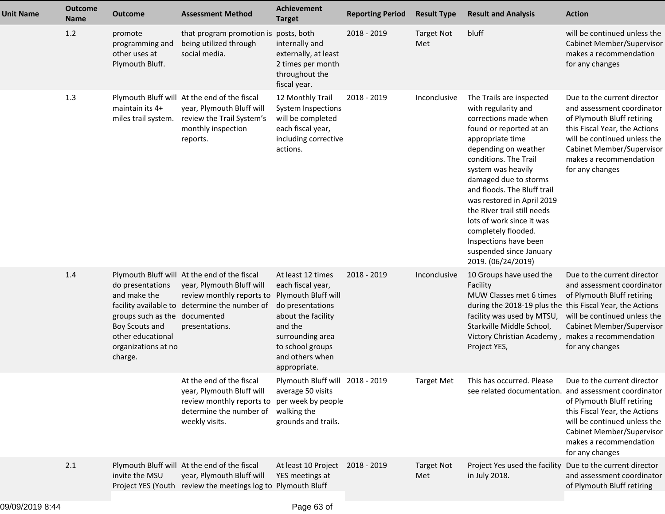| <b>Unit Name</b> | <b>Outcome</b><br><b>Name</b> | <b>Outcome</b>                                                                                                                             | <b>Assessment Method</b>                                                                                                                                                  | <b>Achievement</b><br><b>Target</b>                                                                                                                                                           | <b>Reporting Period</b> | <b>Result Type</b>       | <b>Result and Analysis</b>                                                                                                                                                                                                                                                                                                                                                                                                                        | <b>Action</b>                                                                                                                                                                                                                                                 |
|------------------|-------------------------------|--------------------------------------------------------------------------------------------------------------------------------------------|---------------------------------------------------------------------------------------------------------------------------------------------------------------------------|-----------------------------------------------------------------------------------------------------------------------------------------------------------------------------------------------|-------------------------|--------------------------|---------------------------------------------------------------------------------------------------------------------------------------------------------------------------------------------------------------------------------------------------------------------------------------------------------------------------------------------------------------------------------------------------------------------------------------------------|---------------------------------------------------------------------------------------------------------------------------------------------------------------------------------------------------------------------------------------------------------------|
|                  | 1.2                           | promote<br>programming and<br>other uses at<br>Plymouth Bluff.                                                                             | that program promotion is posts, both<br>being utilized through<br>social media.                                                                                          | internally and<br>externally, at least<br>2 times per month<br>throughout the<br>fiscal year.                                                                                                 | 2018 - 2019             | <b>Target Not</b><br>Met | bluff                                                                                                                                                                                                                                                                                                                                                                                                                                             | will be continued unless the<br><b>Cabinet Member/Supervisor</b><br>makes a recommendation<br>for any changes                                                                                                                                                 |
|                  | 1.3                           | maintain its 4+                                                                                                                            | Plymouth Bluff will At the end of the fiscal<br>year, Plymouth Bluff will<br>miles trail system. review the Trail System's<br>monthly inspection<br>reports.              | 12 Monthly Trail<br>System Inspections<br>will be completed<br>each fiscal year,<br>including corrective<br>actions.                                                                          | 2018 - 2019             | Inconclusive             | The Trails are inspected<br>with regularity and<br>corrections made when<br>found or reported at an<br>appropriate time<br>depending on weather<br>conditions. The Trail<br>system was heavily<br>damaged due to storms<br>and floods. The Bluff trail<br>was restored in April 2019<br>the River trail still needs<br>lots of work since it was<br>completely flooded.<br>Inspections have been<br>suspended since January<br>2019. (06/24/2019) | Due to the current director<br>and assessment coordinator<br>of Plymouth Bluff retiring<br>this Fiscal Year, the Actions<br>will be continued unless the<br>Cabinet Member/Supervisor<br>makes a recommendation<br>for any changes                            |
|                  | 1.4                           | do presentations<br>and make the<br>groups such as the documented<br>Boy Scouts and<br>other educational<br>organizations at no<br>charge. | Plymouth Bluff will At the end of the fiscal<br>year, Plymouth Bluff will<br>review monthly reports to<br>facility available to determine the number of<br>presentations. | At least 12 times<br>each fiscal year,<br>Plymouth Bluff will<br>do presentations<br>about the facility<br>and the<br>surrounding area<br>to school groups<br>and others when<br>appropriate. | 2018 - 2019             | Inconclusive             | 10 Groups have used the<br>Facility<br>MUW Classes met 6 times<br>during the 2018-19 plus the this Fiscal Year, the Actions<br>facility was used by MTSU,<br>Starkville Middle School,<br>Victory Christian Academy,<br>Project YES,                                                                                                                                                                                                              | Due to the current director<br>and assessment coordinator<br>of Plymouth Bluff retiring<br>will be continued unless the<br>Cabinet Member/Supervisor<br>makes a recommendation<br>for any changes                                                             |
|                  |                               |                                                                                                                                            | At the end of the fiscal<br>year, Plymouth Bluff will<br>review monthly reports to<br>determine the number of<br>weekly visits.                                           | Plymouth Bluff will 2018 - 2019<br>average 50 visits<br>per week by people<br>walking the<br>grounds and trails.                                                                              |                         | <b>Target Met</b>        | This has occurred. Please                                                                                                                                                                                                                                                                                                                                                                                                                         | Due to the current director<br>see related documentation. and assessment coordinator<br>of Plymouth Bluff retiring<br>this Fiscal Year, the Actions<br>will be continued unless the<br>Cabinet Member/Supervisor<br>makes a recommendation<br>for any changes |
|                  | 2.1                           | invite the MSU                                                                                                                             | Plymouth Bluff will At the end of the fiscal<br>year, Plymouth Bluff will<br>Project YES (Youth review the meetings log to Plymouth Bluff                                 | At least 10 Project<br>YES meetings at                                                                                                                                                        | 2018 - 2019             | <b>Target Not</b><br>Met | Project Yes used the facility<br>in July 2018.                                                                                                                                                                                                                                                                                                                                                                                                    | Due to the current director<br>and assessment coordinator<br>of Plymouth Bluff retiring                                                                                                                                                                       |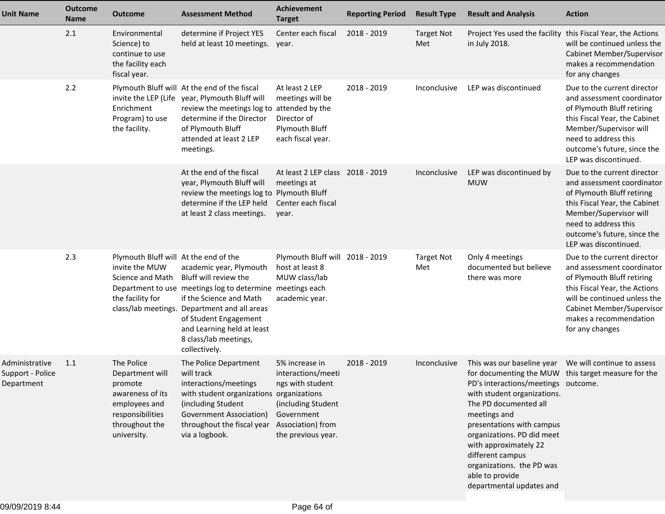| <b>Unit Name</b>                                 | <b>Outcome</b><br><b>Name</b> | <b>Outcome</b>                                                                                                                     | <b>Assessment Method</b>                                                                                                                                                                                                                                                                  | Achievement<br><b>Target</b>                                                                                                            | <b>Reporting Period</b> | <b>Result Type</b>       | <b>Result and Analysis</b>                                                                                                                                                                                                                                                                                                                             | <b>Action</b>                                                                                                                                                                                                                      |
|--------------------------------------------------|-------------------------------|------------------------------------------------------------------------------------------------------------------------------------|-------------------------------------------------------------------------------------------------------------------------------------------------------------------------------------------------------------------------------------------------------------------------------------------|-----------------------------------------------------------------------------------------------------------------------------------------|-------------------------|--------------------------|--------------------------------------------------------------------------------------------------------------------------------------------------------------------------------------------------------------------------------------------------------------------------------------------------------------------------------------------------------|------------------------------------------------------------------------------------------------------------------------------------------------------------------------------------------------------------------------------------|
|                                                  | 2.1                           | Environmental<br>Science) to<br>continue to use<br>the facility each<br>fiscal year.                                               | determine if Project YES<br>held at least 10 meetings.                                                                                                                                                                                                                                    | Center each fiscal<br>year.                                                                                                             | 2018 - 2019             | <b>Target Not</b><br>Met | Project Yes used the facility this Fiscal Year, the Actions<br>in July 2018.                                                                                                                                                                                                                                                                           | will be continued unless the<br>Cabinet Member/Supervisor<br>makes a recommendation<br>for any changes                                                                                                                             |
|                                                  | 2.2                           | Enrichment<br>Program) to use<br>the facility.                                                                                     | Plymouth Bluff will At the end of the fiscal<br>invite the LEP (Life year, Plymouth Bluff will<br>review the meetings log to attended by the<br>determine if the Director<br>of Plymouth Bluff<br>attended at least 2 LEP<br>meetings.                                                    | At least 2 LEP<br>meetings will be<br>Director of<br>Plymouth Bluff<br>each fiscal year.                                                | 2018 - 2019             | Inconclusive             | LEP was discontinued                                                                                                                                                                                                                                                                                                                                   | Due to the current director<br>and assessment coordinator<br>of Plymouth Bluff retiring<br>this Fiscal Year, the Cabinet<br>Member/Supervisor will<br>need to address this<br>outcome's future, since the<br>LEP was discontinued. |
|                                                  |                               |                                                                                                                                    | At the end of the fiscal<br>year, Plymouth Bluff will<br>review the meetings log to<br>determine if the LEP held<br>at least 2 class meetings.                                                                                                                                            | At least 2 LEP class 2018 - 2019<br>meetings at<br><b>Plymouth Bluff</b><br>Center each fiscal<br>year.                                 |                         | Inconclusive             | LEP was discontinued by<br><b>MUW</b>                                                                                                                                                                                                                                                                                                                  | Due to the current director<br>and assessment coordinator<br>of Plymouth Bluff retiring<br>this Fiscal Year, the Cabinet<br>Member/Supervisor will<br>need to address this<br>outcome's future, since the<br>LEP was discontinued. |
|                                                  | 2.3                           | Plymouth Bluff will At the end of the<br>invite the MUW<br>Science and Math<br>the facility for                                    | academic year, Plymouth<br>Bluff will review the<br>Department to use meetings log to determine meetings each<br>if the Science and Math<br>class/lab meetings. Department and all areas<br>of Student Engagement<br>and Learning held at least<br>8 class/lab meetings,<br>collectively. | Plymouth Bluff will 2018 - 2019<br>host at least 8<br>MUW class/lab<br>academic year.                                                   |                         | <b>Target Not</b><br>Met | Only 4 meetings<br>documented but believe<br>there was more                                                                                                                                                                                                                                                                                            | Due to the current director<br>and assessment coordinator<br>of Plymouth Bluff retiring<br>this Fiscal Year, the Actions<br>will be continued unless the<br>Cabinet Member/Supervisor<br>makes a recommendation<br>for any changes |
| Administrative<br>Support - Police<br>Department | 1.1                           | The Police<br>Department will<br>promote<br>awareness of its<br>employees and<br>responsibilities<br>throughout the<br>university. | The Police Department<br>will track<br>interactions/meetings<br>with student organizations organizations<br>(including Student<br><b>Government Association)</b><br>throughout the fiscal year<br>via a logbook.                                                                          | 5% increase in<br>interactions/meeti<br>ngs with student<br>(including Student<br>Government<br>Association) from<br>the previous year. | 2018 - 2019             | Inconclusive             | for documenting the MUW this target measure for the<br>PD's interactions/meetings outcome.<br>with student organizations.<br>The PD documented all<br>meetings and<br>presentations with campus<br>organizations. PD did meet<br>with approximately 22<br>different campus<br>organizations. the PD was<br>able to provide<br>departmental updates and |                                                                                                                                                                                                                                    |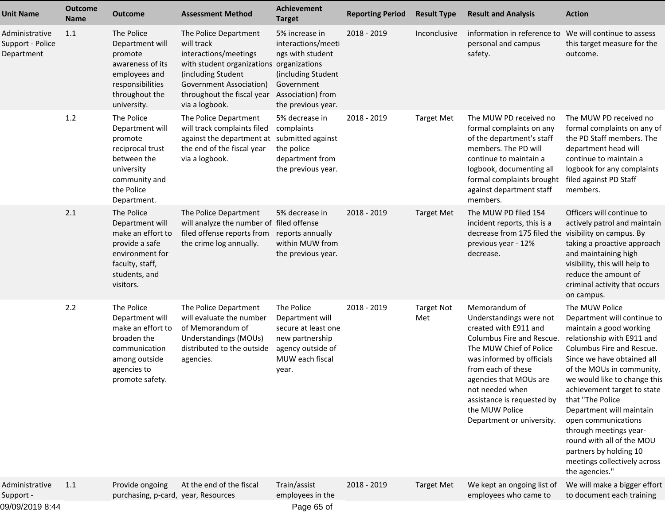| <b>Unit Name</b>                                 | <b>Outcome</b><br>Name | <b>Outcome</b>                                                                                                                           | <b>Assessment Method</b>                                                                                                                                                                                  | <b>Achievement</b><br><b>Target</b>                                                                                                     | <b>Reporting Period</b> | <b>Result Type</b>       | <b>Result and Analysis</b>                                                                                                                                                                                                                                                                             | <b>Action</b>                                                                                                                                                                                                                                                                                                                                                                                                                                                           |
|--------------------------------------------------|------------------------|------------------------------------------------------------------------------------------------------------------------------------------|-----------------------------------------------------------------------------------------------------------------------------------------------------------------------------------------------------------|-----------------------------------------------------------------------------------------------------------------------------------------|-------------------------|--------------------------|--------------------------------------------------------------------------------------------------------------------------------------------------------------------------------------------------------------------------------------------------------------------------------------------------------|-------------------------------------------------------------------------------------------------------------------------------------------------------------------------------------------------------------------------------------------------------------------------------------------------------------------------------------------------------------------------------------------------------------------------------------------------------------------------|
| Administrative<br>Support - Police<br>Department | 1.1                    | The Police<br>Department will<br>promote<br>awareness of its<br>employees and<br>responsibilities<br>throughout the<br>university.       | The Police Department<br>will track<br>interactions/meetings<br>with student organizations organizations<br>(including Student<br>Government Association)<br>throughout the fiscal year<br>via a logbook. | 5% increase in<br>interactions/meeti<br>ngs with student<br>(including Student<br>Government<br>Association) from<br>the previous year. | 2018 - 2019             | Inconclusive             | information in reference to<br>personal and campus<br>safety.                                                                                                                                                                                                                                          | We will continue to assess<br>this target measure for the<br>outcome.                                                                                                                                                                                                                                                                                                                                                                                                   |
|                                                  | 1.2                    | The Police<br>Department will<br>promote<br>reciprocal trust<br>between the<br>university<br>community and<br>the Police<br>Department.  | The Police Department<br>will track complaints filed<br>against the department at<br>the end of the fiscal year<br>via a logbook.                                                                         | 5% decrease in<br>complaints<br>submitted against<br>the police<br>department from<br>the previous year.                                | 2018 - 2019             | <b>Target Met</b>        | The MUW PD received no<br>formal complaints on any<br>of the department's staff<br>members. The PD will<br>continue to maintain a<br>logbook, documenting all<br>formal complaints brought<br>against department staff<br>members.                                                                     | The MUW PD received no<br>formal complaints on any of<br>the PD Staff members. The<br>department head will<br>continue to maintain a<br>logbook for any complaints<br>filed against PD Staff<br>members.                                                                                                                                                                                                                                                                |
|                                                  | 2.1                    | The Police<br>Department will<br>make an effort to<br>provide a safe<br>environment for<br>faculty, staff,<br>students, and<br>visitors. | The Police Department<br>will analyze the number of filed offense<br>filed offense reports from<br>the crime log annually.                                                                                | 5% decrease in<br>reports annually<br>within MUW from<br>the previous year.                                                             | 2018 - 2019             | <b>Target Met</b>        | The MUW PD filed 154<br>incident reports, this is a<br>decrease from 175 filed the<br>previous year - 12%<br>decrease.                                                                                                                                                                                 | Officers will continue to<br>actively patrol and maintain<br>visibility on campus. By<br>taking a proactive approach<br>and maintaining high<br>visibility, this will help to<br>reduce the amount of<br>criminal activity that occurs<br>on campus.                                                                                                                                                                                                                    |
|                                                  | 2.2                    | The Police<br>Department will<br>make an effort to<br>broaden the<br>communication<br>among outside<br>agencies to<br>promote safety.    | The Police Department<br>will evaluate the number<br>of Memorandum of<br>Understandings (MOUs)<br>distributed to the outside<br>agencies.                                                                 | The Police<br>Department will<br>secure at least one<br>new partnership<br>agency outside of<br>MUW each fiscal<br>year.                | 2018 - 2019             | <b>Target Not</b><br>Met | Memorandum of<br>Understandings were not<br>created with E911 and<br>Columbus Fire and Rescue.<br>The MUW Chief of Police<br>was informed by officials<br>from each of these<br>agencies that MOUs are<br>not needed when<br>assistance is requested by<br>the MUW Police<br>Department or university. | The MUW Police<br>Department will continue to<br>maintain a good working<br>relationship with E911 and<br>Columbus Fire and Rescue.<br>Since we have obtained all<br>of the MOUs in community,<br>we would like to change this<br>achievement target to state<br>that "The Police<br>Department will maintain<br>open communications<br>through meetings year-<br>round with all of the MOU<br>partners by holding 10<br>meetings collectively across<br>the agencies." |
| Administrative<br>Support -<br>09/09/2019 8:44   | 1.1                    | Provide ongoing<br>purchasing, p-card, year, Resources                                                                                   | At the end of the fiscal                                                                                                                                                                                  | Train/assist<br>employees in the<br>Page 65 of                                                                                          | 2018 - 2019             | <b>Target Met</b>        | We kept an ongoing list of<br>employees who came to                                                                                                                                                                                                                                                    | We will make a bigger effort<br>to document each training                                                                                                                                                                                                                                                                                                                                                                                                               |
|                                                  |                        |                                                                                                                                          |                                                                                                                                                                                                           |                                                                                                                                         |                         |                          |                                                                                                                                                                                                                                                                                                        |                                                                                                                                                                                                                                                                                                                                                                                                                                                                         |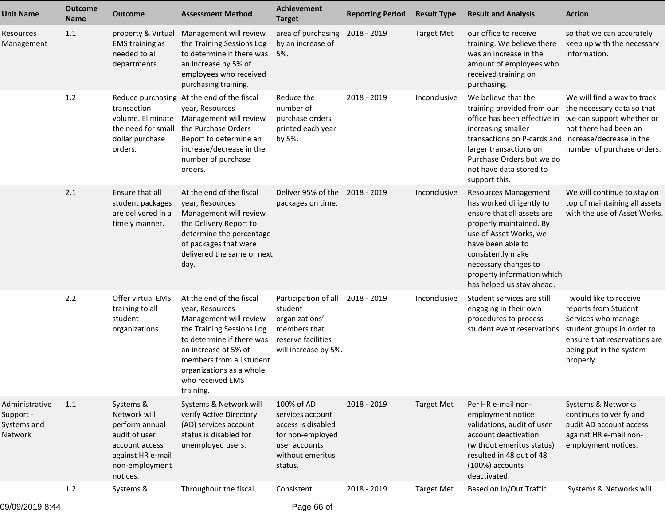| <b>Unit Name</b>                                      | <b>Outcome</b><br><b>Name</b> | <b>Outcome</b>                                                                                                                    | <b>Assessment Method</b>                                                                                                                                                                                                                         | <b>Achievement</b><br><b>Target</b>                                                                                      | <b>Reporting Period</b> | <b>Result Type</b> | <b>Result and Analysis</b>                                                                                                                                                                                                                                              | <b>Action</b>                                                                                                                                                                |
|-------------------------------------------------------|-------------------------------|-----------------------------------------------------------------------------------------------------------------------------------|--------------------------------------------------------------------------------------------------------------------------------------------------------------------------------------------------------------------------------------------------|--------------------------------------------------------------------------------------------------------------------------|-------------------------|--------------------|-------------------------------------------------------------------------------------------------------------------------------------------------------------------------------------------------------------------------------------------------------------------------|------------------------------------------------------------------------------------------------------------------------------------------------------------------------------|
| Resources<br>Management                               | 1.1                           | property & Virtual<br><b>EMS</b> training as<br>needed to all<br>departments.                                                     | Management will review<br>the Training Sessions Log<br>to determine if there was<br>an increase by 5% of<br>employees who received<br>purchasing training.                                                                                       | area of purchasing<br>by an increase of<br>5%.                                                                           | 2018 - 2019             | <b>Target Met</b>  | our office to receive<br>training. We believe there<br>was an increase in the<br>amount of employees who<br>received training on<br>purchasing.                                                                                                                         | so that we can accurately<br>keep up with the necessary<br>information.                                                                                                      |
|                                                       | 1.2                           | transaction<br>the need for small<br>dollar purchase<br>orders.                                                                   | Reduce purchasing At the end of the fiscal<br>year, Resources<br>volume. Eliminate Management will review<br>the Purchase Orders<br>Report to determine an<br>increase/decrease in the<br>number of purchase<br>orders.                          | Reduce the<br>number of<br>purchase orders<br>printed each year<br>by 5%.                                                | 2018 - 2019             | Inconclusive       | We believe that the<br>training provided from our<br>office has been effective in<br>increasing smaller<br>transactions on P-cards and increase/decrease in the<br>larger transactions on<br>Purchase Orders but we do<br>not have data stored to<br>support this.      | We will find a way to track<br>the necessary data so that<br>we can support whether or<br>not there had been an<br>number of purchase orders.                                |
|                                                       | 2.1                           | Ensure that all<br>student packages<br>are delivered in a<br>timely manner.                                                       | At the end of the fiscal<br>year, Resources<br>Management will review<br>the Delivery Report to<br>determine the percentage<br>of packages that were<br>delivered the same or next<br>day.                                                       | Deliver 95% of the<br>packages on time.                                                                                  | 2018 - 2019             | Inconclusive       | <b>Resources Management</b><br>has worked diligently to<br>ensure that all assets are<br>properly maintained. By<br>use of Asset Works, we<br>have been able to<br>consistently make<br>necessary changes to<br>property information which<br>has helped us stay ahead. | We will continue to stay on<br>top of maintaining all assets<br>with the use of Asset Works.                                                                                 |
|                                                       | 2.2                           | Offer virtual EMS<br>training to all<br>student<br>organizations.                                                                 | At the end of the fiscal<br>year, Resources<br>Management will review<br>the Training Sessions Log<br>to determine if there was<br>an increase of 5% of<br>members from all student<br>organizations as a whole<br>who received EMS<br>training. | Participation of all<br>student<br>organizations'<br>members that<br>reserve facilities<br>will increase by 5%.          | 2018 - 2019             | Inconclusive       | Student services are still<br>engaging in their own<br>procedures to process<br>student event reservations.                                                                                                                                                             | I would like to receive<br>reports from Student<br>Services who manage<br>student groups in order to<br>ensure that reservations are<br>being put in the system<br>properly. |
| Administrative<br>Support -<br>Systems and<br>Network | 1.1                           | Systems &<br>Network will<br>perform annual<br>audit of user<br>account access<br>against HR e-mail<br>non-employment<br>notices. | Systems & Network will<br>verify Active Directory<br>(AD) services account<br>status is disabled for<br>unemployed users.                                                                                                                        | 100% of AD<br>services account<br>access is disabled<br>for non-employed<br>user accounts<br>without emeritus<br>status. | 2018 - 2019             | <b>Target Met</b>  | Per HR e-mail non-<br>employment notice<br>validations, audit of user<br>account deactivation<br>(without emeritus status)<br>resulted in 48 out of 48<br>(100%) accounts<br>deactivated.                                                                               | Systems & Networks<br>continues to verify and<br>audit AD account access<br>against HR e-mail non-<br>employment notices.                                                    |
|                                                       | 1.2                           | Systems &                                                                                                                         | Throughout the fiscal                                                                                                                                                                                                                            | Consistent                                                                                                               | 2018 - 2019             | <b>Target Met</b>  | Based on In/Out Traffic                                                                                                                                                                                                                                                 | Systems & Networks will                                                                                                                                                      |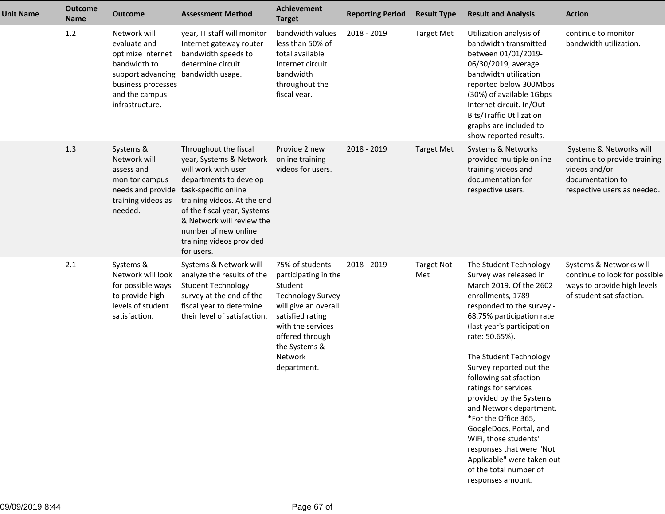| <b>Unit Name</b> | <b>Outcome</b><br><b>Name</b> | Outcome                                                                                                                                           | <b>Assessment Method</b>                                                                                                                                                                                                                                                                                 | <b>Achievement</b><br><b>Target</b>                                                                                                                                                                           | <b>Reporting Period</b> | <b>Result Type</b>       | <b>Result and Analysis</b>                                                                                                                                                                                                                                                                                                                                                                                                                                                                                                                                   | <b>Action</b>                                                                                                               |
|------------------|-------------------------------|---------------------------------------------------------------------------------------------------------------------------------------------------|----------------------------------------------------------------------------------------------------------------------------------------------------------------------------------------------------------------------------------------------------------------------------------------------------------|---------------------------------------------------------------------------------------------------------------------------------------------------------------------------------------------------------------|-------------------------|--------------------------|--------------------------------------------------------------------------------------------------------------------------------------------------------------------------------------------------------------------------------------------------------------------------------------------------------------------------------------------------------------------------------------------------------------------------------------------------------------------------------------------------------------------------------------------------------------|-----------------------------------------------------------------------------------------------------------------------------|
|                  | 1.2                           | Network will<br>evaluate and<br>optimize Internet<br>bandwidth to<br>support advancing<br>business processes<br>and the campus<br>infrastructure. | year, IT staff will monitor<br>Internet gateway router<br>bandwidth speeds to<br>determine circuit<br>bandwidth usage.                                                                                                                                                                                   | bandwidth values<br>less than 50% of<br>total available<br>Internet circuit<br>bandwidth<br>throughout the<br>fiscal year.                                                                                    | 2018 - 2019             | <b>Target Met</b>        | Utilization analysis of<br>bandwidth transmitted<br>between 01/01/2019-<br>06/30/2019, average<br>bandwidth utilization<br>reported below 300Mbps<br>(30%) of available 1Gbps<br>Internet circuit. In/Out<br><b>Bits/Traffic Utilization</b><br>graphs are included to<br>show reported results.                                                                                                                                                                                                                                                             | continue to monitor<br>bandwidth utilization.                                                                               |
|                  | 1.3                           | Systems &<br>Network will<br>assess and<br>monitor campus<br>training videos as<br>needed.                                                        | Throughout the fiscal<br>year, Systems & Network<br>will work with user<br>departments to develop<br>needs and provide task-specific online<br>training videos. At the end<br>of the fiscal year, Systems<br>& Network will review the<br>number of new online<br>training videos provided<br>for users. | Provide 2 new<br>online training<br>videos for users.                                                                                                                                                         | 2018 - 2019             | <b>Target Met</b>        | Systems & Networks<br>provided multiple online<br>training videos and<br>documentation for<br>respective users.                                                                                                                                                                                                                                                                                                                                                                                                                                              | Systems & Networks will<br>continue to provide training<br>videos and/or<br>documentation to<br>respective users as needed. |
|                  | 2.1                           | Systems &<br>Network will look<br>for possible ways<br>to provide high<br>levels of student<br>satisfaction.                                      | Systems & Network will<br>analyze the results of the<br><b>Student Technology</b><br>survey at the end of the<br>fiscal year to determine<br>their level of satisfaction.                                                                                                                                | 75% of students<br>participating in the<br>Student<br><b>Technology Survey</b><br>will give an overall<br>satisfied rating<br>with the services<br>offered through<br>the Systems &<br>Network<br>department. | 2018 - 2019             | <b>Target Not</b><br>Met | The Student Technology<br>Survey was released in<br>March 2019. Of the 2602<br>enrollments, 1789<br>responded to the survey -<br>68.75% participation rate<br>(last year's participation<br>rate: 50.65%).<br>The Student Technology<br>Survey reported out the<br>following satisfaction<br>ratings for services<br>provided by the Systems<br>and Network department.<br>*For the Office 365,<br>GoogleDocs, Portal, and<br>WiFi, those students'<br>responses that were "Not<br>Applicable" were taken out<br>of the total number of<br>responses amount. | Systems & Networks will<br>continue to look for possible<br>ways to provide high levels<br>of student satisfaction.         |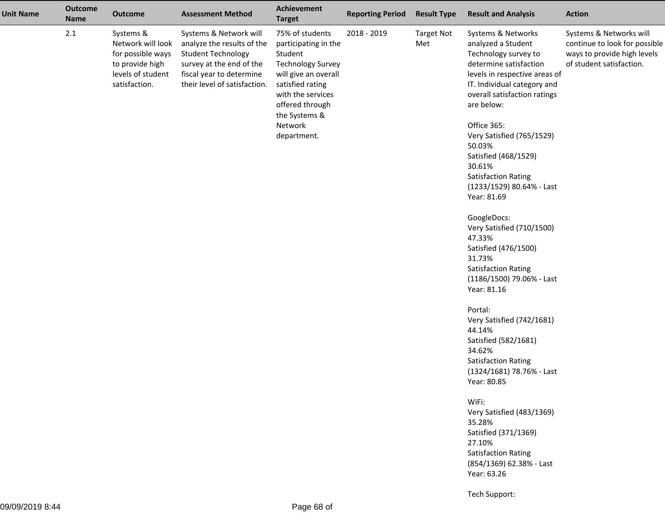| <b>Unit Name</b> | <b>Outcome</b><br><b>Name</b> | <b>Outcome</b>                                                                                               | <b>Assessment Method</b>                                                                                                                                                  | <b>Achievement</b><br><b>Target</b>                                                                                                                                                                           | <b>Reporting Period</b> | <b>Result Type</b>       | <b>Result and Analysis</b>                                                                                                                                                                                                                                                                                                                                                                                                                                                                                                                                                                                                                                                                                                                                                                                                                                            | <b>Action</b>                                                                                                       |
|------------------|-------------------------------|--------------------------------------------------------------------------------------------------------------|---------------------------------------------------------------------------------------------------------------------------------------------------------------------------|---------------------------------------------------------------------------------------------------------------------------------------------------------------------------------------------------------------|-------------------------|--------------------------|-----------------------------------------------------------------------------------------------------------------------------------------------------------------------------------------------------------------------------------------------------------------------------------------------------------------------------------------------------------------------------------------------------------------------------------------------------------------------------------------------------------------------------------------------------------------------------------------------------------------------------------------------------------------------------------------------------------------------------------------------------------------------------------------------------------------------------------------------------------------------|---------------------------------------------------------------------------------------------------------------------|
|                  | 2.1                           | Systems &<br>Network will look<br>for possible ways<br>to provide high<br>levels of student<br>satisfaction. | Systems & Network will<br>analyze the results of the<br><b>Student Technology</b><br>survey at the end of the<br>fiscal year to determine<br>their level of satisfaction. | 75% of students<br>participating in the<br>Student<br><b>Technology Survey</b><br>will give an overall<br>satisfied rating<br>with the services<br>offered through<br>the Systems &<br>Network<br>department. | 2018 - 2019             | <b>Target Not</b><br>Met | Systems & Networks<br>analyzed a Student<br>Technology survey to<br>determine satisfaction<br>levels in respective areas of<br>IT. Individual category and<br>overall satisfaction ratings<br>are below:<br>Office 365:<br>Very Satisfied (765/1529)<br>50.03%<br>Satisfied (468/1529)<br>30.61%<br><b>Satisfaction Rating</b><br>(1233/1529) 80.64% - Last<br>Year: 81.69<br>GoogleDocs:<br>Very Satisfied (710/1500)<br>47.33%<br>Satisfied (476/1500)<br>31.73%<br><b>Satisfaction Rating</b><br>(1186/1500) 79.06% - Last<br>Year: 81.16<br>Portal:<br>Very Satisfied (742/1681)<br>44.14%<br>Satisfied (582/1681)<br>34.62%<br><b>Satisfaction Rating</b><br>(1324/1681) 78.76% - Last<br>Year: 80.85<br>WiFi:<br>Very Satisfied (483/1369)<br>35.28%<br>Satisfied (371/1369)<br>27.10%<br><b>Satisfaction Rating</b><br>(854/1369) 62.38% - Last<br>Year: 63.26 | Systems & Networks will<br>continue to look for possible<br>ways to provide high levels<br>of student satisfaction. |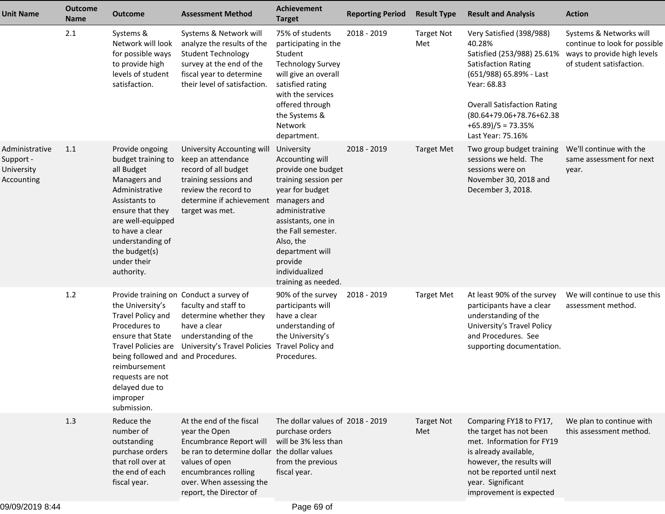| <b>Unit Name</b>                                               | <b>Outcome</b><br><b>Name</b> | <b>Outcome</b>                                                                                                                                                                                                                       | <b>Assessment Method</b>                                                                                                                                                                                              | Achievement<br><b>Target</b>                                                                                                                                                                                                                                     | <b>Reporting Period</b> | <b>Result Type</b>       | <b>Result and Analysis</b>                                                                                                                                                                                                                               | <b>Action</b>                                                                                                       |
|----------------------------------------------------------------|-------------------------------|--------------------------------------------------------------------------------------------------------------------------------------------------------------------------------------------------------------------------------------|-----------------------------------------------------------------------------------------------------------------------------------------------------------------------------------------------------------------------|------------------------------------------------------------------------------------------------------------------------------------------------------------------------------------------------------------------------------------------------------------------|-------------------------|--------------------------|----------------------------------------------------------------------------------------------------------------------------------------------------------------------------------------------------------------------------------------------------------|---------------------------------------------------------------------------------------------------------------------|
|                                                                | 2.1                           | Systems &<br>Network will look<br>for possible ways<br>to provide high<br>levels of student<br>satisfaction.                                                                                                                         | Systems & Network will<br>analyze the results of the<br><b>Student Technology</b><br>survey at the end of the<br>fiscal year to determine<br>their level of satisfaction.                                             | 75% of students<br>participating in the<br>Student<br><b>Technology Survey</b><br>will give an overall<br>satisfied rating<br>with the services<br>offered through<br>the Systems &<br>Network<br>department.                                                    | 2018 - 2019             | <b>Target Not</b><br>Met | Very Satisfied (398/988)<br>40.28%<br>Satisfied (253/988) 25.61%<br><b>Satisfaction Rating</b><br>(651/988) 65.89% - Last<br>Year: 68.83<br><b>Overall Satisfaction Rating</b><br>(80.64+79.06+78.76+62.38<br>$+65.89$ )/5 = 73.35%<br>Last Year: 75.16% | Systems & Networks will<br>continue to look for possible<br>ways to provide high levels<br>of student satisfaction. |
| Administrative<br>Support -<br>University<br><b>Accounting</b> | 1.1                           | Provide ongoing<br>budget training to<br>all Budget<br>Managers and<br>Administrative<br>Assistants to<br>ensure that they<br>are well-equipped<br>to have a clear<br>understanding of<br>the budget(s)<br>under their<br>authority. | University Accounting will<br>keep an attendance<br>record of all budget<br>training sessions and<br>review the record to<br>determine if achievement<br>target was met.                                              | University<br>Accounting will<br>provide one budget<br>training session per<br>year for budget<br>managers and<br>administrative<br>assistants, one in<br>the Fall semester.<br>Also, the<br>department will<br>provide<br>individualized<br>training as needed. | 2018 - 2019             | <b>Target Met</b>        | Two group budget training<br>sessions we held. The<br>sessions were on<br>November 30, 2018 and<br>December 3, 2018.                                                                                                                                     | We'll continue with the<br>same assessment for next<br>year.                                                        |
|                                                                | 1.2                           | the University's<br>Travel Policy and<br>Procedures to<br>ensure that State<br>being followed and and Procedures.<br>reimbursement<br>requests are not<br>delayed due to<br>improper<br>submission.                                  | Provide training on Conduct a survey of<br>faculty and staff to<br>determine whether they<br>have a clear<br>understanding of the<br>Travel Policies are University's Travel Policies Travel Policy and               | 90% of the survey<br>participants will<br>have a clear<br>understanding of<br>the University's<br>Procedures.                                                                                                                                                    | 2018 - 2019             | <b>Target Met</b>        | At least 90% of the survey<br>participants have a clear<br>understanding of the<br>University's Travel Policy<br>and Procedures. See<br>supporting documentation.                                                                                        | We will continue to use this<br>assessment method.                                                                  |
|                                                                | 1.3                           | Reduce the<br>number of<br>outstanding<br>purchase orders<br>that roll over at<br>the end of each<br>fiscal year.                                                                                                                    | At the end of the fiscal<br>year the Open<br>Encumbrance Report will<br>be ran to determine dollar the dollar values<br>values of open<br>encumbrances rolling<br>over. When assessing the<br>report, the Director of | The dollar values of 2018 - 2019<br>purchase orders<br>will be 3% less than<br>from the previous<br>fiscal year.                                                                                                                                                 |                         | <b>Target Not</b><br>Met | Comparing FY18 to FY17,<br>the target has not been<br>met. Information for FY19<br>is already available,<br>however, the results will<br>not be reported until next<br>year. Significant<br>improvement is expected                                      | We plan to continue with<br>this assessment method.                                                                 |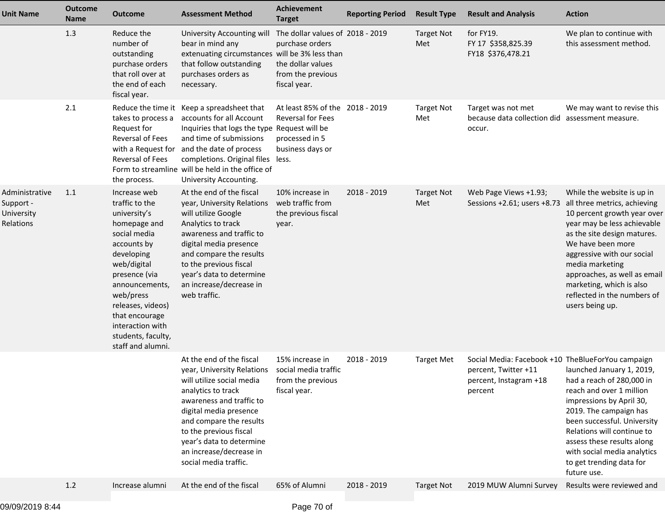| <b>Unit Name</b>                                       | <b>Outcome</b><br><b>Name</b> | <b>Outcome</b>                                                                                                                                                                                                                                                                   | <b>Assessment Method</b>                                                                                                                                                                                                                                                                                           | <b>Achievement</b><br><b>Target</b>                                                                           | <b>Reporting Period</b> | <b>Result Type</b>       | <b>Result and Analysis</b>                                                                                     | <b>Action</b>                                                                                                                                                                                                                                                                                                                               |
|--------------------------------------------------------|-------------------------------|----------------------------------------------------------------------------------------------------------------------------------------------------------------------------------------------------------------------------------------------------------------------------------|--------------------------------------------------------------------------------------------------------------------------------------------------------------------------------------------------------------------------------------------------------------------------------------------------------------------|---------------------------------------------------------------------------------------------------------------|-------------------------|--------------------------|----------------------------------------------------------------------------------------------------------------|---------------------------------------------------------------------------------------------------------------------------------------------------------------------------------------------------------------------------------------------------------------------------------------------------------------------------------------------|
|                                                        | 1.3                           | Reduce the<br>number of<br>outstanding<br>purchase orders<br>that roll over at<br>the end of each<br>fiscal year.                                                                                                                                                                | University Accounting will<br>bear in mind any<br>extenuating circumstances will be 3% less than<br>that follow outstanding<br>purchases orders as<br>necessary.                                                                                                                                                   | The dollar values of 2018 - 2019<br>purchase orders<br>the dollar values<br>from the previous<br>fiscal year. |                         | <b>Target Not</b><br>Met | for FY19.<br>FY 17 \$358,825.39<br>FY18 \$376,478.21                                                           | We plan to continue with<br>this assessment method.                                                                                                                                                                                                                                                                                         |
|                                                        | 2.1                           | takes to process a<br>Request for<br><b>Reversal of Fees</b><br>Reversal of Fees<br>the process.                                                                                                                                                                                 | Reduce the time it Keep a spreadsheet that<br>accounts for all Account<br>Inquiries that logs the type Request will be<br>and time of submissions<br>with a Request for and the date of process<br>completions. Original files less.<br>Form to streamline will be held in the office of<br>University Accounting. | At least 85% of the 2018 - 2019<br><b>Reversal for Fees</b><br>processed in 5<br>business days or             |                         | <b>Target Not</b><br>Met | Target was not met<br>because data collection did<br>occur.                                                    | We may want to revise this<br>assessment measure.                                                                                                                                                                                                                                                                                           |
| Administrative<br>Support -<br>University<br>Relations | 1.1                           | Increase web<br>traffic to the<br>university's<br>homepage and<br>social media<br>accounts by<br>developing<br>web/digital<br>presence (via<br>announcements,<br>web/press<br>releases, videos)<br>that encourage<br>interaction with<br>students, faculty,<br>staff and alumni. | At the end of the fiscal<br>year, University Relations<br>will utilize Google<br>Analytics to track<br>awareness and traffic to<br>digital media presence<br>and compare the results<br>to the previous fiscal<br>year's data to determine<br>an increase/decrease in<br>web traffic.                              | 10% increase in<br>web traffic from<br>the previous fiscal<br>year.                                           | 2018 - 2019             | <b>Target Not</b><br>Met | Web Page Views +1.93;<br>Sessions +2.61; users +8.73                                                           | While the website is up in<br>all three metrics, achieving<br>10 percent growth year over<br>year may be less achievable<br>as the site design matures.<br>We have been more<br>aggressive with our social<br>media marketing<br>approaches, as well as email<br>marketing, which is also<br>reflected in the numbers of<br>users being up. |
|                                                        |                               |                                                                                                                                                                                                                                                                                  | At the end of the fiscal<br>year, University Relations<br>will utilize social media<br>analytics to track<br>awareness and traffic to<br>digital media presence<br>and compare the results<br>to the previous fiscal<br>year's data to determine<br>an increase/decrease in<br>social media traffic.               | 15% increase in<br>social media traffic<br>from the previous<br>fiscal year.                                  | 2018 - 2019             | <b>Target Met</b>        | Social Media: Facebook +10 TheBlueForYou campaign<br>percent, Twitter +11<br>percent, Instagram +18<br>percent | launched January 1, 2019,<br>had a reach of 280,000 in<br>reach and over 1 million<br>impressions by April 30,<br>2019. The campaign has<br>been successful. University<br>Relations will continue to<br>assess these results along<br>with social media analytics<br>to get trending data for<br>future use.                               |
|                                                        | 1.2                           | Increase alumni                                                                                                                                                                                                                                                                  | At the end of the fiscal                                                                                                                                                                                                                                                                                           | 65% of Alumni                                                                                                 | 2018 - 2019             | <b>Target Not</b>        | 2019 MUW Alumni Survey                                                                                         | Results were reviewed and                                                                                                                                                                                                                                                                                                                   |
|                                                        |                               |                                                                                                                                                                                                                                                                                  |                                                                                                                                                                                                                                                                                                                    |                                                                                                               |                         |                          |                                                                                                                |                                                                                                                                                                                                                                                                                                                                             |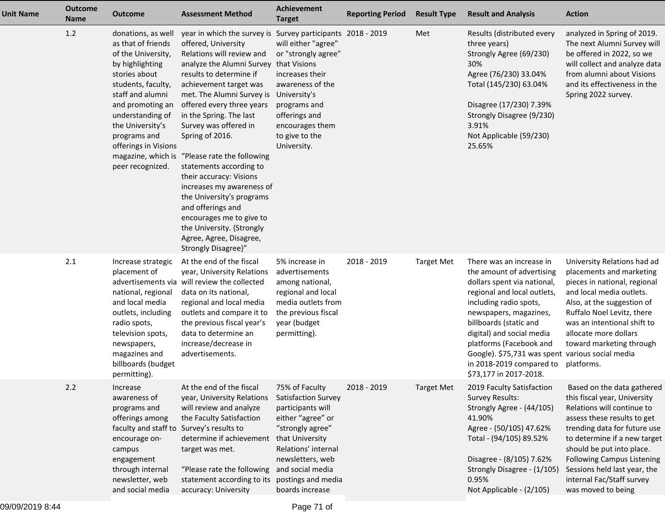| <b>Unit Name</b> | <b>Outcome</b><br><b>Name</b> | Outcome                                                                                                                                                                                                                                                                                    | <b>Assessment Method</b>                                                                                                                                                                                                                                                                                                                                                                                                                                                                                                                                                                                                                   | Achievement<br><b>Target</b>                                                                                                                                                                                                   | <b>Reporting Period</b> | <b>Result Type</b> | <b>Result and Analysis</b>                                                                                                                                                                                                                                                                                                                                          | <b>Action</b>                                                                                                                                                                                                                                                                                                                                |
|------------------|-------------------------------|--------------------------------------------------------------------------------------------------------------------------------------------------------------------------------------------------------------------------------------------------------------------------------------------|--------------------------------------------------------------------------------------------------------------------------------------------------------------------------------------------------------------------------------------------------------------------------------------------------------------------------------------------------------------------------------------------------------------------------------------------------------------------------------------------------------------------------------------------------------------------------------------------------------------------------------------------|--------------------------------------------------------------------------------------------------------------------------------------------------------------------------------------------------------------------------------|-------------------------|--------------------|---------------------------------------------------------------------------------------------------------------------------------------------------------------------------------------------------------------------------------------------------------------------------------------------------------------------------------------------------------------------|----------------------------------------------------------------------------------------------------------------------------------------------------------------------------------------------------------------------------------------------------------------------------------------------------------------------------------------------|
|                  | 1.2                           | donations, as well<br>as that of friends<br>of the University,<br>by highlighting<br>stories about<br>students, faculty,<br>staff and alumni<br>and promoting an<br>understanding of<br>the University's<br>programs and<br>offerings in Visions<br>magazine, which is<br>peer recognized. | year in which the survey is Survey participants 2018 - 2019<br>offered, University<br>Relations will review and<br>analyze the Alumni Survey that Visions<br>results to determine if<br>achievement target was<br>met. The Alumni Survey is University's<br>offered every three years<br>in the Spring. The last<br>Survey was offered in<br>Spring of 2016.<br>"Please rate the following<br>statements according to<br>their accuracy: Visions<br>increases my awareness of<br>the University's programs<br>and offerings and<br>encourages me to give to<br>the University. {Strongly<br>Agree, Agree, Disagree,<br>Strongly Disagree}" | will either "agree"<br>or "strongly agree"<br>increases their<br>awareness of the<br>programs and<br>offerings and<br>encourages them<br>to give to the<br>University.                                                         |                         | Met                | Results (distributed every<br>three years)<br>Strongly Agree (69/230)<br>30%<br>Agree (76/230) 33.04%<br>Total (145/230) 63.04%<br>Disagree (17/230) 7.39%<br>Strongly Disagree (9/230)<br>3.91%<br>Not Applicable (59/230)<br>25.65%                                                                                                                               | analyzed in Spring of 2019.<br>The next Alumni Survey will<br>be offered in 2022, so we<br>will collect and analyze data<br>from alumni about Visions<br>and its effectiveness in the<br>Spring 2022 survey.                                                                                                                                 |
|                  | 2.1                           | Increase strategic<br>placement of<br>national, regional<br>and local media<br>outlets, including<br>radio spots,<br>television spots,<br>newspapers,<br>magazines and<br>billboards (budget<br>permitting).                                                                               | At the end of the fiscal<br>year, University Relations<br>advertisements via will review the collected<br>data on its national,<br>regional and local media<br>outlets and compare it to<br>the previous fiscal year's<br>data to determine an<br>increase/decrease in<br>advertisements.                                                                                                                                                                                                                                                                                                                                                  | 5% increase in<br>advertisements<br>among national,<br>regional and local<br>media outlets from<br>the previous fiscal<br>year (budget<br>permitting).                                                                         | 2018 - 2019             | <b>Target Met</b>  | There was an increase in<br>the amount of advertising<br>dollars spent via national,<br>regional and local outlets,<br>including radio spots,<br>newspapers, magazines,<br>billboards (static and<br>digital) and social media<br>platforms (Facebook and<br>Google). \$75,731 was spent various social media<br>in 2018-2019 compared to<br>\$73,177 in 2017-2018. | University Relations had ad<br>placements and marketing<br>pieces in national, regional<br>and local media outlets.<br>Also, at the suggestion of<br>Ruffalo Noel Levitz, there<br>was an intentional shift to<br>allocate more dollars<br>toward marketing through<br>platforms.                                                            |
|                  | 2.2                           | Increase<br>awareness of<br>programs and<br>offerings among<br>faculty and staff to Survey's results to<br>encourage on-<br>campus<br>engagement<br>through internal<br>newsletter, web<br>and social media                                                                                | At the end of the fiscal<br>year, University Relations<br>will review and analyze<br>the Faculty Satisfaction<br>determine if achievement<br>target was met.<br>"Please rate the following<br>statement according to its<br>accuracy: University                                                                                                                                                                                                                                                                                                                                                                                           | 75% of Faculty<br>Satisfaction Survey<br>participants will<br>either "agree" or<br>"strongly agree"<br>that University<br>Relations' internal<br>newsletters, web<br>and social media<br>postings and media<br>boards increase | 2018 - 2019             | <b>Target Met</b>  | 2019 Faculty Satisfaction<br><b>Survey Results:</b><br>Strongly Agree - (44/105)<br>41.90%<br>Agree - (50/105) 47.62%<br>Total - (94/105) 89.52%<br>Disagree - (8/105) 7.62%<br>Strongly Disagree - (1/105)<br>0.95%<br>Not Applicable - (2/105)                                                                                                                    | Based on the data gathered<br>this fiscal year, University<br>Relations will continue to<br>assess these results to get<br>trending data for future use<br>to determine if a new target<br>should be put into place.<br><b>Following Campus Listening</b><br>Sessions held last year, the<br>internal Fac/Staff survey<br>was moved to being |